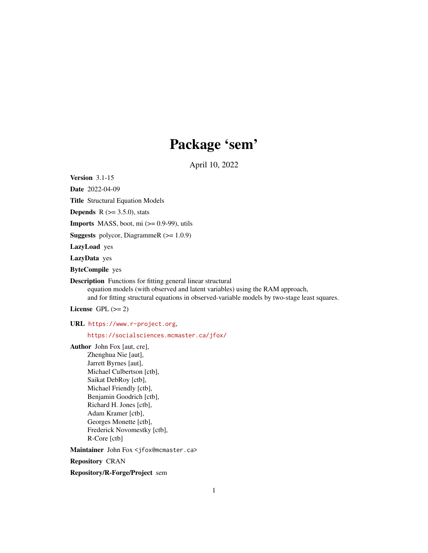# Package 'sem'

April 10, 2022

<span id="page-0-0"></span>Version 3.1-15

Date 2022-04-09

Title Structural Equation Models

**Depends** R  $(>= 3.5.0)$ , stats

**Imports** MASS, boot, mi  $(>= 0.9-99)$ , utils

**Suggests** polycor, DiagrammeR  $(>= 1.0.9)$ 

LazyLoad yes

LazyData yes

ByteCompile yes

Description Functions for fitting general linear structural equation models (with observed and latent variables) using the RAM approach, and for fitting structural equations in observed-variable models by two-stage least squares.

License GPL  $(>= 2)$ 

URL <https://www.r-project.org>,

<https://socialsciences.mcmaster.ca/jfox/>

Author John Fox [aut, cre], Zhenghua Nie [aut], Jarrett Byrnes [aut], Michael Culbertson [ctb], Saikat DebRoy [ctb], Michael Friendly [ctb], Benjamin Goodrich [ctb], Richard H. Jones [ctb], Adam Kramer [ctb], Georges Monette [ctb], Frederick Novomestky [ctb], R-Core [ctb]

Maintainer John Fox <jfox@mcmaster.ca>

Repository CRAN

Repository/R-Forge/Project sem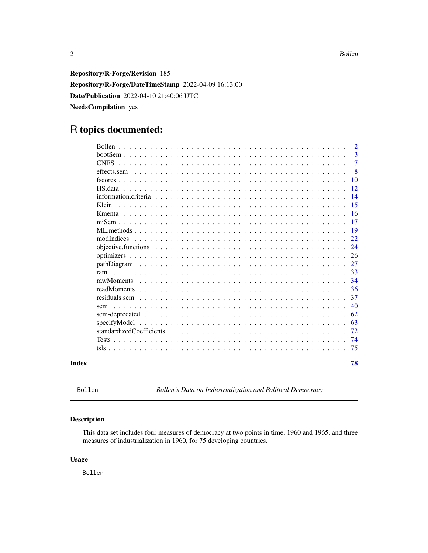<span id="page-1-0"></span>2 Bollen and the set of the set of the set of the set of the set of the set of the set of the set of the set of the set of the set of the set of the set of the set of the set of the set of the set of the set of the set of

Repository/R-Forge/Revision 185 Repository/R-Forge/DateTimeStamp 2022-04-09 16:13:00 Date/Publication 2022-04-10 21:40:06 UTC NeedsCompilation yes

# R topics documented:

|       | <b>Bollen</b> | $\overline{2}$ |
|-------|---------------|----------------|
|       |               | 3              |
|       |               | 7              |
|       | effects.sem   | 8              |
|       |               | 10             |
|       | HS data       | 12             |
|       |               | 14             |
|       | Klein         | 15             |
|       |               | 16             |
|       |               | 17             |
|       |               | 19             |
|       | modIndices    | 22             |
|       |               | 24             |
|       |               | 26             |
|       |               | 27             |
|       |               | 33             |
|       |               | 34             |
|       | readMoments   | 36             |
|       |               | 37             |
|       | sem           | 40             |
|       |               | 62             |
|       | specifyModel  | 63             |
|       |               | 72             |
|       |               | 74             |
|       |               | 75             |
| Index |               | 78             |

Bollen *Bollen's Data on Industrialization and Political Democracy*

### Description

This data set includes four measures of democracy at two points in time, 1960 and 1965, and three measures of industrialization in 1960, for 75 developing countries.

### Usage

Bollen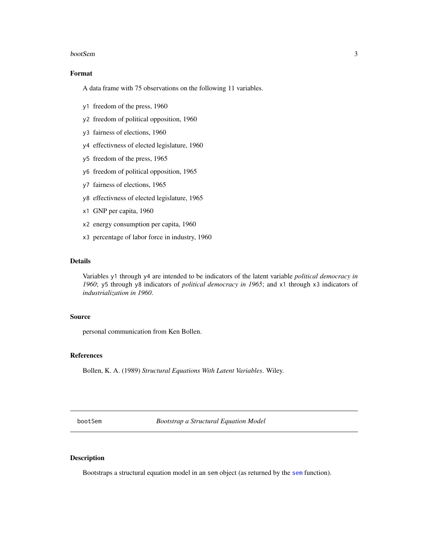#### <span id="page-2-0"></span>bootSem 3

### Format

A data frame with 75 observations on the following 11 variables.

- y1 freedom of the press, 1960
- y2 freedom of political opposition, 1960
- y3 fairness of elections, 1960
- y4 effectivness of elected legislature, 1960
- y5 freedom of the press, 1965
- y6 freedom of political opposition, 1965
- y7 fairness of elections, 1965
- y8 effectivness of elected legislature, 1965
- x1 GNP per capita, 1960
- x2 energy consumption per capita, 1960
- x3 percentage of labor force in industry, 1960

### Details

Variables y1 through y4 are intended to be indicators of the latent variable *political democracy in 1960*; y5 through y8 indicators of *political democracy in 1965*; and x1 through x3 indicators of *industrialization in 1960*.

#### Source

personal communication from Ken Bollen.

#### References

Bollen, K. A. (1989) *Structural Equations With Latent Variables*. Wiley.

bootSem *Bootstrap a Structural Equation Model*

### Description

Bootstraps a structural equation model in an sem object (as returned by the [sem](#page-39-1) function).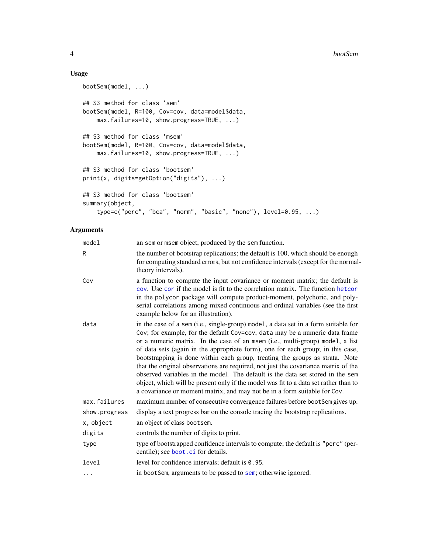### Usage

```
bootSem(model, ...)
## S3 method for class 'sem'
bootSem(model, R=100, Cov=cov, data=model$data,
   max.failures=10, show.progress=TRUE, ...)
## S3 method for class 'msem'
bootSem(model, R=100, Cov=cov, data=model$data,
   max.failures=10, show.progress=TRUE, ...)
## S3 method for class 'bootsem'
print(x, digits=getOption("digits"), ...)
## S3 method for class 'bootsem'
summary(object,
    type=c("perc", "bca", "norm", "basic", "none"), level=0.95, ...)
```
### Arguments

| model         | an sem or msem object, produced by the sem function.                                                                                                                                                                                                                                                                                                                                                                                                                                                                                                                                                                                                                                                                                                               |
|---------------|--------------------------------------------------------------------------------------------------------------------------------------------------------------------------------------------------------------------------------------------------------------------------------------------------------------------------------------------------------------------------------------------------------------------------------------------------------------------------------------------------------------------------------------------------------------------------------------------------------------------------------------------------------------------------------------------------------------------------------------------------------------------|
| R             | the number of bootstrap replications; the default is 100, which should be enough<br>for computing standard errors, but not confidence intervals (except for the normal-<br>theory intervals).                                                                                                                                                                                                                                                                                                                                                                                                                                                                                                                                                                      |
| Cov           | a function to compute the input covariance or moment matrix; the default is<br>cov. Use cor if the model is fit to the correlation matrix. The function hetcor<br>in the polycor package will compute product-moment, polychoric, and poly-<br>serial correlations among mixed continuous and ordinal variables (see the first<br>example below for an illustration).                                                                                                                                                                                                                                                                                                                                                                                              |
| data          | in the case of a sem (i.e., single-group) model, a data set in a form suitable for<br>Cov; for example, for the default Cov=cov, data may be a numeric data frame<br>or a numeric matrix. In the case of an msem (i.e., multi-group) model, a list<br>of data sets (again in the appropriate form), one for each group; in this case,<br>bootstrapping is done within each group, treating the groups as strata. Note<br>that the original observations are required, not just the covariance matrix of the<br>observed variables in the model. The default is the data set stored in the sem<br>object, which will be present only if the model was fit to a data set rather than to<br>a covariance or moment matrix, and may not be in a form suitable for Cov. |
| max.failures  | maximum number of consecutive convergence failures before bootSem gives up.                                                                                                                                                                                                                                                                                                                                                                                                                                                                                                                                                                                                                                                                                        |
| show.progress | display a text progress bar on the console tracing the bootstrap replications.                                                                                                                                                                                                                                                                                                                                                                                                                                                                                                                                                                                                                                                                                     |
| x, object     | an object of class bootsem.                                                                                                                                                                                                                                                                                                                                                                                                                                                                                                                                                                                                                                                                                                                                        |
| digits        | controls the number of digits to print.                                                                                                                                                                                                                                                                                                                                                                                                                                                                                                                                                                                                                                                                                                                            |
| type          | type of bootstrapped confidence intervals to compute; the default is "perc" (per-<br>centile); see boot.ci for details.                                                                                                                                                                                                                                                                                                                                                                                                                                                                                                                                                                                                                                            |
| level         | level for confidence intervals; default is 0.95.                                                                                                                                                                                                                                                                                                                                                                                                                                                                                                                                                                                                                                                                                                                   |
| .             | in bootSem, arguments to be passed to sem; otherwise ignored.                                                                                                                                                                                                                                                                                                                                                                                                                                                                                                                                                                                                                                                                                                      |
|               |                                                                                                                                                                                                                                                                                                                                                                                                                                                                                                                                                                                                                                                                                                                                                                    |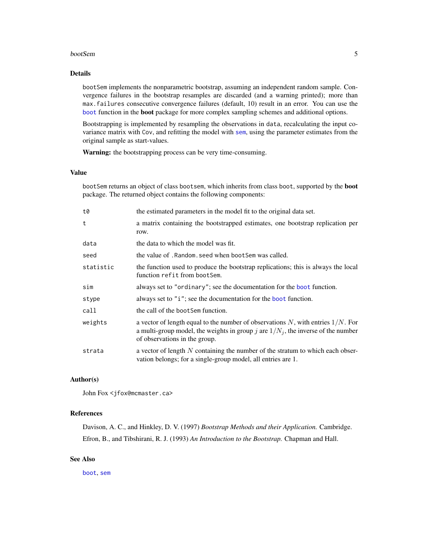#### bootSem 5

### Details

bootSem implements the nonparametric bootstrap, assuming an independent random sample. Convergence failures in the bootstrap resamples are discarded (and a warning printed); more than max.failures consecutive convergence failures (default, 10) result in an error. You can use the [boot](#page-0-0) function in the boot package for more complex sampling schemes and additional options.

Bootstrapping is implemented by resampling the observations in data, recalculating the input covariance matrix with Cov, and refitting the model with [sem](#page-39-1), using the parameter estimates from the original sample as start-values.

Warning: the bootstrapping process can be very time-consuming.

### Value

bootSem returns an object of class bootsem, which inherits from class boot, supported by the boot package. The returned object contains the following components:

| t0        | the estimated parameters in the model fit to the original data set.                                                                                                                                        |
|-----------|------------------------------------------------------------------------------------------------------------------------------------------------------------------------------------------------------------|
| t         | a matrix containing the bootstrapped estimates, one bootstrap replication per<br>row.                                                                                                                      |
| data      | the data to which the model was fit.                                                                                                                                                                       |
| seed      | the value of . Random. seed when boot Sem was called.                                                                                                                                                      |
| statistic | the function used to produce the bootstrap replications; this is always the local<br>function refit from bootSem.                                                                                          |
| sim       | always set to "ordinary"; see the documentation for the boot function.                                                                                                                                     |
| stype     | always set to "i"; see the documentation for the boot function.                                                                                                                                            |
| call      | the call of the boot Sem function.                                                                                                                                                                         |
| weights   | a vector of length equal to the number of observations N, with entries $1/N$ . For<br>a multi-group model, the weights in group j are $1/N_i$ , the inverse of the number<br>of observations in the group. |
| strata    | a vector of length $N$ containing the number of the stratum to which each obser-<br>vation belongs; for a single-group model, all entries are 1.                                                           |

#### Author(s)

John Fox <jfox@mcmaster.ca>

### References

Davison, A. C., and Hinkley, D. V. (1997) *Bootstrap Methods and their Application.* Cambridge. Efron, B., and Tibshirani, R. J. (1993) *An Introduction to the Bootstrap.* Chapman and Hall.

### See Also

[boot](#page-0-0), [sem](#page-39-1)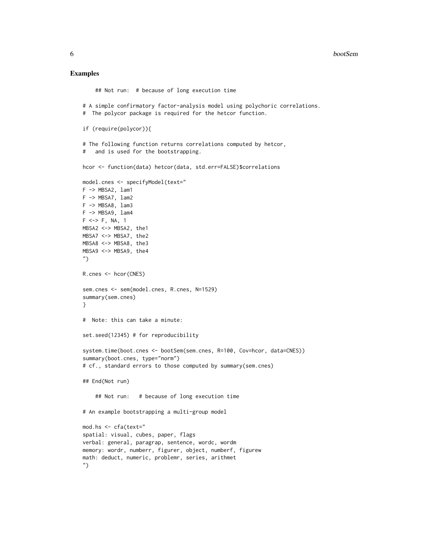#### Examples

```
## Not run: # because of long execution time
# A simple confirmatory factor-analysis model using polychoric correlations.
# The polycor package is required for the hetcor function.
if (require(polycor)){
# The following function returns correlations computed by hetcor,
# and is used for the bootstrapping.
hcor <- function(data) hetcor(data, std.err=FALSE)$correlations
model.cnes <- specifyModel(text="
F -> MBSA2, lam1
F -> MBSA7, lam2
F -> MBSA8, lam3
F -> MBSA9, lam4
F \iff F, NA, 1
MBSA2 <-> MBSA2, the1
MBSA7 <-> MBSA7, the2
MBSA8 <-> MBSA8, the3
MBSA9 <-> MBSA9, the4
")
R.cnes <- hcor(CNES)
sem.cnes <- sem(model.cnes, R.cnes, N=1529)
summary(sem.cnes)
}
# Note: this can take a minute:
set.seed(12345) # for reproducibility
system.time(boot.cnes <- bootSem(sem.cnes, R=100, Cov=hcor, data=CNES))
summary(boot.cnes, type="norm")
# cf., standard errors to those computed by summary(sem.cnes)
## End(Not run)
    ## Not run: # because of long execution time
# An example bootstrapping a multi-group model
mod.hs <- cfa(text="
spatial: visual, cubes, paper, flags
verbal: general, paragrap, sentence, wordc, wordm
memory: wordr, numberr, figurer, object, numberf, figurew
math: deduct, numeric, problemr, series, arithmet
")
```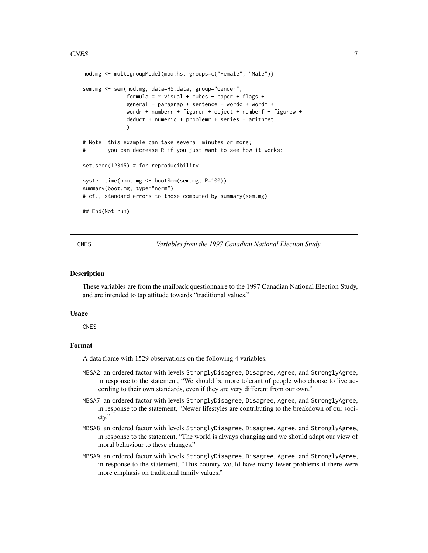```
mod.mg <- multigroupModel(mod.hs, groups=c("Female", "Male"))
sem.mg <- sem(mod.mg, data=HS.data, group="Gender",
              formula = \sim visual + cubes + paper + flags +
              general + paragrap + sentence + wordc + wordm +
              wordr + numberr + figurer + object + numberf + figurew +
              deduct + numeric + problemr + series + arithmet
              )
# Note: this example can take several minutes or more;
# you can decrease R if you just want to see how it works:
set.seed(12345) # for reproducibility
system.time(boot.mg <- bootSem(sem.mg, R=100))
summary(boot.mg, type="norm")
# cf., standard errors to those computed by summary(sem.mg)
## End(Not run)
```
CNES *Variables from the 1997 Canadian National Election Study*

#### Description

These variables are from the mailback questionnaire to the 1997 Canadian National Election Study, and are intended to tap attitude towards "traditional values."

#### Usage

**CNES** 

### Format

A data frame with 1529 observations on the following 4 variables.

- MBSA2 an ordered factor with levels StronglyDisagree, Disagree, Agree, and StronglyAgree, in response to the statement, "We should be more tolerant of people who choose to live according to their own standards, even if they are very different from our own."
- MBSA7 an ordered factor with levels StronglyDisagree, Disagree, Agree, and StronglyAgree, in response to the statement, "Newer lifestyles are contributing to the breakdown of our society."
- MBSA8 an ordered factor with levels StronglyDisagree, Disagree, Agree, and StronglyAgree, in response to the statement, "The world is always changing and we should adapt our view of moral behaviour to these changes."
- MBSA9 an ordered factor with levels StronglyDisagree, Disagree, Agree, and StronglyAgree, in response to the statement, "This country would have many fewer problems if there were more emphasis on traditional family values."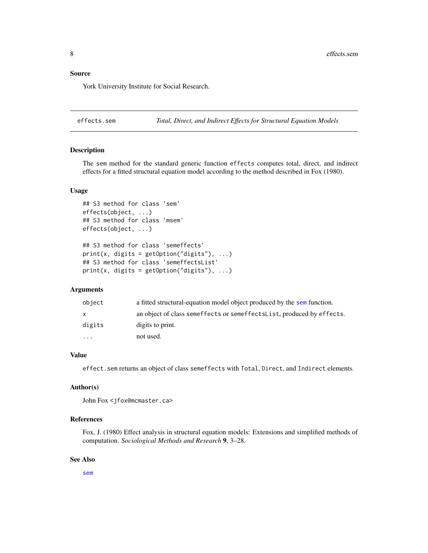#### <span id="page-7-0"></span>Source

York University Institute for Social Research.

effects.sem *Total, Direct, and Indirect Effects for Structural Equation Models*

### Description

The sem method for the standard generic function effects computes total, direct, and indirect effects for a fitted structural equation model according to the method described in Fox (1980).

#### Usage

```
## S3 method for class 'sem'
effects(object, ...)
## S3 method for class 'msem'
effects(object, ...)
## S3 method for class 'semeffects'
print(x, \text{ digits} = getOption("digits"), ...)## S3 method for class 'semeffectsList'
print(x, \text{ digits} = getOption("digits"), ...)
```
#### Arguments

| object                  | a fitted structural-equation model object produced by the sem function. |
|-------------------------|-------------------------------------------------------------------------|
| x.                      | an object of class semeffects or semeffects List, produced by effects.  |
| digits                  | digits to print.                                                        |
| $\cdot$ $\cdot$ $\cdot$ | not used.                                                               |

#### Value

effect.sem returns an object of class semeffects with Total, Direct, and Indirect elements.

### Author(s)

```
John Fox <jfox@mcmaster.ca>
```
### References

Fox, J. (1980) Effect analysis in structural equation models: Extensions and simplified methods of computation. *Sociological Methods and Research* 9, 3–28.

#### See Also

[sem](#page-39-1)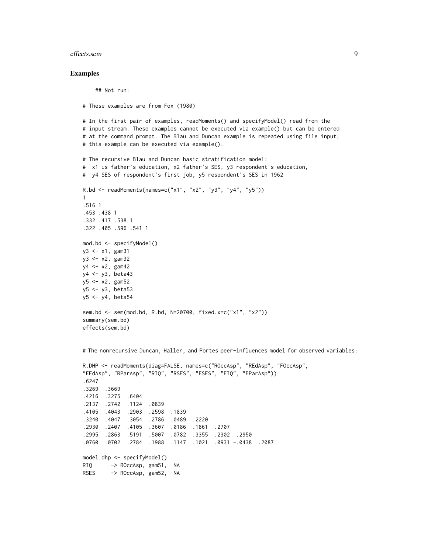#### effects.sem 9

#### Examples

## Not run:

# These examples are from Fox (1980)

```
# In the first pair of examples, readMoments() and specifyModel() read from the
# input stream. These examples cannot be executed via example() but can be entered
# at the command prompt. The Blau and Duncan example is repeated using file input;
# this example can be executed via example().
```

```
# The recursive Blau and Duncan basic stratification model:
# x1 is father's education, x2 father's SES, y3 respondent's education,
# y4 SES of respondent's first job, y5 respondent's SES in 1962
R.bd <- readMoments(names=c("x1", "x2", "y3", "y4", "y5"))
1
.516 1
.453 .438 1
.332 .417 .538 1
.322 .405 .596 .541 1
mod.bd <- specifyModel()
y3 <- x1, gam31
y3 <- x2, gam32
y4 <- x2, gam42
y4 <- y3, beta43
y5 \leq x2, gam52
y5 <- y3, beta53
y5 <- y4, beta54
sem.bd <- sem(mod.bd, R.bd, N=20700, fixed.x=c("x1", "x2"))
summary(sem.bd)
effects(sem.bd)
```
# The nonrecursive Duncan, Haller, and Portes peer-influences model for observed variables:

```
R.DHP <- readMoments(diag=FALSE, names=c("ROccAsp", "REdAsp", "FOccAsp",
"FEdAsp", "RParAsp", "RIQ", "RSES", "FSES", "FIQ", "FParAsp"))
.6247
.3269 .3669
.4216 .3275 .6404
.2137 .2742 .1124 .0839
.4105 .4043 .2903 .2598 .1839
.3240 .4047 .3054 .2786 .0489 .2220
.2930 .2407 .4105 .3607 .0186 .1861 .2707
.2995 .2863 .5191 .5007 .0782 .3355 .2302 .2950
.0760 .0702 .2784 .1988 .1147 .1021 .0931 -.0438 .2087
model.dhp <- specifyModel()
RIQ -> ROccAsp, gam51, NA
RSES -> ROccAsp, gam52, NA
```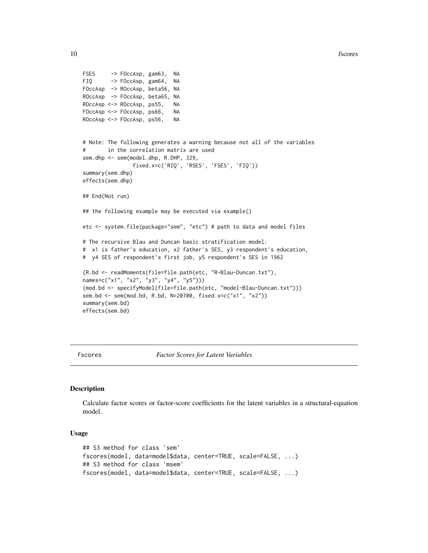```
10 fscores and the state of the state of the state of the state of the state of the state of the state of the state of the state of the state of the state of the state of the state of the state of the state of the state of
```

```
FSES -> FOccAsp, gam63, NA
FIQ -> FOccAsp, gam64, NA
FOccAsp -> ROccAsp, beta56, NA
ROccAsp -> FOccAsp, beta65, NA
ROccAsp <-> ROccAsp, ps55, NA
FOccAsp <-> FOccAsp, ps66, NA
ROccAsp <-> FOccAsp, ps56, NA
# Note: The following generates a warning because not all of the variables
# in the correlation matrix are used
sem.dhp <- sem(model.dhp, R.DHP, 329,
                fixed.x=c('RIQ', 'RSES', 'FSES', 'FIQ'))
summary(sem.dhp)
effects(sem.dhp)
## End(Not run)
## the following example may be executed via example()
etc <- system.file(package="sem", "etc") # path to data and model files
# The recursive Blau and Duncan basic stratification model:
# x1 is father's education, x2 father's SES, y3 respondent's education,
# y4 SES of respondent's first job, y5 respondent's SES in 1962
(R.bd <- readMoments(file=file.path(etc, "R-Blau-Duncan.txt"),
names=c("x1", "x2", "y3", "y4", "y5")))
(mod.bd <- specifyModel(file=file.path(etc, "model-Blau-Duncan.txt")))
sem.bd <- sem(mod.bd, R.bd, N=20700, fixed.x=c("x1", "x2"))
summary(sem.bd)
effects(sem.bd)
```
fscores *Factor Scores for Latent Variables*

#### **Description**

Calculate factor scores or factor-score coefficients for the latent variables in a structural-equation model.

### Usage

```
## S3 method for class 'sem'
fscores(model, data=model$data, center=TRUE, scale=FALSE, ...)
## S3 method for class 'msem'
fscores(model, data=model$data, center=TRUE, scale=FALSE, ...)
```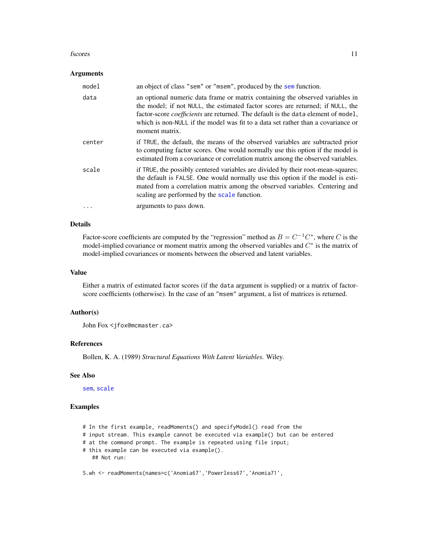#### fscores and the state of the state of the state of the state of the state of the state of the state of the state of the state of the state of the state of the state of the state of the state of the state of the state of th

#### Arguments

| model    | an object of class "sem" or "msem", produced by the sem function.                                                                                                                                                                                                                                                                                                 |
|----------|-------------------------------------------------------------------------------------------------------------------------------------------------------------------------------------------------------------------------------------------------------------------------------------------------------------------------------------------------------------------|
| data     | an optional numeric data frame or matrix containing the observed variables in<br>the model; if not NULL, the estimated factor scores are returned; if NULL, the<br>factor-score <i>coefficients</i> are returned. The default is the data element of model,<br>which is non-NULL if the model was fit to a data set rather than a covariance or<br>moment matrix. |
| center   | if TRUE, the default, the means of the observed variables are subtracted prior<br>to computing factor scores. One would normally use this option if the model is<br>estimated from a covariance or correlation matrix among the observed variables.                                                                                                               |
| scale    | if TRUE, the possibly centered variables are divided by their root-mean-squares;<br>the default is FALSE. One would normally use this option if the model is esti-<br>mated from a correlation matrix among the observed variables. Centering and<br>scaling are performed by the scale function.                                                                 |
| $\cdots$ | arguments to pass down.                                                                                                                                                                                                                                                                                                                                           |

### Details

Factor-score coefficients are computed by the "regression" method as  $B = C^{-1}C^*$ , where C is the model-implied covariance or moment matrix among the observed variables and  $C^*$  is the matrix of model-implied covariances or moments between the observed and latent variables.

### Value

Either a matrix of estimated factor scores (if the data argument is supplied) or a matrix of factorscore coefficients (otherwise). In the case of an "msem" argument, a list of matrices is returned.

#### Author(s)

John Fox <jfox@mcmaster.ca>

### References

Bollen, K. A. (1989) *Structural Equations With Latent Variables.* Wiley.

#### See Also

[sem](#page-39-1), [scale](#page-0-0)

### Examples

```
# In the first example, readMoments() and specifyModel() read from the
# input stream. This example cannot be executed via example() but can be entered
# at the command prompt. The example is repeated using file input;
# this example can be executed via example().
   ## Not run:
S.wh <- readMoments(names=c('Anomia67','Powerless67','Anomia71',
```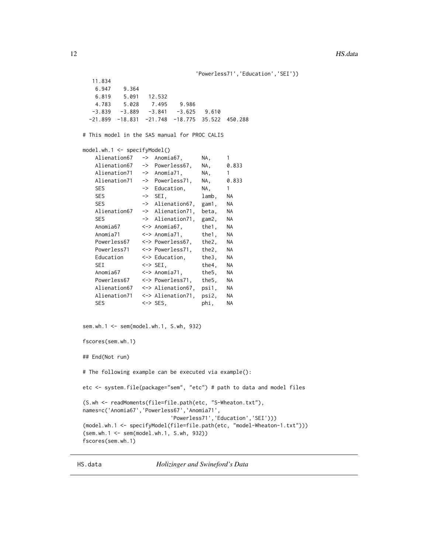```
'Powerless71','Education','SEI'))
```

```
11.834
   6.947 9.364
   6.819 5.091 12.532
   4.783 5.028 7.495 9.986
  -3.839 -3.889 -3.841 -3.625 9.610-21.899 -18.831 -21.748 -18.775 35.522 450.288
# This model in the SAS manual for PROC CALIS
model.wh.1 <- specifyModel()
   Alienation67 -> Anomia67, NA, 1
   Alienation67 -> Powerless67, NA, 0.833
   Alienation71 -> Anomia71, NA, 1
   Alienation71 -> Powerless71, NA, 0.833
   SES -> Education, NA, 1
   SES -> SEI, lamb, NA
   SES -> Alienation67, gam1, NA
   Alienation67 -> Alienation71, beta, NA
   SES -> Alienation71, gam2, NA
   Anomia67 <-> Anomia67, the1, NA
   Anomia71 <-> Anomia71, the1, NA
   Powerless67 <-> Powerless67, the2, NA
   Powerless71 <-> Powerless71, the2, NA
   Education <-> Education, the3, NA
   SEI <-> SEI, the4, NA
   Anomia67 <-> Anomia71, the5, NA
   Powerless67 <-> Powerless71, the5, NA
   Alienation67 <-> Alienation67, psi1, NA
   Alienation71 <-> Alienation71, psi2, NA
   SES <-> SES, phi, NA
sem.wh.1 <- sem(model.wh.1, S.wh, 932)
fscores(sem.wh.1)
## End(Not run)
# The following example can be executed via example():
etc <- system.file(package="sem", "etc") # path to data and model files
(S.wh <- readMoments(file=file.path(etc, "S-Wheaton.txt"),
names=c('Anomia67','Powerless67','Anomia71',
                       'Powerless71','Education','SEI')))
(model.wh.1 <- specifyModel(file=file.path(etc, "model-Wheaton-1.txt")))
(sem.wh.1 <- sem(model.wh.1, S.wh, 932))
fscores(sem.wh.1)
```
HS.data *Holizinger and Swineford's Data*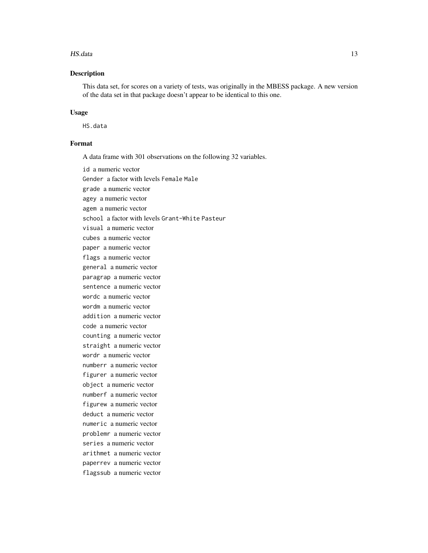#### HS.data 13

### Description

This data set, for scores on a variety of tests, was originally in the MBESS package. A new version of the data set in that package doesn't appear to be identical to this one.

#### Usage

HS.data

#### Format

A data frame with 301 observations on the following 32 variables.

id a numeric vector Gender a factor with levels Female Male grade a numeric vector agey a numeric vector agem a numeric vector school a factor with levels Grant-White Pasteur visual a numeric vector cubes a numeric vector paper a numeric vector flags a numeric vector general a numeric vector paragrap a numeric vector sentence a numeric vector wordc a numeric vector wordm a numeric vector addition a numeric vector code a numeric vector counting a numeric vector straight a numeric vector wordr a numeric vector numberr a numeric vector figurer a numeric vector object a numeric vector numberf a numeric vector figurew a numeric vector deduct a numeric vector numeric a numeric vector problemr a numeric vector series a numeric vector arithmet a numeric vector paperrev a numeric vector flagssub a numeric vector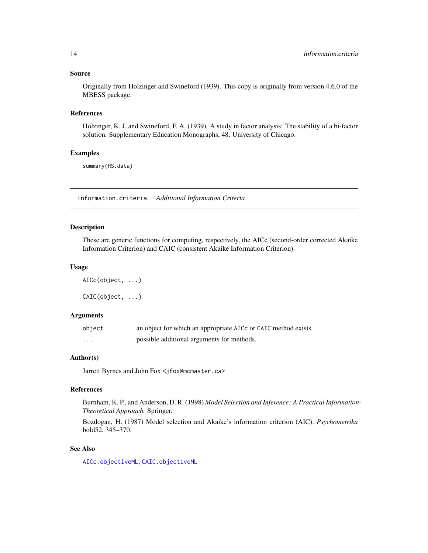#### <span id="page-13-0"></span>Source

Originally from Holzinger and Swineford (1939). This copy is originally from version 4.6.0 of the MBESS package.

#### References

Holzinger, K. J. and Swineford, F. A. (1939). A study in factor analysis: The stability of a bi-factor solution. Supplementary Education Monographs, 48. University of Chicago.

### Examples

summary(HS.data)

information.criteria *Additional Information Criteria*

### Description

These are generic functions for computing, respectively, the AICc (second-order corrected Akaike Information Criterion) and CAIC (consistent Akaike Information Criterion).

#### Usage

AICc(object, ...) CAIC(object, ...)

#### Arguments

| object   | an object for which an appropriate AICc or CAIC method exists. |
|----------|----------------------------------------------------------------|
| $\cdots$ | possible additional arguments for methods.                     |

### Author(s)

Jarrett Byrnes and John Fox <jfox@mcmaster.ca>

### References

Burnham, K. P., and Anderson, D. R. (1998) *Model Selection and Inference: A Practical Information-Theoretical Approach.* Springer.

Bozdogan, H. (1987) Model selection and Akaike's information criterion (AIC). *Psychometrika* bold52, 345–370.

### See Also

[AICc.objectiveML](#page-18-1), [CAIC.objectiveML](#page-18-1)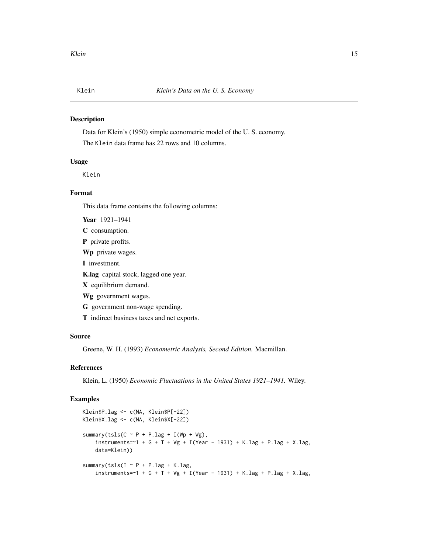#### <span id="page-14-0"></span>Description

Data for Klein's (1950) simple econometric model of the U. S. economy. The Klein data frame has 22 rows and 10 columns.

#### Usage

Klein

### Format

This data frame contains the following columns:

Year 1921–1941

- C consumption.
- P private profits.

Wp private wages.

I investment.

K.lag capital stock, lagged one year.

X equilibrium demand.

Wg government wages.

G government non-wage spending.

T indirect business taxes and net exports.

### Source

Greene, W. H. (1993) *Econometric Analysis, Second Edition.* Macmillan.

### References

Klein, L. (1950) *Economic Fluctuations in the United States 1921–1941.* Wiley.

### Examples

```
Klein$P.lag <- c(NA, Klein$P[-22])
Klein$X.lag <- c(NA, Klein$X[-22])
summary(tsls(C \sim P + P.lag + I(Wp + Wg),
    instruments=~1 + G + T + Wg + I(Year - 1931) + K.lag + P.lag + X.lag,data=Klein))
summary(tsls(I \sim P + P.lag + K.lag,
    instruments=~1 + G + T + Wg + I(Year - 1931) + K.lag + P.lag + X.lag,
```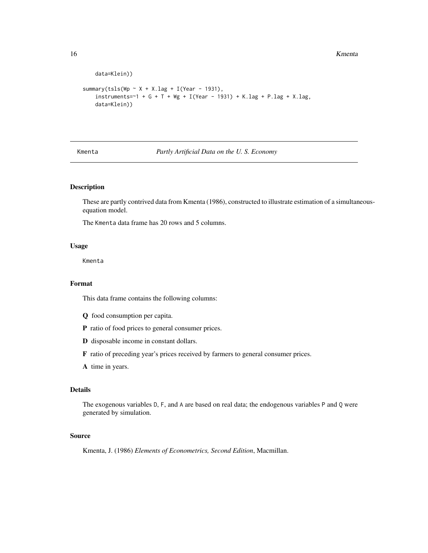```
data=Klein))
summary(tsls(Wp \sim X + X.lag + I(Year - 1931),
    instruments=~1 + G + T + Wg + I(Year - 1931) + K.lag + P.lag + X.lag,data=Klein))
```
Kmenta *Partly Artificial Data on the U. S. Economy*

### Description

These are partly contrived data from Kmenta (1986), constructed to illustrate estimation of a simultaneousequation model.

The Kmenta data frame has 20 rows and 5 columns.

### Usage

Kmenta

### Format

This data frame contains the following columns:

- Q food consumption per capita.
- P ratio of food prices to general consumer prices.
- D disposable income in constant dollars.
- F ratio of preceding year's prices received by farmers to general consumer prices.
- A time in years.

### Details

The exogenous variables D, F, and A are based on real data; the endogenous variables P and Q were generated by simulation.

#### Source

Kmenta, J. (1986) *Elements of Econometrics, Second Edition*, Macmillan.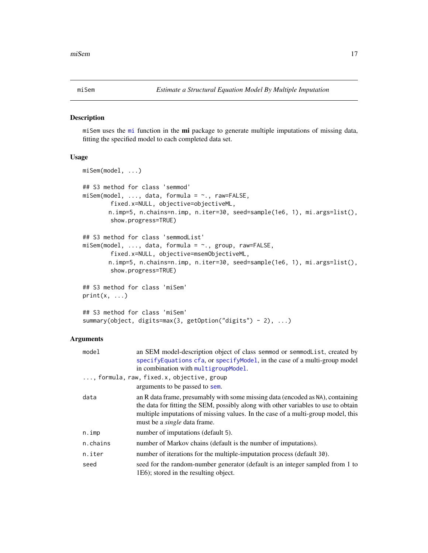<span id="page-16-0"></span>

#### Description

[mi](#page-0-0) Sem uses the mi function in the mi package to generate multiple imputations of missing data, fitting the specified model to each completed data set.

### Usage

```
miSem(model, ...)
## S3 method for class 'semmod'
misem(model, ..., data, formula = ~., raw=FALSE,
        fixed.x=NULL, objective=objectiveML,
       n.imp=5, n.chains=n.imp, n.iter=30, seed=sample(1e6, 1), mi.args=list(),
        show.progress=TRUE)
## S3 method for class 'semmodList'
misem(model, ..., data, formula = ~., group, raw=FALSE,
        fixed.x=NULL, objective=msemObjectiveML,
       n.imp=5, n.chains=n.imp, n.iter=30, seed=sample(1e6, 1), mi.args=list(),
        show.progress=TRUE)
## S3 method for class 'miSem'
print(x, \ldots)## S3 method for class 'miSem'
```
# summary(object, digits=max(3, getOption("digits") - 2), ...)

### **Arguments**

| model    | an SEM model-description object of class semmod or semmodlist, created by<br>specifyEquations cfa, or specifyModel, in the case of a multi-group model                                                                                                                                          |
|----------|-------------------------------------------------------------------------------------------------------------------------------------------------------------------------------------------------------------------------------------------------------------------------------------------------|
|          | in combination with multigroupModel.                                                                                                                                                                                                                                                            |
|          | , formula, raw, fixed.x, objective, group                                                                                                                                                                                                                                                       |
|          | arguments to be passed to sem.                                                                                                                                                                                                                                                                  |
| data     | an R data frame, presumably with some missing data (encoded as NA), containing<br>the data for fitting the SEM, possibly along with other variables to use to obtain<br>multiple imputations of missing values. In the case of a multi-group model, this<br>must be a <i>single</i> data frame. |
| n.imp    | number of imputations (default 5).                                                                                                                                                                                                                                                              |
| n.chains | number of Markov chains (default is the number of imputations).                                                                                                                                                                                                                                 |
| n.iter   | number of iterations for the multiple-imputation process (default 30).                                                                                                                                                                                                                          |
| seed     | seed for the random-number generator (default is an integer sampled from 1 to<br>1E6); stored in the resulting object.                                                                                                                                                                          |
|          |                                                                                                                                                                                                                                                                                                 |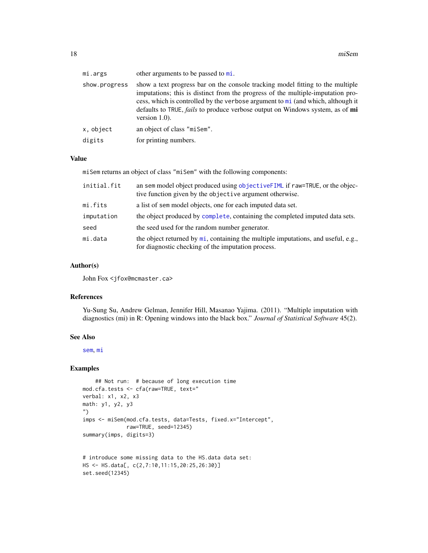| mi.args       | other arguments to be passed to mi.                                                                                                                                                                                                                                                                                                                                     |
|---------------|-------------------------------------------------------------------------------------------------------------------------------------------------------------------------------------------------------------------------------------------------------------------------------------------------------------------------------------------------------------------------|
| show.progress | show a text progress bar on the console tracking model fitting to the multiple<br>imputations; this is distinct from the progress of the multiple-imputation pro-<br>cess, which is controlled by the verbose argument to mi (and which, although it<br>defaults to TRUE, <i>fails</i> to produce verbose output on Windows system, as of <b>mi</b><br>version $1.0$ ). |
| x, object     | an object of class "misem".                                                                                                                                                                                                                                                                                                                                             |
| digits        | for printing numbers.                                                                                                                                                                                                                                                                                                                                                   |
|               |                                                                                                                                                                                                                                                                                                                                                                         |

#### Value

miSem returns an object of class "miSem" with the following components:

| initial.fit | an sem model object produced using objectiveFIML if raw=TRUE, or the objec-<br>tive function given by the objective argument otherwise. |
|-------------|-----------------------------------------------------------------------------------------------------------------------------------------|
| mi.fits     | a list of sem model objects, one for each imputed data set.                                                                             |
| imputation  | the object produced by complete, containing the completed imputed data sets.                                                            |
| seed        | the seed used for the random number generator.                                                                                          |
| mi.data     | the object returned by mi, containing the multiple imputations, and useful, e.g.,<br>for diagnostic checking of the imputation process. |

### Author(s)

John Fox <jfox@mcmaster.ca>

#### References

Yu-Sung Su, Andrew Gelman, Jennifer Hill, Masanao Yajima. (2011). "Multiple imputation with diagnostics (mi) in R: Opening windows into the black box." *Journal of Statistical Software* 45(2).

#### See Also

[sem](#page-39-1), [mi](#page-0-0)

### Examples

```
## Not run: # because of long execution time
mod.cfa.tests <- cfa(raw=TRUE, text="
verbal: x1, x2, x3
math: y1, y2, y3
")
imps <- miSem(mod.cfa.tests, data=Tests, fixed.x="Intercept",
             raw=TRUE, seed=12345)
summary(imps, digits=3)
# introduce some missing data to the HS.data data set:
```

```
HS <- HS.data[, c(2,7:10,11:15,20:25,26:30)]
set.seed(12345)
```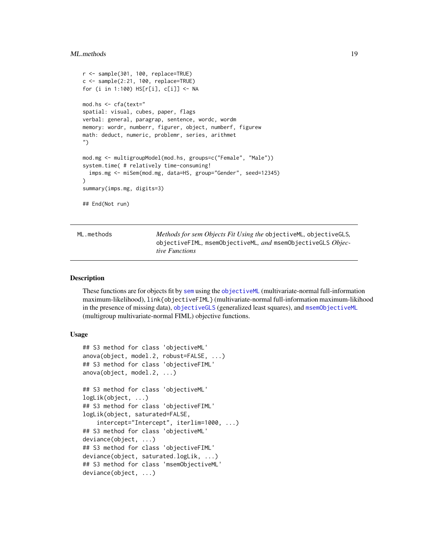#### <span id="page-18-0"></span>ML.methods and the set of the set of the set of the set of the set of the set of the set of the set of the set of the set of the set of the set of the set of the set of the set of the set of the set of the set of the set o

```
r <- sample(301, 100, replace=TRUE)
c \leq - sample(2:21, 100, replace=TRUE)
for (i in 1:100) HS[r[i], c[i]] <- NA
mod.hs <- cfa(text="
spatial: visual, cubes, paper, flags
verbal: general, paragrap, sentence, wordc, wordm
memory: wordr, numberr, figurer, object, numberf, figurew
math: deduct, numeric, problemr, series, arithmet
")
mod.mg <- multigroupModel(mod.hs, groups=c("Female", "Male"))
system.time( # relatively time-consuming!
  imps.mg <- miSem(mod.mg, data=HS, group="Gender", seed=12345)
)
summary(imps.mg, digits=3)
## End(Not run)
```
ML.methods *Methods for sem Objects Fit Using the* objectiveML*,* objectiveGLS*,* objectiveFIML*,* msemObjectiveML*, and* msemObjectiveGLS *Objective Functions*

#### <span id="page-18-1"></span>**Description**

These functions are for objects fit by [sem](#page-39-1) using the [objectiveML](#page-23-1) (multivariate-normal full-information maximum-likelihood), link{objectiveFIML} (multivariate-normal full-information maximum-likihood in the presence of missing data), [objectiveGLS](#page-23-1) (generalized least squares), and [msemObjectiveML](#page-23-1) (multigroup multivariate-normal FIML) objective functions.

#### Usage

```
## S3 method for class 'objectiveML'
anova(object, model.2, robust=FALSE, ...)
## S3 method for class 'objectiveFIML'
anova(object, model.2, ...)
## S3 method for class 'objectiveML'
logLik(object, ...)
## S3 method for class 'objectiveFIML'
logLik(object, saturated=FALSE,
    intercept="Intercept", iterlim=1000, ...)
## S3 method for class 'objectiveML'
deviance(object, ...)
## S3 method for class 'objectiveFIML'
deviance(object, saturated.logLik, ...)
## S3 method for class 'msemObjectiveML'
deviance(object, ...)
```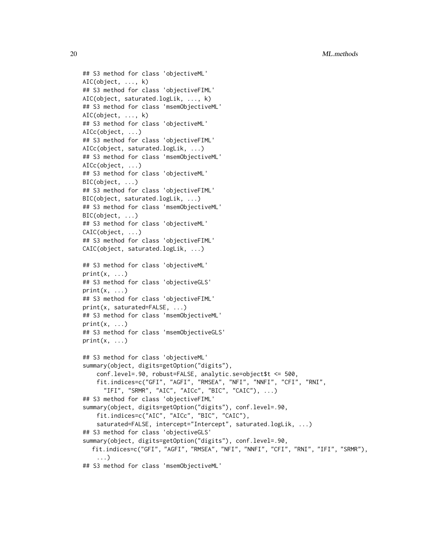20 ML.methods

```
## S3 method for class 'objectiveML'
AIC(object, ..., k)
## S3 method for class 'objectiveFIML'
AIC(object, saturated.logLik, ..., k)
## S3 method for class 'msemObjectiveML'
AIC(object, ..., k)
## S3 method for class 'objectiveML'
AICc(object, ...)
## S3 method for class 'objectiveFIML'
AICc(object, saturated.logLik, ...)
## S3 method for class 'msemObjectiveML'
AICc(object, ...)
## S3 method for class 'objectiveML'
BIC(object, ...)
## S3 method for class 'objectiveFIML'
BIC(object, saturated.logLik, ...)
## S3 method for class 'msemObjectiveML'
BIC(object, ...)
## S3 method for class 'objectiveML'
CAIC(object, ...)
## S3 method for class 'objectiveFIML'
CAIC(object, saturated.logLik, ...)
## S3 method for class 'objectiveML'
print(x, \ldots)## S3 method for class 'objectiveGLS'
print(x, \ldots)## S3 method for class 'objectiveFIML'
print(x, saturated=FALSE, ...)
## S3 method for class 'msemObjectiveML'
print(x, \ldots)## S3 method for class 'msemObjectiveGLS'
print(x, \ldots)## S3 method for class 'objectiveML'
summary(object, digits=getOption("digits"),
    conf.level=.90, robust=FALSE, analytic.se=object$t <= 500,
    fit.indices=c("GFI", "AGFI", "RMSEA", "NFI", "NNFI", "CFI", "RNI",
      "IFI", "SRMR", "AIC", "AICc", "BIC", "CAIC"), ...)
## S3 method for class 'objectiveFIML'
summary(object, digits=getOption("digits"), conf.level=.90,
    fit.indices=c("AIC", "AICc", "BIC", "CAIC"),
    saturated=FALSE, intercept="Intercept", saturated.logLik, ...)
## S3 method for class 'objectiveGLS'
summary(object, digits=getOption("digits"), conf.level=.90,
  fit.indices=c("GFI", "AGFI", "RMSEA", "NFI", "NNFI", "CFI", "RNI", "IFI", "SRMR"),
    ...)
## S3 method for class 'msemObjectiveML'
```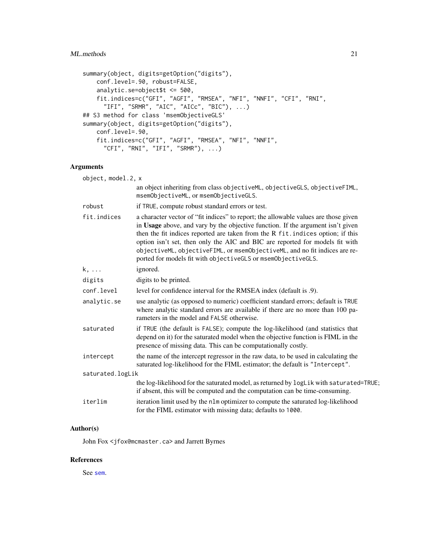### ML.methods 21

```
summary(object, digits=getOption("digits"),
   conf.level=.90, robust=FALSE,
   analytic.se=object$t <= 500,
   fit.indices=c("GFI", "AGFI", "RMSEA", "NFI", "NNFI", "CFI", "RNI",
     "IFI", "SRMR", "AIC", "AICc", "BIC"), ...)
## S3 method for class 'msemObjectiveGLS'
summary(object, digits=getOption("digits"),
   conf.level=.90,
   fit.indices=c("GFI", "AGFI", "RMSEA", "NFI", "NNFI",
     "CFI", "RNI", "IFI", "SRMR"), \ldots)
```
### Arguments

| object, model.2, x |                                                                                                                                                                                                                                                                                                                                                                                                                                                                                         |  |
|--------------------|-----------------------------------------------------------------------------------------------------------------------------------------------------------------------------------------------------------------------------------------------------------------------------------------------------------------------------------------------------------------------------------------------------------------------------------------------------------------------------------------|--|
|                    | an object inheriting from class objectiveML, objectiveGLS, objectiveFIML,<br>msemObjectiveML, or msemObjectiveGLS.                                                                                                                                                                                                                                                                                                                                                                      |  |
| robust             | if TRUE, compute robust standard errors or test.                                                                                                                                                                                                                                                                                                                                                                                                                                        |  |
| fit.indices        | a character vector of "fit indices" to report; the allowable values are those given<br>in Usage above, and vary by the objective function. If the argument isn't given<br>then the fit indices reported are taken from the R fit. indices option; if this<br>option isn't set, then only the AIC and BIC are reported for models fit with<br>objectiveML, objectiveFIML, or msemObjectiveML, and no fit indices are re-<br>ported for models fit with objectiveGLS or msemObjectiveGLS. |  |
| k,                 | ignored.                                                                                                                                                                                                                                                                                                                                                                                                                                                                                |  |
| digits             | digits to be printed.                                                                                                                                                                                                                                                                                                                                                                                                                                                                   |  |
| conf.level         | level for confidence interval for the RMSEA index (default is .9).                                                                                                                                                                                                                                                                                                                                                                                                                      |  |
| analytic.se        | use analytic (as opposed to numeric) coefficient standard errors; default is TRUE<br>where analytic standard errors are available if there are no more than 100 pa-<br>rameters in the model and FALSE otherwise.                                                                                                                                                                                                                                                                       |  |
| saturated          | if TRUE (the default is FALSE); compute the log-likelihood (and statistics that<br>depend on it) for the saturated model when the objective function is FIML in the<br>presence of missing data. This can be computationally costly.                                                                                                                                                                                                                                                    |  |
| intercept          | the name of the intercept regressor in the raw data, to be used in calculating the<br>saturated log-likelihood for the FIML estimator; the default is "Intercept".                                                                                                                                                                                                                                                                                                                      |  |
| saturated.logLik   |                                                                                                                                                                                                                                                                                                                                                                                                                                                                                         |  |
|                    | the log-likelihood for the saturated model, as returned by logLik with saturated=TRUE;<br>if absent, this will be computed and the computation can be time-consuming.                                                                                                                                                                                                                                                                                                                   |  |
| iterlim            | iteration limit used by the nlm optimizer to compute the saturated log-likelihood<br>for the FIML estimator with missing data; defaults to 1000.                                                                                                                                                                                                                                                                                                                                        |  |

### Author(s)

John Fox <jfox@mcmaster.ca> and Jarrett Byrnes

### References

See [sem](#page-39-1).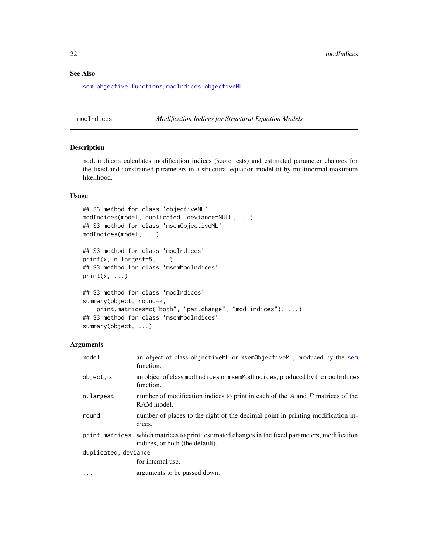22 modIndices and the contract of the contract of the contract of the contract of the contract of the contract of the contract of the contract of the contract of the contract of the contract of the contract of the contract

### See Also

[sem](#page-39-1), [objective.functions](#page-23-2), [modIndices.objectiveML](#page-21-1)

modIndices *Modification Indices for Structural Equation Models*

#### <span id="page-21-1"></span>Description

mod.indices calculates modification indices (score tests) and estimated parameter changes for the fixed and constrained parameters in a structural equation model fit by multinormal maximum likelihood.

### Usage

```
## S3 method for class 'objectiveML'
modIndices(model, duplicated, deviance=NULL, ...)
## S3 method for class 'msemObjectiveML'
modIndices(model, ...)
## S3 method for class 'modIndices'
print(x, n.length = 5, ...)## S3 method for class 'msemModIndices'
print(x, \ldots)## S3 method for class 'modIndices'
summary(object, round=2,
    print.matrices=c("both", "par.change", "mod.indices"), ...)
## S3 method for class 'msemModIndices'
summary(object, ...)
```
#### Arguments

| model                | an object of class objective ML or msem Objective ML, produced by the sem<br>function.                                              |  |
|----------------------|-------------------------------------------------------------------------------------------------------------------------------------|--|
| object, x            | an object of class modIndices or msemModIndices, produced by the modIndices<br>function.                                            |  |
| n.largest            | number of modification indices to print in each of the $A$ and $P$ matrices of the<br>RAM model.                                    |  |
| round                | number of places to the right of the decimal point in printing modification in-<br>dices.                                           |  |
|                      | print. matrices which matrices to print: estimated changes in the fixed parameters, modification<br>indices, or both (the default). |  |
| duplicated, deviance |                                                                                                                                     |  |
|                      | for internal use.                                                                                                                   |  |
| $\cdots$             | arguments to be passed down.                                                                                                        |  |

<span id="page-21-0"></span>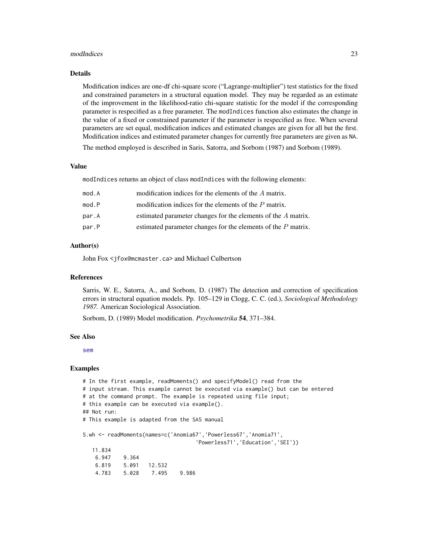#### modIndices 23

#### Details

Modification indices are one-df chi-square score ("Lagrange-multiplier") test statistics for the fixed and constrained parameters in a structural equation model. They may be regarded as an estimate of the improvement in the likelihood-ratio chi-square statistic for the model if the corresponding parameter is respecified as a free parameter. The modIndices function also estimates the change in the value of a fixed or constrained parameter if the parameter is respecified as free. When several parameters are set equal, modification indices and estimated changes are given for all but the first. Modification indices and estimated parameter changes for currently free parameters are given as NA.

The method employed is described in Saris, Satorra, and Sorbom (1987) and Sorbom (1989).

### Value

modIndices returns an object of class modIndices with the following elements:

| mod.A | modification indices for the elements of the A matrix.          |
|-------|-----------------------------------------------------------------|
| mod.P | modification indices for the elements of the $P$ matrix.        |
| par.A | estimated parameter changes for the elements of the A matrix.   |
| par.P | estimated parameter changes for the elements of the $P$ matrix. |
|       |                                                                 |

### Author(s)

John Fox <jfox@mcmaster.ca> and Michael Culbertson

#### References

Sarris, W. E., Satorra, A., and Sorbom, D. (1987) The detection and correction of specification errors in structural equation models. Pp. 105–129 in Clogg, C. C. (ed.), *Sociological Methodology 1987.* American Sociological Association.

Sorbom, D. (1989) Model modification. *Psychometrika* 54, 371–384.

#### See Also

[sem](#page-39-1)

#### Examples

```
# In the first example, readMoments() and specifyModel() read from the
# input stream. This example cannot be executed via example() but can be entered
# at the command prompt. The example is repeated using file input;
# this example can be executed via example().
## Not run:
# This example is adapted from the SAS manual
S.wh <- readMoments(names=c('Anomia67','Powerless67','Anomia71',
                                   'Powerless71','Education','SEI'))
  11.834
   6.947 9.364
   6.819 5.091 12.532
   4.783 5.028 7.495 9.986
```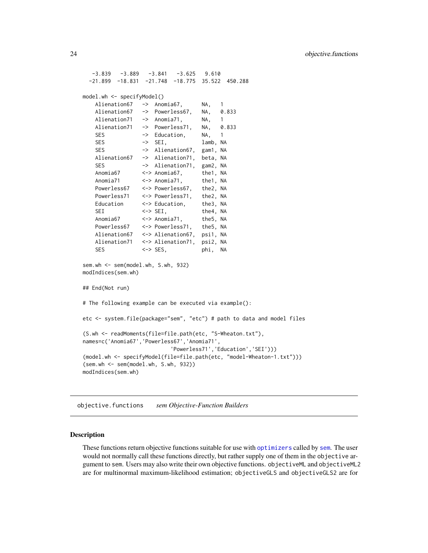<span id="page-23-0"></span> $-3.839$   $-3.889$   $-3.841$   $-3.625$   $9.610$ -21.899 -18.831 -21.748 -18.775 35.522 450.288 model.wh <- specifyModel() Alienation67 -> Anomia67, NA, 1 Alienation67 -> Powerless67, NA, 0.833 Alienation71 -> Anomia71, NA, 1 Alienation71 -> Powerless71, NA, 0.833 SES -> Education, NA, 1 SES -> SEI, lamb, NA SES -> Alienation67, gam1, NA Alienation67 -> Alienation71, beta, NA SES -> Alienation71, gam2, NA Anomia67 <-> Anomia67, the1, NA Anomia71 <-> Anomia71, the1, NA Powerless67 <-> Powerless67, the2, NA Powerless71 <-> Powerless71, the2, NA Education <-> Education, the3, NA SEI <-> SEI, the4, NA Anomia67 <-> Anomia71, the5, NA Powerless67 <-> Powerless71, the5, NA Alienation67 <-> Alienation67, psi1, NA Alienation71 <-> Alienation71, psi2, NA SES <-> SES, phi, NA sem.wh <- sem(model.wh, S.wh, 932) modIndices(sem.wh) ## End(Not run) # The following example can be executed via example(): etc <- system.file(package="sem", "etc") # path to data and model files (S.wh <- readMoments(file=file.path(etc, "S-Wheaton.txt"), names=c('Anomia67','Powerless67','Anomia71', 'Powerless71','Education','SEI'))) (model.wh <- specifyModel(file=file.path(etc, "model-Wheaton-1.txt"))) (sem.wh <- sem(model.wh, S.wh, 932)) modIndices(sem.wh)

<span id="page-23-2"></span>objective.functions *sem Objective-Function Builders*

#### <span id="page-23-1"></span>Description

These functions return objective functions suitable for use with [optimizers](#page-25-1) called by [sem](#page-39-1). The user would not normally call these functions directly, but rather supply one of them in the objective argument to sem. Users may also write their own objective functions. objectiveML and objectiveML2 are for multinormal maximum-likelihood estimation; objectiveGLS and objectiveGLS2 are for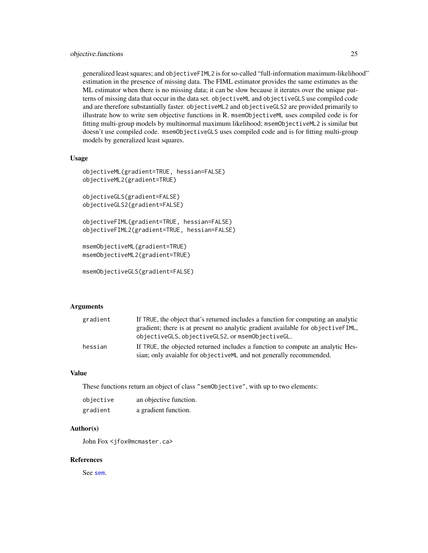### objective.functions 25

generalized least squares; and objectiveFIML2 is for so-called "full-information maximum-likelihood" estimation in the presence of missing data. The FIML estimator provides the same estimates as the ML estimator when there is no missing data; it can be slow because it iterates over the unique patterns of missing data that occur in the data set. objectiveML and objectiveGLS use compiled code and are therefore substantially faster. objectiveML2 and objectiveGLS2 are provided primarily to illustrate how to write sem objective functions in R. msemObjectiveML uses compiled code is for fitting multi-group models by multinormal maximum likelihood; msemObjectiveML2 is similar but doesn't use compiled code. msemObjectiveGLS uses compiled code and is for fitting multi-group models by generalized least squares.

#### Usage

```
objectiveML(gradient=TRUE, hessian=FALSE)
objectiveML2(gradient=TRUE)
objectiveGLS(gradient=FALSE)
objectiveGLS2(gradient=FALSE)
objectiveFIML(gradient=TRUE, hessian=FALSE)
objectiveFIML2(gradient=TRUE, hessian=FALSE)
msemObjectiveML(gradient=TRUE)
msemObjectiveML2(gradient=TRUE)
```

```
msemObjectiveGLS(gradient=FALSE)
```
### Arguments

| gradient | If TRUE, the object that's returned includes a function for computing an analytic |
|----------|-----------------------------------------------------------------------------------|
|          | gradient; there is at present no analytic gradient available for objective FIML,  |
|          | objective GLS, objective GLS2, or msem Objective GL.                              |
| hessian  | If TRUE, the objected returned includes a function to compute an analytic Hes-    |
|          | sian; only avaiable for objective ML and not generally recommended.               |

### Value

These functions return an object of class "semObjective", with up to two elements:

| objective | an objective function. |
|-----------|------------------------|
| gradient  | a gradient function.   |

#### Author(s)

John Fox <jfox@mcmaster.ca>

#### References

See [sem](#page-39-1).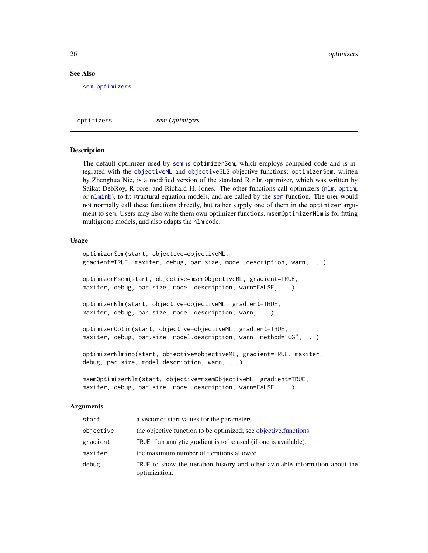#### See Also

[sem](#page-39-1), [optimizers](#page-25-1)

<span id="page-25-1"></span>optimizers *sem Optimizers*

#### **Description**

The default optimizer used by [sem](#page-39-1) is optimizerSem, which employs compiled code and is integrated with the [objectiveML](#page-23-1) and [objectiveGLS](#page-23-1) objective functions; optimizerSem, written by Zhenghua Nie, is a modified version of the standard R nlm optimizer, which was written by Saikat DebRoy, R-core, and Richard H. Jones. The other functions call optimizers ([nlm](#page-0-0), [optim](#page-0-0), or [nlminb](#page-0-0)), to fit structural equation models, and are called by the [sem](#page-39-1) function. The user would not normally call these functions directly, but rather supply one of them in the optimizer argument to sem. Users may also write them own optimizer functions. msemOptimizerNlm is for fitting multigroup models, and also adapts the nlm code.

#### Usage

```
optimizerSem(start, objective=objectiveML,
gradient=TRUE, maxiter, debug, par.size, model.description, warn, ...)
optimizerMsem(start, objective=msemObjectiveML, gradient=TRUE,
maxiter, debug, par.size, model.description, warn=FALSE, ...)
optimizerNlm(start, objective=objectiveML, gradient=TRUE,
maxiter, debug, par.size, model.description, warn, ...)
optimizerOptim(start, objective=objectiveML, gradient=TRUE,
maxiter, debug, par.size, model.description, warn, method="CG", ...)
optimizerNlminb(start, objective=objectiveML, gradient=TRUE, maxiter,
debug, par.size, model.description, warn, ...)
```

```
msemOptimizerNlm(start, objective=msemObjectiveML, gradient=TRUE,
maxiter, debug, par.size, model.description, warn=FALSE, ...)
```
#### Arguments

| start     | a vector of start values for the parameters.                                                  |
|-----------|-----------------------------------------------------------------------------------------------|
| objective | the objective function to be optimized; see objective functions.                              |
| gradient  | TRUE if an analytic gradient is to be used (if one is available).                             |
| maxiter   | the maximum number of iterations allowed.                                                     |
| debug     | TRUE to show the iteration history and other available information about the<br>optimization. |

<span id="page-25-0"></span>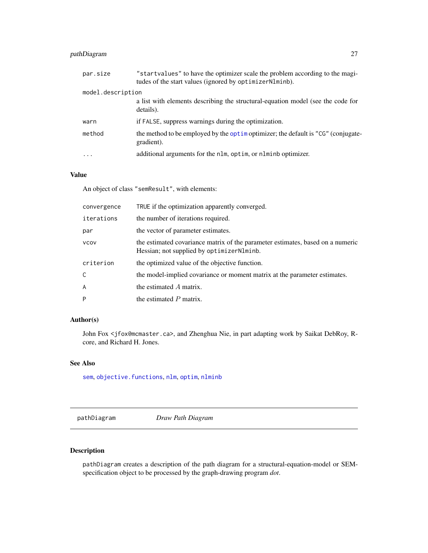### <span id="page-26-0"></span>pathDiagram 27

| par.size          | "startvalues" to have the optimizer scale the problem according to the magi-<br>tudes of the start values (ignored by optimizerNlminb). |
|-------------------|-----------------------------------------------------------------------------------------------------------------------------------------|
| model.description |                                                                                                                                         |
|                   | a list with elements describing the structural-equation model (see the code for<br>details).                                            |
| warn              | if FALSE, suppress warnings during the optimization.                                                                                    |
| method            | the method to be employed by the optimizer; the default is "CG" (conjugate-<br>gradient).                                               |
| $\ddotsc$         | additional arguments for the nlm, optim, or nlminb optimizer.                                                                           |
|                   |                                                                                                                                         |

### Value

An object of class "semResult", with elements:

| convergence | TRUE if the optimization apparently converged.                                                                              |
|-------------|-----------------------------------------------------------------------------------------------------------------------------|
| iterations  | the number of iterations required.                                                                                          |
| par         | the vector of parameter estimates.                                                                                          |
| <b>VCOV</b> | the estimated covariance matrix of the parameter estimates, based on a numeric<br>Hessian; not supplied by optimizerNlminb. |
| criterion   | the optimized value of the objective function.                                                                              |
| C           | the model-implied covariance or moment matrix at the parameter estimates.                                                   |
| A           | the estimated $A$ matrix.                                                                                                   |
| P           | the estimated $P$ matrix.                                                                                                   |

### Author(s)

John Fox <jfox@mcmaster.ca>, and Zhenghua Nie, in part adapting work by Saikat DebRoy, Rcore, and Richard H. Jones.

### See Also

[sem](#page-39-1), [objective.functions](#page-23-2), [nlm](#page-0-0), [optim](#page-0-0), [nlminb](#page-0-0)

pathDiagram *Draw Path Diagram*

### Description

pathDiagram creates a description of the path diagram for a structural-equation-model or SEMspecification object to be processed by the graph-drawing program *dot*.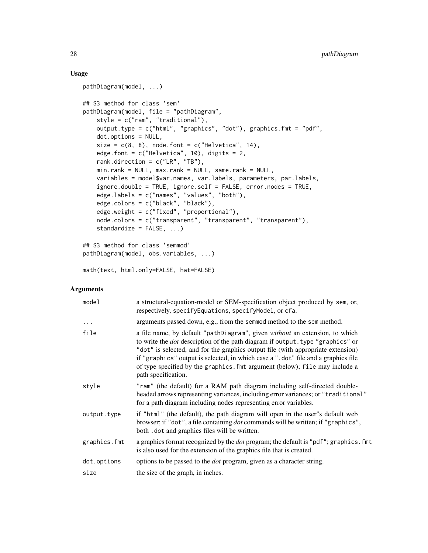### Usage

```
pathDiagram(model, ...)
## S3 method for class 'sem'
pathDiagram(model, file = "pathDiagram",
    style = c("ram", "traditional"),
    output.type = c("html", "graphics", "dot"), graphics.fmt = "pdf",
   dot.options = NULL,
    size = c(8, 8), node.font = c("Helvetica", 14),
    edge.font = c("Helvetica", 10), digits = 2,rank.direction = c("LR", "TB"),
   min.rank = NULL, max.rank = NULL, same.rank = NULL,
    variables = model$var.names, var.labels, parameters, par.labels,
    ignore.double = TRUE, ignore.self = FALSE, error.nodes = TRUE,
    edge.labels = c("names", "values", "both"),
    edge.colors = c("black", "black"),
    edge.weight = c("fixed", "proportional"),
    node.colors = c("transparent", "transparent", "transparent"),
    standardize = FALSE, ...)
## S3 method for class 'semmod'
pathDiagram(model, obs.variables, ...)
```

```
math(text, html.only=FALSE, hat=FALSE)
```
### Arguments

| model        | a structural-equation-model or SEM-specification object produced by sem, or,<br>respectively, specifyEquations, specifyModel, or cfa.                                                                                                                                                                                                                                                                                                               |
|--------------|-----------------------------------------------------------------------------------------------------------------------------------------------------------------------------------------------------------------------------------------------------------------------------------------------------------------------------------------------------------------------------------------------------------------------------------------------------|
| $\ddots$ .   | arguments passed down, e.g., from the semmod method to the sem method.                                                                                                                                                                                                                                                                                                                                                                              |
| file         | a file name, by default "pathDiagram", given without an extension, to which<br>to write the <i>dot</i> description of the path diagram if output. type "graphics" or<br>"dot" is selected, and for the graphics output file (with appropriate extension)<br>if "graphics" output is selected, in which case a ".dot" file and a graphics file<br>of type specified by the graphics. fmt argument (below); file may include a<br>path specification. |
| style        | "ram" (the default) for a RAM path diagram including self-directed double-<br>headed arrows representing variances, including error variances; or "traditional"<br>for a path diagram including nodes representing error variables.                                                                                                                                                                                                                 |
| output.type  | if "html" (the default), the path diagram will open in the user"s default web<br>browser; if "dot", a file containing <i>dot</i> commands will be written; if "graphics",<br>both . dot and graphics files will be written.                                                                                                                                                                                                                         |
| graphics.fmt | a graphics format recognized by the <i>dot</i> program; the default is "pdf"; graphics. fmt<br>is also used for the extension of the graphics file that is created.                                                                                                                                                                                                                                                                                 |
| dot.options  | options to be passed to the <i>dot</i> program, given as a character string.                                                                                                                                                                                                                                                                                                                                                                        |
| size         | the size of the graph, in inches.                                                                                                                                                                                                                                                                                                                                                                                                                   |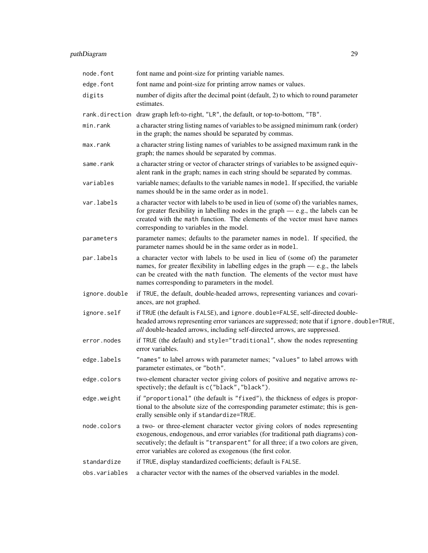## pathDiagram 29

| node.font      | font name and point-size for printing variable names.                                                                                                                                                                                                                                                               |
|----------------|---------------------------------------------------------------------------------------------------------------------------------------------------------------------------------------------------------------------------------------------------------------------------------------------------------------------|
| edge.font      | font name and point-size for printing arrow names or values.                                                                                                                                                                                                                                                        |
| digits         | number of digits after the decimal point (default, 2) to which to round parameter<br>estimates.                                                                                                                                                                                                                     |
| rank.direction | draw graph left-to-right, "LR", the default, or top-to-bottom, "TB".                                                                                                                                                                                                                                                |
| min.rank       | a character string listing names of variables to be assigned minimum rank (order)<br>in the graph; the names should be separated by commas.                                                                                                                                                                         |
| max.rank       | a character string listing names of variables to be assigned maximum rank in the<br>graph; the names should be separated by commas.                                                                                                                                                                                 |
| same.rank      | a character string or vector of character strings of variables to be assigned equiv-<br>alent rank in the graph; names in each string should be separated by commas.                                                                                                                                                |
| variables      | variable names; defaults to the variable names in model. If specified, the variable<br>names should be in the same order as in model.                                                                                                                                                                               |
| var.labels     | a character vector with labels to be used in lieu of (some of) the variables names,<br>for greater flexibility in labelling nodes in the graph $-$ e.g., the labels can be<br>created with the math function. The elements of the vector must have names<br>corresponding to variables in the model.                |
| parameters     | parameter names; defaults to the parameter names in model. If specified, the<br>parameter names should be in the same order as in model.                                                                                                                                                                            |
| par.labels     | a character vector with labels to be used in lieu of (some of) the parameter<br>names, for greater flexibility in labelling edges in the graph $-e.g.,$ the labels<br>can be created with the math function. The elements of the vector must have<br>names corresponding to parameters in the model.                |
| ignore.double  | if TRUE, the default, double-headed arrows, representing variances and covari-<br>ances, are not graphed.                                                                                                                                                                                                           |
| ignore.self    | if TRUE (the default is FALSE), and ignore. double=FALSE, self-directed double-<br>headed arrows representing error variances are suppressed; note that if ignore . double=TRUE,<br>all double-headed arrows, including self-directed arrows, are suppressed.                                                       |
| error.nodes    | if TRUE (the default) and style="traditional", show the nodes representing<br>error variables.                                                                                                                                                                                                                      |
| edge.labels    | "names" to label arrows with parameter names; "values" to label arrows with<br>parameter estimates, or "both".                                                                                                                                                                                                      |
| edge.colors    | two-element character vector giving colors of positive and negative arrows re-<br>spectively; the default is c("black", "black").                                                                                                                                                                                   |
| edge.weight    | if "proportional" (the default is "fixed"), the thickness of edges is propor-<br>tional to the absolute size of the corresponding parameter estimate; this is gen-<br>erally sensible only if standardize=TRUE.                                                                                                     |
| node.colors    | a two- or three-element character vector giving colors of nodes representing<br>exogenous, endogenous, and error variables (for traditional path diagrams) con-<br>secutively; the default is "transparent" for all three; if a two colors are given,<br>error variables are colored as exogenous (the first color. |
| standardize    | if TRUE, display standardized coefficients; default is FALSE.                                                                                                                                                                                                                                                       |
| obs.variables  | a character vector with the names of the observed variables in the model.                                                                                                                                                                                                                                           |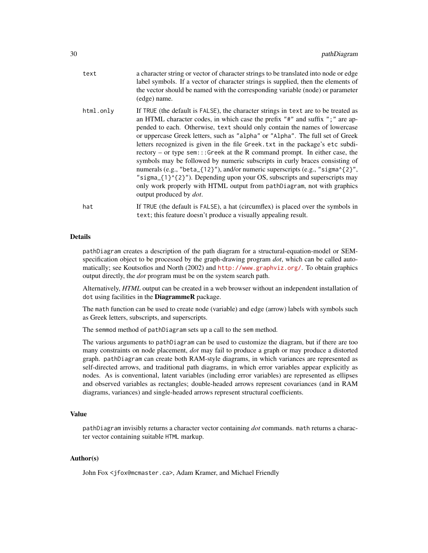| text      | a character string or vector of character strings to be translated into node or edge<br>label symbols. If a vector of character strings is supplied, then the elements of<br>the vector should be named with the corresponding variable (node) or parameter<br>(edge) name.                                                                                                                                                                                                                                                                                                                                                                                                                                                                                                                                                                                               |
|-----------|---------------------------------------------------------------------------------------------------------------------------------------------------------------------------------------------------------------------------------------------------------------------------------------------------------------------------------------------------------------------------------------------------------------------------------------------------------------------------------------------------------------------------------------------------------------------------------------------------------------------------------------------------------------------------------------------------------------------------------------------------------------------------------------------------------------------------------------------------------------------------|
| html.only | If TRUE (the default is FALSE), the character strings in text are to be treated as<br>an HTML character codes, in which case the prefix "#" and suffix "; " are ap-<br>pended to each. Otherwise, text should only contain the names of lowercase<br>or uppercase Greek letters, such as "alpha" or "Alpha". The full set of Greek<br>letters recognized is given in the file Greek. txt in the package's etc subdi-<br>$rectory - or type sem:::Greek at the R command prompt. In either case, the$<br>symbols may be followed by numeric subscripts in curly braces consisting of<br>numerals (e.g., "beta_{12}"), and/or numeric superscripts (e.g., "sigma^{2}",<br>"sigma_ $\{1\}$ $\{2\}$ "). Depending upon your OS, subscripts and superscripts may<br>only work properly with HTML output from pathDiagram, not with graphics<br>output produced by <i>dot</i> . |
| hat       | If TRUE (the default is FALSE), a hat (circumflex) is placed over the symbols in<br>text; this feature doesn't produce a visually appealing result.                                                                                                                                                                                                                                                                                                                                                                                                                                                                                                                                                                                                                                                                                                                       |

### Details

pathDiagram creates a description of the path diagram for a structural-equation-model or SEMspecification object to be processed by the graph-drawing program *dot*, which can be called automatically; see Koutsofios and North (2002) and <http://www.graphviz.org/>. To obtain graphics output directly, the *dot* program must be on the system search path.

Alternatively, *HTML* output can be created in a web browser without an independent installation of dot using facilities in the DiagrammeR package.

The math function can be used to create node (variable) and edge (arrow) labels with symbols such as Greek letters, subscripts, and superscripts.

The semmod method of pathDiagram sets up a call to the sem method.

The various arguments to pathDiagram can be used to customize the diagram, but if there are too many constraints on node placement, *dot* may fail to produce a graph or may produce a distorted graph. pathDiagram can create both RAM-style diagrams, in which variances are represented as self-directed arrows, and traditional path diagrams, in which error variables appear explicitly as nodes. As is conventional, latent variables (including error variables) are represented as ellipses and observed variables as rectangles; double-headed arrows represent covariances (and in RAM diagrams, variances) and single-headed arrows represent structural coefficients.

### Value

pathDiagram invisibly returns a character vector containing *dot* commands. math returns a character vector containing suitable HTML markup.

### Author(s)

John Fox <jfox@mcmaster.ca>, Adam Kramer, and Michael Friendly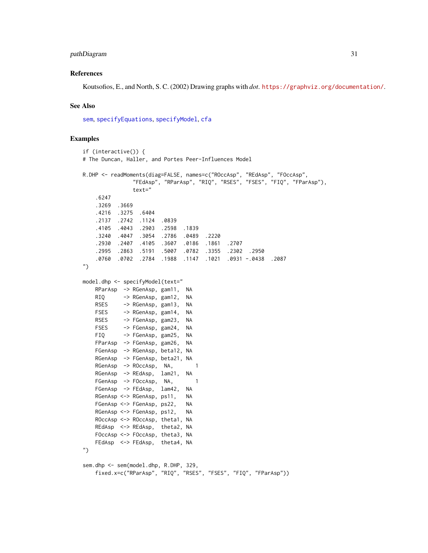### pathDiagram 31

#### References

Koutsofios, E., and North, S. C. (2002) Drawing graphs with *dot*. <https://graphviz.org/documentation/>.

#### See Also

[sem](#page-39-1), [specifyEquations](#page-62-1), [specifyModel](#page-62-2), [cfa](#page-62-1)

### Examples

```
if (interactive()) {
# The Duncan, Haller, and Portes Peer-Influences Model
R.DHP <- readMoments(diag=FALSE, names=c("ROccAsp", "REdAsp", "FOccAsp",
              "FEdAsp", "RParAsp", "RIQ", "RSES", "FSES", "FIQ", "FParAsp"),
               text="
   .6247
   .3269 .3669
   .4216 .3275 .6404
   .2137 .2742 .1124 .0839
   .4105 .4043 .2903 .2598 .1839
   .3240 .4047 .3054 .2786 .0489 .2220
   .2930 .2407 .4105 .3607 .0186 .1861 .2707
   .2995 .2863 .5191 .5007 .0782 .3355 .2302 .2950
   .0760 .0702 .2784 .1988 .1147 .1021 .0931 -.0438 .2087
")
model.dhp <- specifyModel(text="
   RParAsp -> RGenAsp, gam11, NA
   RIQ -> RGenAsp, gam12, NA
   RSES -> RGenAsp, gam13, NA
   FSES -> RGenAsp, gam14, NA
   RSES -> FGenAsp, gam23, NA
   FSES -> FGenAsp, gam24, NA
   FIQ -> FGenAsp, gam25, NA
   FParAsp -> FGenAsp, gam26, NA
   FGenAsp -> RGenAsp, beta12, NA
   RGenAsp -> FGenAsp, beta21, NA
   RGenAsp -> ROccAsp, NA, 1
   RGenAsp -> REdAsp, lam21, NA
   FGenAsp -> FOccAsp, NA, 1
   FGenAsp -> FEdAsp, lam42, NA
   RGenAsp <-> RGenAsp, ps11, NA
   FGenAsp <-> FGenAsp, ps22, NA
   RGenAsp <-> FGenAsp, ps12, NA
   ROccAsp <-> ROccAsp, theta1, NA
   REdAsp <-> REdAsp, theta2, NA
   FOccAsp <-> FOccAsp, theta3, NA
   FEdAsp <-> FEdAsp, theta4, NA
")
sem.dhp <- sem(model.dhp, R.DHP, 329,
   fixed.x=c("RParAsp", "RIQ", "RSES", "FSES", "FIQ", "FParAsp"))
```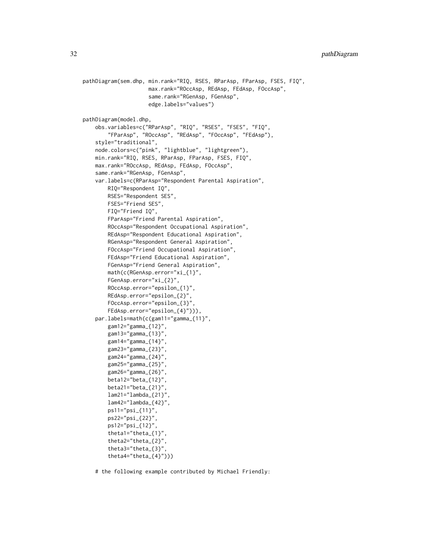```
pathDiagram(sem.dhp, min.rank="RIQ, RSES, RParAsp, FParAsp, FSES, FIQ",
                     max.rank="ROccAsp, REdAsp, FEdAsp, FOccAsp",
                     same.rank="RGenAsp, FGenAsp",
                     edge.labels="values")
pathDiagram(model.dhp,
    obs.variables=c("RParAsp", "RIQ", "RSES", "FSES", "FIQ",
        "FParAsp", "ROccAsp", "REdAsp", "FOccAsp", "FEdAsp"),
    style="traditional",
    node.colors=c("pink", "lightblue", "lightgreen"),
    min.rank="RIQ, RSES, RParAsp, FParAsp, FSES, FIQ",
    max.rank="ROccAsp, REdAsp, FEdAsp, FOccAsp",
    same.rank="RGenAsp, FGenAsp",
    var.labels=c(RParAsp="Respondent Parental Aspiration",
        RIQ="Respondent IQ",
        RSES="Respondent SES",
        FSES="Friend SES",
        FIQ="Friend IQ",
        FParAsp="Friend Parental Aspiration",
        ROccAsp="Respondent Occupational Aspiration",
        REdAsp="Respondent Educational Aspiration",
        RGenAsp="Respondent General Aspiration",
        FOccAsp="Friend Occupational Aspiration",
        FEdAsp="Friend Educational Aspiration",
        FGenAsp="Friend General Aspiration",
        math(c(RGenAsp.error="xi_{1}",
        FGenAsp.error="xi_{2}",
        ROccAsp.error="epsilon_{1}",
        REdAsp.error="epsilon_{2}",
        FOccAsp.error="epsilon_{3}",
        FEdAsp.error="epsilon_{4}"))),
    par.labels=math(c(gam11="gamma_{11}",
        gam12="gamma_{12}",
        gam13="gamma_{13}",
        gam14="gamma_{14}",
        gam23="gamma_{23}"
        gam24="gamma_{24}",
        gam25="gamma_{25}",
        gam26="gamma_{26}",
        beta12="beta_{12}",
        beta21="beta_{21}",
        lam21="lambda_{21}",
        lam42="lambda_{42}",
        ps11="psi_{11}",
        ps22="psi_{22}",
        ps12="psi_{12}",
        theta1="theta_{1}",
        theta2="theta_{2}",
        theta3="theta_{3}",
        theta4="theta_{(4)}")))
```
# the following example contributed by Michael Friendly: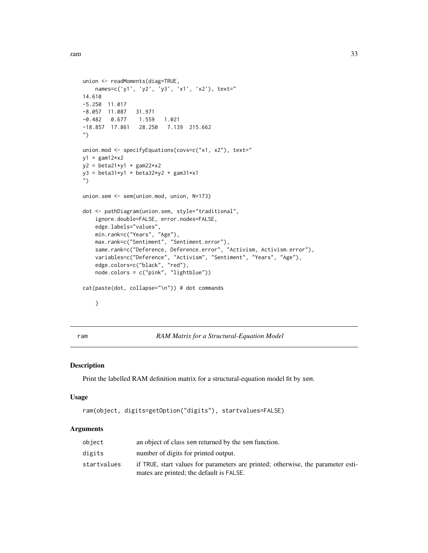```
union <- readMoments(diag=TRUE,
   names=c('y1', 'y2', 'y3', 'x1', 'x2'), text="
14.610
-5.250 11.017
-8.057 11.087 31.971
-0.482 0.677 1.559 1.021
-18.857 17.861 28.250 7.139 215.662
")
union.mod <- specifyEquations(covs=c("x1, x2"), text="
y1 = \text{gam12}*x2
y2 = beta21*y1 + gam22*x2y3 = beta31*y1 + beta32*y2 + gam31*x1")
union.sem <- sem(union.mod, union, N=173)
dot <- pathDiagram(union.sem, style="traditional",
    ignore.double=FALSE, error.nodes=FALSE,
    edge.labels="values",
   min.rank=c("Years", "Age"),
   max.rank=c("Sentiment", "Sentiment.error"),
    same.rank=c("Deference, Deference.error", "Activism, Activism.error"),
    variables=c("Deference", "Activism", "Sentiment", "Years", "Age"),
    edge.colors=c("black", "red"),
    node.colors = c("pink", "lightblue"))
cat(paste(dot, collapse="\n")) # dot commands
    }
```
ram *RAM Matrix for a Structural-Equation Model*

#### Description

Print the labelled RAM definition matrix for a structural-equation model fit by sem.

#### Usage

```
ram(object, digits=getOption("digits"), startvalues=FALSE)
```
#### Arguments

| object      | an object of class sem returned by the sem function.                             |
|-------------|----------------------------------------------------------------------------------|
| digits      | number of digits for printed output.                                             |
| startvalues | if TRUE, start values for parameters are printed; otherwise, the parameter esti- |
|             | mates are printed; the default is FALSE.                                         |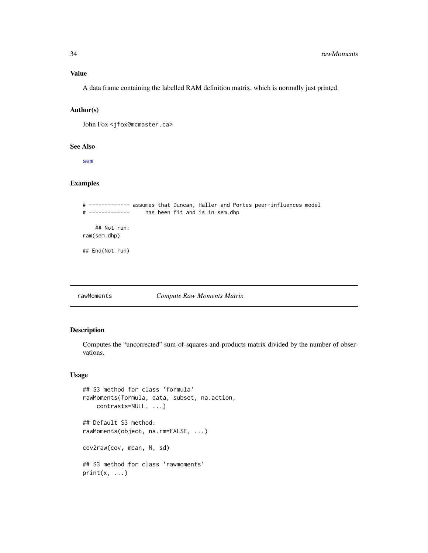<span id="page-33-0"></span>A data frame containing the labelled RAM definition matrix, which is normally just printed.

### Author(s)

John Fox <jfox@mcmaster.ca>

### See Also

[sem](#page-39-1)

### Examples

```
# ------------- assumes that Duncan, Haller and Portes peer-influences model
# ------------- has been fit and is in sem.dhp
   ## Not run:
ram(sem.dhp)
## End(Not run)
```
### rawMoments *Compute Raw Moments Matrix*

### Description

Computes the "uncorrected" sum-of-squares-and-products matrix divided by the number of observations.

### Usage

```
## S3 method for class 'formula'
rawMoments(formula, data, subset, na.action,
    contrasts=NULL, ...)
## Default S3 method:
rawMoments(object, na.rm=FALSE, ...)
cov2raw(cov, mean, N, sd)
## S3 method for class 'rawmoments'
print(x, \ldots)
```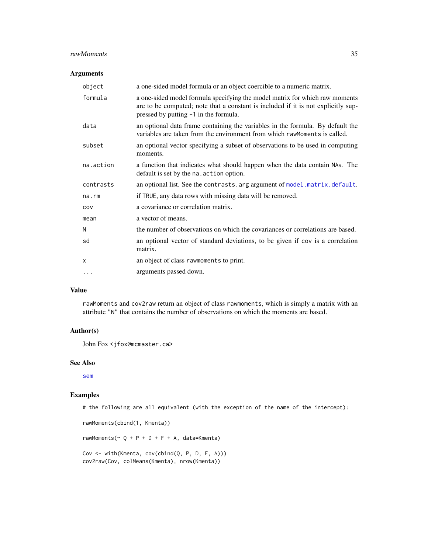### rawMoments 35

#### Arguments

| object      | a one-sided model formula or an object coercible to a numeric matrix.                                                                                                                                     |
|-------------|-----------------------------------------------------------------------------------------------------------------------------------------------------------------------------------------------------------|
| formula     | a one-sided model formula specifying the model matrix for which raw moments<br>are to be computed; note that a constant is included if it is not explicitly sup-<br>pressed by putting -1 in the formula. |
| data        | an optional data frame containing the variables in the formula. By default the<br>variables are taken from the environment from which rawmoments is called.                                               |
| subset      | an optional vector specifying a subset of observations to be used in computing<br>moments.                                                                                                                |
| na.action   | a function that indicates what should happen when the data contain NAs. The<br>default is set by the na. action option.                                                                                   |
| contrasts   | an optional list. See the contrasts arg argument of model matrix default.                                                                                                                                 |
| $na$ . $rm$ | if TRUE, any data rows with missing data will be removed.                                                                                                                                                 |
| COV         | a covariance or correlation matrix.                                                                                                                                                                       |
| mean        | a vector of means.                                                                                                                                                                                        |
| N           | the number of observations on which the covariances or correlations are based.                                                                                                                            |
| sd          | an optional vector of standard deviations, to be given if cov is a correlation<br>matrix.                                                                                                                 |
| X           | an object of class rawmoments to print.                                                                                                                                                                   |
| $\cdots$    | arguments passed down.                                                                                                                                                                                    |

### Value

rawMoments and cov2raw return an object of class rawmoments, which is simply a matrix with an attribute "N" that contains the number of observations on which the moments are based.

### Author(s)

John Fox <jfox@mcmaster.ca>

#### See Also

[sem](#page-39-1)

#### Examples

# the following are all equivalent (with the exception of the name of the intercept):

```
rawMoments(cbind(1, Kmenta))
rawMoments(\sim Q + P + D + F + A, data=Kmenta)
Cov <- with(Kmenta, cov(cbind(Q, P, D, F, A)))
cov2raw(Cov, colMeans(Kmenta), nrow(Kmenta))
```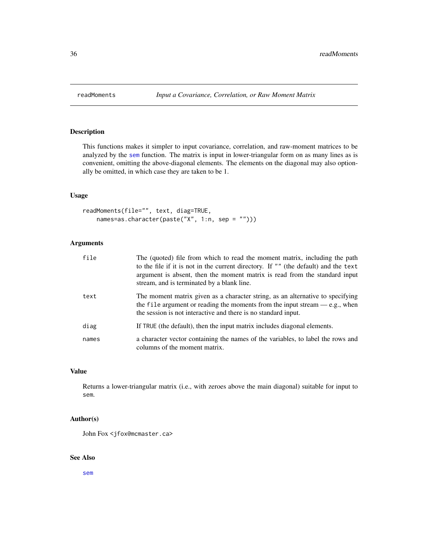<span id="page-35-0"></span>

### Description

This functions makes it simpler to input covariance, correlation, and raw-moment matrices to be analyzed by the [sem](#page-39-1) function. The matrix is input in lower-triangular form on as many lines as is convenient, omitting the above-diagonal elements. The elements on the diagonal may also optionally be omitted, in which case they are taken to be 1.

### Usage

```
readMoments(file="", text, diag=TRUE,
   names=as.character(paste("X", 1:n, sep = "")))
```
### Arguments

| file  | The (quoted) file from which to read the moment matrix, including the path<br>to the file if it is not in the current directory. If "" (the default) and the text<br>argument is absent, then the moment matrix is read from the standard input<br>stream, and is terminated by a blank line. |
|-------|-----------------------------------------------------------------------------------------------------------------------------------------------------------------------------------------------------------------------------------------------------------------------------------------------|
| text  | The moment matrix given as a character string, as an alternative to specifying<br>the file argument or reading the moments from the input stream $-e.g.,$ when<br>the session is not interactive and there is no standard input.                                                              |
| diag  | If TRUE (the default), then the input matrix includes diagonal elements.                                                                                                                                                                                                                      |
| names | a character vector containing the names of the variables, to label the rows and<br>columns of the moment matrix.                                                                                                                                                                              |

### Value

Returns a lower-triangular matrix (i.e., with zeroes above the main diagonal) suitable for input to sem.

### Author(s)

John Fox <jfox@mcmaster.ca>

### See Also

[sem](#page-39-1)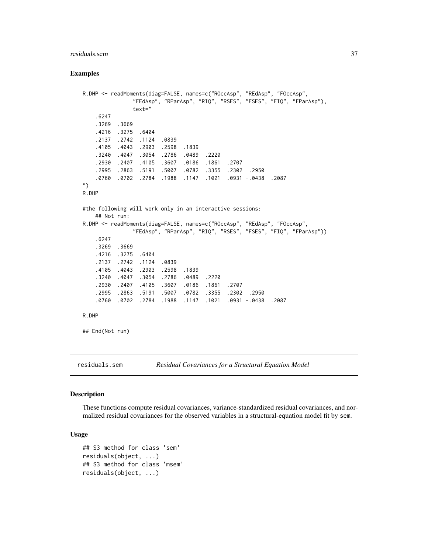# residuals.sem 37

## Examples

```
R.DHP <- readMoments(diag=FALSE, names=c("ROccAsp", "REdAsp", "FOccAsp",
               "FEdAsp", "RParAsp", "RIQ", "RSES", "FSES", "FIQ", "FParAsp"),
               text="
   .6247
   .3269 .3669
   .4216 .3275 .6404
   .2137 .2742 .1124 .0839
   .4105 .4043 .2903 .2598 .1839
   .3240 .4047 .3054 .2786 .0489 .2220
   .2930 .2407 .4105 .3607 .0186 .1861 .2707
   .2995 .2863 .5191 .5007 .0782 .3355 .2302 .2950
   .0760 .0702 .2784 .1988 .1147 .1021 .0931 -.0438 .2087
")
R.DHP
#the following will work only in an interactive sessions:
   ## Not run:
R.DHP <- readMoments(diag=FALSE, names=c("ROccAsp", "REdAsp", "FOccAsp",
               "FEdAsp", "RParAsp", "RIQ", "RSES", "FSES", "FIQ", "FParAsp"))
   .6247
   .3269 .3669
   .4216 .3275 .6404
   .2137 .2742 .1124 .0839
   .4105 .4043 .2903 .2598 .1839
   .3240 .4047 .3054 .2786 .0489 .2220
   .2930 .2407 .4105 .3607 .0186 .1861 .2707
   .2995 .2863 .5191 .5007 .0782 .3355 .2302 .2950
   .0760 .0702 .2784 .1988 .1147 .1021 .0931 -.0438 .2087
R.DHP
## End(Not run)
```
<span id="page-36-0"></span>**Description** 

These functions compute residual covariances, variance-standardized residual covariances, and normalized residual covariances for the observed variables in a structural-equation model fit by sem.

residuals.sem *Residual Covariances for a Structural Equation Model*

## Usage

```
## S3 method for class 'sem'
residuals(object, ...)
## S3 method for class 'msem'
residuals(object, ...)
```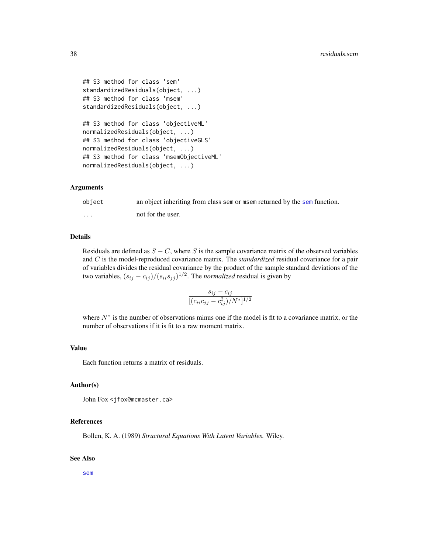```
## S3 method for class 'sem'
standardizedResiduals(object, ...)
## S3 method for class 'msem'
standardizedResiduals(object, ...)
## S3 method for class 'objectiveML'
normalizedResiduals(object, ...)
## S3 method for class 'objectiveGLS'
normalizedResiduals(object, ...)
## S3 method for class 'msemObjectiveML'
normalizedResiduals(object, ...)
```
## Arguments

| object | an object inheriting from class sem or msem returned by the sem function. |
|--------|---------------------------------------------------------------------------|
| .      | not for the user.                                                         |

## Details

Residuals are defined as  $S - C$ , where S is the sample covariance matrix of the observed variables and C is the model-reproduced covariance matrix. The *standardized* residual covariance for a pair of variables divides the residual covariance by the product of the sample standard deviations of the two variables,  $(s_{ij} - c_{ij})/(s_{ii}s_{jj})^{1/2}$ . The *normalized* residual is given by

$$
\frac{s_{ij} - c_{ij}}{[(c_{ii}c_{jj} - c_{ij}^2)/N^*]^{1/2}}
$$

where  $N^*$  is the number of observations minus one if the model is fit to a covariance matrix, or the number of observations if it is fit to a raw moment matrix.

#### Value

Each function returns a matrix of residuals.

## Author(s)

John Fox <jfox@mcmaster.ca>

### References

Bollen, K. A. (1989) *Structural Equations With Latent Variables.* Wiley.

#### See Also

[sem](#page-39-0)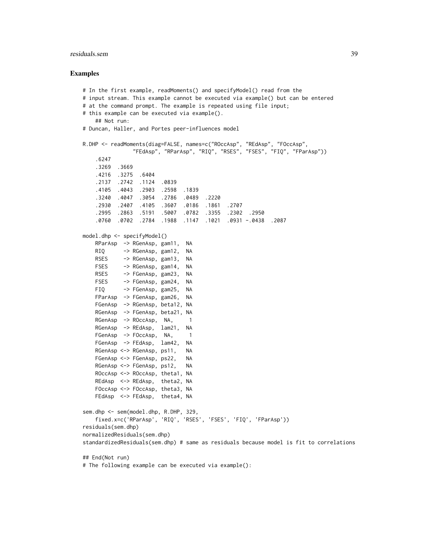## residuals.sem 39

## Examples

```
# In the first example, readMoments() and specifyModel() read from the
# input stream. This example cannot be executed via example() but can be entered
# at the command prompt. The example is repeated using file input;
# this example can be executed via example().
   ## Not run:
# Duncan, Haller, and Portes peer-influences model
R.DHP <- readMoments(diag=FALSE, names=c("ROccAsp", "REdAsp", "FOccAsp",
               "FEdAsp", "RParAsp", "RIQ", "RSES", "FSES", "FIQ", "FParAsp"))
   .6247
   .3269 .3669
   .4216 .3275 .6404
   .2137 .2742 .1124 .0839
   .4105 .4043 .2903 .2598 .1839
   .3240 .4047 .3054 .2786 .0489 .2220
   .2930 .2407 .4105 .3607 .0186 .1861 .2707
   .2995 .2863 .5191 .5007 .0782 .3355 .2302 .2950
   .0760 .0702 .2784 .1988 .1147 .1021 .0931 -.0438 .2087
model.dhp <- specifyModel()
   RParAsp -> RGenAsp, gam11, NA
   RIQ -> RGenAsp, gam12, NA
   RSES -> RGenAsp, gam13, NA
   FSES -> RGenAsp, gam14, NA
   RSES -> FGenAsp, gam23, NA
   FSES -> FGenAsp, gam24, NA
   FIQ -> FGenAsp, gam25, NA
   FParAsp -> FGenAsp, gam26, NA
   FGenAsp -> RGenAsp, beta12, NA
   RGenAsp -> FGenAsp, beta21, NA
   RGenAsp \rightarrow ROccAsp, NA, 1
   RGenAsp -> REdAsp, lam21, NA
   FGenAsp -> FOccAsp, NA, 1
   FGenAsp -> FEdAsp, lam42, NA
   RGenAsp <-> RGenAsp, ps11, NA
   FGenAsp <-> FGenAsp, ps22, NA
   RGenAsp <-> FGenAsp, ps12, NA
   ROccAsp <-> ROccAsp, theta1, NA
   REdAsp <-> REdAsp, theta2, NA
   FOccAsp <-> FOccAsp, theta3, NA
   FEdAsp <-> FEdAsp, theta4, NA
sem.dhp <- sem(model.dhp, R.DHP, 329,
   fixed.x=c('RParAsp', 'RIQ', 'RSES', 'FSES', 'FIQ', 'FParAsp'))
residuals(sem.dhp)
normalizedResiduals(sem.dhp)
standardizedResiduals(sem.dhp) # same as residuals because model is fit to correlations
## End(Not run)
# The following example can be executed via example():
```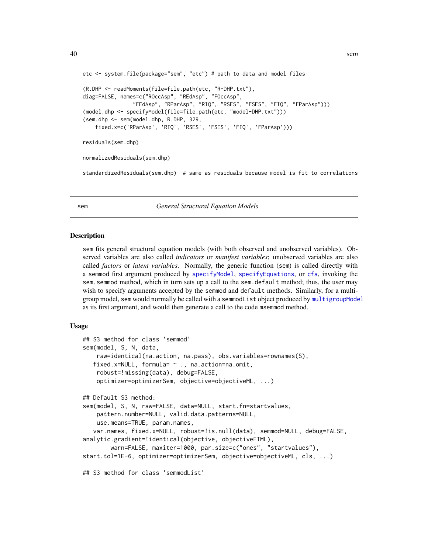```
etc <- system.file(package="sem", "etc") # path to data and model files
(R.DHP <- readMoments(file=file.path(etc, "R-DHP.txt"),
diag=FALSE, names=c("ROccAsp", "REdAsp", "FOccAsp",
                "FEdAsp", "RParAsp", "RIQ", "RSES", "FSES", "FIQ", "FParAsp")))
(model.dhp <- specifyModel(file=file.path(etc, "model-DHP.txt")))
(sem.dhp <- sem(model.dhp, R.DHP, 329,
   fixed.x=c('RParAsp', 'RIQ', 'RSES', 'FSES', 'FIQ', 'FParAsp')))
residuals(sem.dhp)
normalizedResiduals(sem.dhp)
standardizedResiduals(sem.dhp) # same as residuals because model is fit to correlations
```
<span id="page-39-0"></span>sem *General Structural Equation Models*

#### <span id="page-39-1"></span>**Description**

sem fits general structural equation models (with both observed and unobserved variables). Observed variables are also called *indicators* or *manifest variables*; unobserved variables are also called *factors* or *latent variables*. Normally, the generic function (sem) is called directly with a semmod first argument produced by [specifyModel](#page-62-0), [specifyEquations](#page-62-1), or [cfa](#page-62-1), invoking the sem. semmod method, which in turn sets up a call to the sem. default method; thus, the user may wish to specify arguments accepted by the semmod and default methods. Similarly, for a multigroup model, sem would normally be called with a semmodList object produced by [multigroupModel](#page-62-1) as its first argument, and would then generate a call to the code msemmod method.

## Usage

```
## S3 method for class 'semmod'
sem(model, S, N, data,
   raw=identical(na.action, na.pass), obs.variables=rownames(S),
  fixed.x=NULL, formula= ~ ., na.action=na.omit,
   robust=!missing(data), debug=FALSE,
   optimizer=optimizerSem, objective=objectiveML, ...)
## Default S3 method:
sem(model, S, N, raw=FALSE, data=NULL, start.fn=startvalues,
   pattern.number=NULL, valid.data.patterns=NULL,
   use.means=TRUE, param.names,
  var.names, fixed.x=NULL, robust=!is.null(data), semmod=NULL, debug=FALSE,
analytic.gradient=!identical(objective, objectiveFIML),
       warn=FALSE, maxiter=1000, par.size=c("ones", "startvalues"),
start.tol=1E-6, optimizer=optimizerSem, objective=objectiveML, cls, ...)
## S3 method for class 'semmodList'
```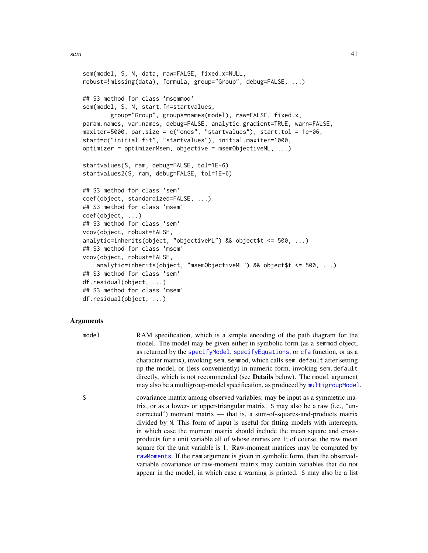```
sem(model, S, N, data, raw=FALSE, fixed.x=NULL,
robust=!missing(data), formula, group="Group", debug=FALSE, ...)
## S3 method for class 'msemmod'
sem(model, S, N, start.fn=startvalues,
       group="Group", groups=names(model), raw=FALSE, fixed.x,
param.names, var.names, debug=FALSE, analytic.gradient=TRUE, warn=FALSE,
maxiter=5000, par.size = c("ones", "startvalues"), start.tol = 1e-06,
start=c("initial.fit", "startvalues"), initial.maxiter=1000,
optimizer = optimizerMsem, objective = msemObjectiveML, ...)
startvalues(S, ram, debug=FALSE, tol=1E-6)
startvalues2(S, ram, debug=FALSE, tol=1E-6)
## S3 method for class 'sem'
coef(object, standardized=FALSE, ...)
## S3 method for class 'msem'
coef(object, ...)
## S3 method for class 'sem'
vcov(object, robust=FALSE,
analytic=inherits(object, "objectiveML") && object$t <= 500, ...)
## S3 method for class 'msem'
vcov(object, robust=FALSE,
    analytic=inherits(object, "msemObjectiveML") && object$t <= 500, ...)
## S3 method for class 'sem'
df.residual(object, ...)
## S3 method for class 'msem'
df.residual(object, ...)
```
## Arguments

| model | RAM specification, which is a simple encoding of the path diagram for the<br>model. The model may be given either in symbolic form (as a semmod object,<br>as returned by the specifyModel, specifyEquations, or cfa function, or as a<br>character matrix), invoking sem. semmod, which calls sem. default after setting<br>up the model, or (less conveniently) in numeric form, invoking sem. default<br>directly, which is not recommended (see Details below). The model argument<br>may also be a multigroup-model specification, as produced by multigroup Model.                                                                                      |
|-------|---------------------------------------------------------------------------------------------------------------------------------------------------------------------------------------------------------------------------------------------------------------------------------------------------------------------------------------------------------------------------------------------------------------------------------------------------------------------------------------------------------------------------------------------------------------------------------------------------------------------------------------------------------------|
| S     | covariance matrix among observed variables; may be input as a symmetric ma-<br>trix, or as a lower- or upper-triangular matrix. S may also be a raw (i.e., "un-<br>corrected") moment matrix — that is, a sum-of-squares-and-products matrix<br>divided by N. This form of input is useful for fitting models with intercepts,<br>in which case the moment matrix should include the mean square and cross-<br>products for a unit variable all of whose entries are 1; of course, the raw mean<br>square for the unit variable is 1. Raw-moment matrices may be computed by<br>rawMoments. If the ram argument is given in symbolic form, then the observed- |

variable covariance or raw-moment matrix may contain variables that do not appear in the model, in which case a warning is printed. S may also be a list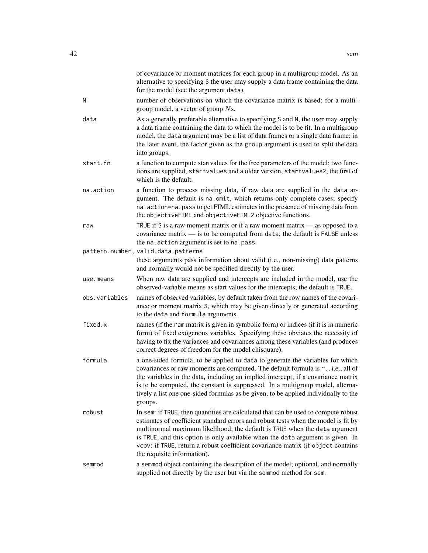|               | of covariance or moment matrices for each group in a multigroup model. As an<br>alternative to specifying S the user may supply a data frame containing the data<br>for the model (see the argument data).                                                                                                                                                                                                                                                  |
|---------------|-------------------------------------------------------------------------------------------------------------------------------------------------------------------------------------------------------------------------------------------------------------------------------------------------------------------------------------------------------------------------------------------------------------------------------------------------------------|
| N             | number of observations on which the covariance matrix is based; for a multi-<br>group model, a vector of group $Ns$ .                                                                                                                                                                                                                                                                                                                                       |
| data          | As a generally preferable alternative to specifying S and N, the user may supply<br>a data frame containing the data to which the model is to be fit. In a multigroup<br>model, the data argument may be a list of data frames or a single data frame; in<br>the later event, the factor given as the group argument is used to split the data<br>into groups.                                                                                              |
| start.fn      | a function to compute startvalues for the free parameters of the model; two func-<br>tions are supplied, startvalues and a older version, startvalues2, the first of<br>which is the default.                                                                                                                                                                                                                                                               |
| na.action     | a function to process missing data, if raw data are supplied in the data ar-<br>gument. The default is na.omit, which returns only complete cases; specify<br>na. action=na. pass to get FIML estimates in the presence of missing data from<br>the objectiveFIML and objectiveFIML2 objective functions.                                                                                                                                                   |
| raw           | TRUE if S is a raw moment matrix or if a raw moment matrix $-$ as opposed to a<br>covariance matrix $-$ is to be computed from data; the default is FALSE unless<br>the na. action argument is set to na. pass.                                                                                                                                                                                                                                             |
|               | pattern.number, valid.data.patterns<br>these arguments pass information about valid (i.e., non-missing) data patterns<br>and normally would not be specified directly by the user.                                                                                                                                                                                                                                                                          |
| use.means     | When raw data are supplied and intercepts are included in the model, use the<br>observed-variable means as start values for the intercepts; the default is TRUE.                                                                                                                                                                                                                                                                                            |
| obs.variables | names of observed variables, by default taken from the row names of the covari-<br>ance or moment matrix S, which may be given directly or generated according<br>to the data and formula arguments.                                                                                                                                                                                                                                                        |
| fixed.x       | names (if the ram matrix is given in symbolic form) or indices (if it is in numeric<br>form) of fixed exogenous variables. Specifying these obviates the necessity of<br>having to fix the variances and covariances among these variables (and produces<br>correct degrees of freedom for the model chisquare).                                                                                                                                            |
| formula       | a one-sided formula, to be applied to data to generate the variables for which<br>covariances or raw moments are computed. The default formula is ~., i.e., all of<br>the variables in the data, including an implied intercept; if a covariance matrix<br>is to be computed, the constant is suppressed. In a multigroup model, alterna-<br>tively a list one one-sided formulas as be given, to be applied individually to the<br>groups.                 |
| robust        | In sem: if TRUE, then quantities are calculated that can be used to compute robust<br>estimates of coefficient standard errors and robust tests when the model is fit by<br>multinormal maximum likelihood; the default is TRUE when the data argument<br>is TRUE, and this option is only available when the data argument is given. In<br>vcov: if TRUE, return a robust coefficient covariance matrix (if object contains<br>the requisite information). |
| semmod        | a semmod object containing the description of the model; optional, and normally<br>supplied not directly by the user but via the semmod method for sem.                                                                                                                                                                                                                                                                                                     |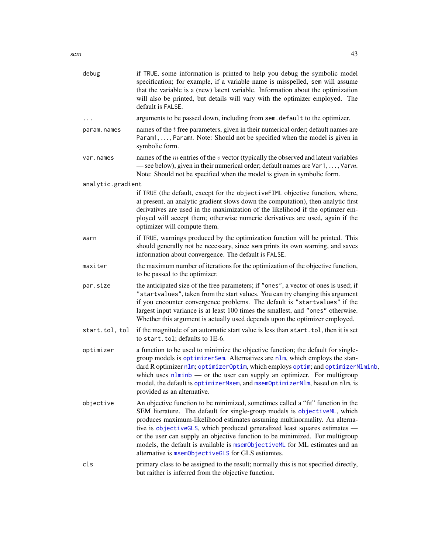| debug             | if TRUE, some information is printed to help you debug the symbolic model<br>specification; for example, if a variable name is misspelled, sem will assume<br>that the variable is a (new) latent variable. Information about the optimization<br>will also be printed, but details will vary with the optimizer employed. The<br>default is FALSE.                                                                                                                                                                                           |
|-------------------|-----------------------------------------------------------------------------------------------------------------------------------------------------------------------------------------------------------------------------------------------------------------------------------------------------------------------------------------------------------------------------------------------------------------------------------------------------------------------------------------------------------------------------------------------|
| .                 | arguments to be passed down, including from sem. default to the optimizer.                                                                                                                                                                                                                                                                                                                                                                                                                                                                    |
| param.names       | names of the t free parameters, given in their numerical order; default names are<br>Param1, , Paramt. Note: Should not be specified when the model is given in<br>symbolic form.                                                                                                                                                                                                                                                                                                                                                             |
| var.names         | names of the $m$ entries of the $v$ vector (typically the observed and latent variables<br>— see below), given in their numerical order; default names are $Var1, \ldots, Varm$ .<br>Note: Should not be specified when the model is given in symbolic form.                                                                                                                                                                                                                                                                                  |
| analytic.gradient |                                                                                                                                                                                                                                                                                                                                                                                                                                                                                                                                               |
|                   | if TRUE (the default, except for the objectiveFIML objective function, where,<br>at present, an analytic gradient slows down the computation), then analytic first<br>derivatives are used in the maximization of the likelihood if the optimzer em-<br>ployed will accept them; otherwise numeric derivatives are used, again if the<br>optimizer will compute them.                                                                                                                                                                         |
| warn              | if TRUE, warnings produced by the optimization function will be printed. This<br>should generally not be necessary, since sem prints its own warning, and saves<br>information about convergence. The default is FALSE.                                                                                                                                                                                                                                                                                                                       |
| maxiter           | the maximum number of iterations for the optimization of the objective function,<br>to be passed to the optimizer.                                                                                                                                                                                                                                                                                                                                                                                                                            |
| par.size          | the anticipated size of the free parameters; if "ones", a vector of ones is used; if<br>"startvalues", taken from the start values. You can try changing this argument<br>if you encounter convergence problems. The default is "startvalues" if the<br>largest input variance is at least 100 times the smallest, and "ones" otherwise.<br>Whether this argument is actually used depends upon the optimizer employed.                                                                                                                       |
| start.tol, tol    | if the magnitude of an automatic start value is less than start. tol, then it is set<br>to start.tol; defaults to 1E-6.                                                                                                                                                                                                                                                                                                                                                                                                                       |
| optimizer         | a function to be used to minimize the objective function; the default for single-<br>group models is optimizerSem. Alternatives are nlm, which employs the stan-<br>dard R optimizer nlm; optimizer Optim, which employs optim; and optimizer Nlminb,<br>which uses $nlminb$ — or the user can supply an optimizer. For multigroup<br>model, the default is optimizerMsem, and msemOptimizerN1m, based on n1m, is<br>provided as an alternative.                                                                                              |
| objective         | An objective function to be minimized, sometimes called a "fit" function in the<br>SEM literature. The default for single-group models is objectiveML, which<br>produces maximum-likelihood estimates assuming multinormality. An alterna-<br>tive is objectiveGLS, which produced generalized least squares estimates -<br>or the user can supply an objective function to be minimized. For multigroup<br>models, the default is available is msemObjectiveML for ML estimates and an<br>alternative is msemObjectiveGLS for GLS estiamtes. |
| cls               | primary class to be assigned to the result; normally this is not specified directly,<br>but raither is inferred from the objective function.                                                                                                                                                                                                                                                                                                                                                                                                  |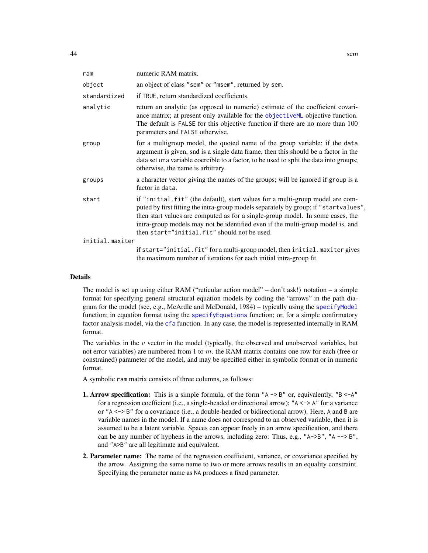| ram             | numeric RAM matrix.                                                                                                                                                                                                                                                                                                                                                                       |  |  |
|-----------------|-------------------------------------------------------------------------------------------------------------------------------------------------------------------------------------------------------------------------------------------------------------------------------------------------------------------------------------------------------------------------------------------|--|--|
| object          | an object of class "sem" or "msem", returned by sem.                                                                                                                                                                                                                                                                                                                                      |  |  |
| standardized    | if TRUE, return standardized coefficients.                                                                                                                                                                                                                                                                                                                                                |  |  |
| analytic        | return an analytic (as opposed to numeric) estimate of the coefficient covari-<br>ance matrix; at present only available for the objectiveML objective function.<br>The default is FALSE for this objective function if there are no more than 100<br>parameters and FALSE otherwise.                                                                                                     |  |  |
| group           | for a multigroup model, the quoted name of the group variable; if the data<br>argument is given, snd is a single data frame, then this should be a factor in the<br>data set or a variable coercible to a factor, to be used to split the data into groups;<br>otherwise, the name is arbitrary.                                                                                          |  |  |
| groups          | a character vector giving the names of the groups; will be ignored if group is a<br>factor in data.                                                                                                                                                                                                                                                                                       |  |  |
| start           | if "initial.fit" (the default), start values for a multi-group model are com-<br>puted by first fitting the intra-group models separately by group; if "startvalues",<br>then start values are computed as for a single-group model. In some cases, the<br>intra-group models may not be identified even if the multi-group model is, and<br>then start="initial.fit" should not be used. |  |  |
| initial.maxiter |                                                                                                                                                                                                                                                                                                                                                                                           |  |  |
|                 | if start="initial.fit" for a multi-group model, then initial.maxiter gives<br>the maximum number of iterations for each initial intra-group fit.                                                                                                                                                                                                                                          |  |  |

## Details

The model is set up using either RAM ("reticular action model" – don't ask!) notation – a simple format for specifying general structural equation models by coding the "arrows" in the path diagram for the model (see, e.g., McArdle and McDonald, 1984) – typically using the [specifyModel](#page-62-0) function; in equation format using the [specifyEquations](#page-62-1) function; or, for a simple confirmatory factor analysis model, via the [cfa](#page-62-1) function. In any case, the model is represented internally in RAM format.

The variables in the  $v$  vector in the model (typically, the observed and unobserved variables, but not error variables) are numbered from 1 to  $m$ . the RAM matrix contains one row for each (free or constrained) parameter of the model, and may be specified either in symbolic format or in numeric format.

A symbolic ram matrix consists of three columns, as follows:

- **1. Arrow specification:** This is a simple formula, of the form " $A \rightarrow B$ " or, equivalently, " $B \leq A$ " for a regression coefficient (i.e., a single-headed or directional arrow); "A <-> A" for a variance or "A <-> B" for a covariance (i.e., a double-headed or bidirectional arrow). Here, A and B are variable names in the model. If a name does not correspond to an observed variable, then it is assumed to be a latent variable. Spaces can appear freely in an arrow specification, and there can be any number of hyphens in the arrows, including zero: Thus, e.g., " $A \rightarrow B''$ , " $A \rightarrow B''$ ," and "A>B" are all legitimate and equivalent.
- 2. Parameter name: The name of the regression coefficient, variance, or covariance specified by the arrow. Assigning the same name to two or more arrows results in an equality constraint. Specifying the parameter name as NA produces a fixed parameter.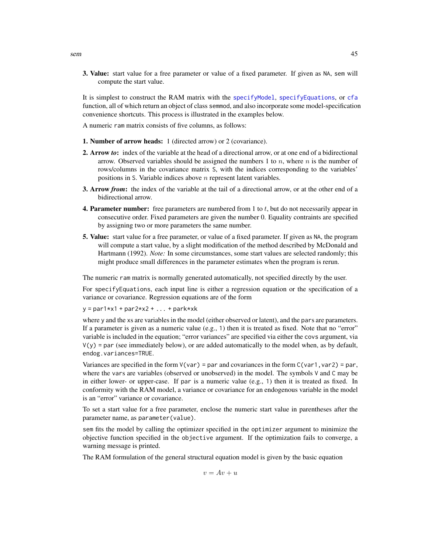3. Value: start value for a free parameter or value of a fixed parameter. If given as NA, sem will compute the start value.

It is simplest to construct the RAM matrix with the [specifyModel](#page-62-0), [specifyEquations](#page-62-1), or [cfa](#page-62-1) function, all of which return an object of class semmod, and also incorporate some model-specification convenience shortcuts. This process is illustrated in the examples below.

- A numeric ram matrix consists of five columns, as follows:
- 1. Number of arrow heads: 1 (directed arrow) or 2 (covariance).
- 2. Arrow *to*: index of the variable at the head of a directional arrow, or at one end of a bidirectional arrow. Observed variables should be assigned the numbers 1 to  $n$ , where  $n$  is the number of rows/columns in the covariance matrix S, with the indices corresponding to the variables' positions in S. Variable indices above  $n$  represent latent variables.
- 3. Arrow *from*: the index of the variable at the tail of a directional arrow, or at the other end of a bidirectional arrow.
- **4. Parameter number:** free parameters are numbered from 1 to  $t$ , but do not necessarily appear in consecutive order. Fixed parameters are given the number 0. Equality contraints are specified by assigning two or more parameters the same number.
- 5. Value: start value for a free parameter, or value of a fixed parameter. If given as NA, the program will compute a start value, by a slight modification of the method described by McDonald and Hartmann (1992). *Note:* In some circumstances, some start values are selected randomly; this might produce small differences in the parameter estimates when the program is rerun.

The numeric ram matrix is normally generated automatically, not specified directly by the user.

For specifyEquations, each input line is either a regression equation or the specification of a variance or covariance. Regression equations are of the form

 $y = par1*x1 + par2*x2 + ... + parkxk$ 

where y and the xs are variables in the model (either observed or latent), and the pars are parameters. If a parameter is given as a numeric value (e.g., 1) then it is treated as fixed. Note that no "error" variable is included in the equation; "error variances" are specified via either the covs argument, via  $V(y)$  = par (see immediately below), or are added automatically to the model when, as by default, endog.variances=TRUE.

Variances are specified in the form  $V(\text{var}) =$  par and covariances in the form  $C(\text{var1}, \text{var2}) =$  par, where the vars are variables (observed or unobserved) in the model. The symbols  $V$  and  $C$  may be in either lower- or upper-case. If par is a numeric value (e.g., 1) then it is treated as fixed. In conformity with the RAM model, a variance or covariance for an endogenous variable in the model is an "error" variance or covariance.

To set a start value for a free parameter, enclose the numeric start value in parentheses after the parameter name, as parameter(value).

sem fits the model by calling the optimizer specified in the optimizer argument to minimize the objective function specified in the objective argument. If the optimization fails to converge, a warning message is printed.

The RAM formulation of the general structural equation model is given by the basic equation

 $v = Av + u$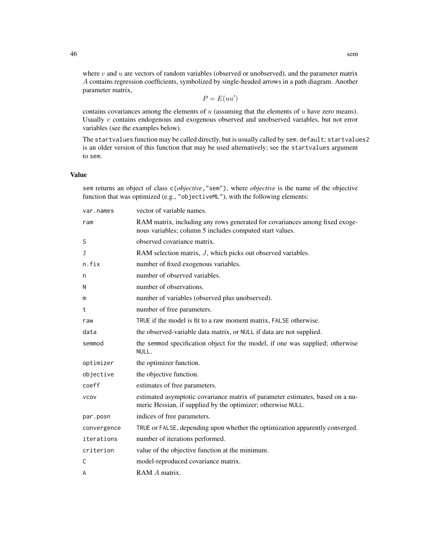where  $v$  and  $u$  are vectors of random variables (observed or unobserved), and the parameter matrix A contains regression coefficients, symbolized by single-headed arrows in a path diagram. Another parameter matrix,

 $P = E(uu')$ 

contains covariances among the elements of  $u$  (assuming that the elements of  $u$  have zero means). Usually  $v$  contains endogenous and exogenous observed and unobserved variables, but not error variables (see the examples below).

The startvalues function may be called directly, but is usually called by sem.default; startvalues2 is an older version of this function that may be used alternatively; see the startvalues argument to sem.

### Value

sem returns an object of class c(*objective*,"sem"), where *objective* is the name of the objective function that was optimized (e.g., "objectiveML"), with the following elements:

| var.names   | vector of variable names.                                                                                                                     |  |  |
|-------------|-----------------------------------------------------------------------------------------------------------------------------------------------|--|--|
| ram         | RAM matrix, including any rows generated for covariances among fixed exoge-<br>nous variables; column 5 includes computed start values.       |  |  |
| S           | observed covariance matrix.                                                                                                                   |  |  |
| J           | RAM selection matrix, J, which picks out observed variables.                                                                                  |  |  |
| n.fix       | number of fixed exogenous variables.                                                                                                          |  |  |
| n           | number of observed variables.                                                                                                                 |  |  |
| N           | number of observations.                                                                                                                       |  |  |
| m           | number of variables (observed plus unobserved).                                                                                               |  |  |
| t           | number of free parameters.                                                                                                                    |  |  |
| raw         | TRUE if the model is fit to a raw moment matrix, FALSE otherwise.                                                                             |  |  |
| data        | the observed-variable data matrix, or NULL if data are not supplied.                                                                          |  |  |
| semmod      | the semmod specification object for the model, if one was supplied; otherwise<br>NULL.                                                        |  |  |
| optimizer   | the optimizer function.                                                                                                                       |  |  |
| objective   | the objective function.                                                                                                                       |  |  |
| coeff       | estimates of free parameters.                                                                                                                 |  |  |
| <b>VCOV</b> | estimated asymptotic covariance matrix of parameter estimates, based on a nu-<br>meric Hessian, if supplied by the optimizer; otherwise NULL. |  |  |
| par.posn    | indices of free parameters.                                                                                                                   |  |  |
| convergence | TRUE or FALSE, depending upon whether the optimization apparently converged.                                                                  |  |  |
| iterations  | number of iterations performed.                                                                                                               |  |  |
| criterion   | value of the objective function at the minimum.                                                                                               |  |  |
| C           | model-reproduced covariance matrix.                                                                                                           |  |  |
| A           | RAM A matrix.                                                                                                                                 |  |  |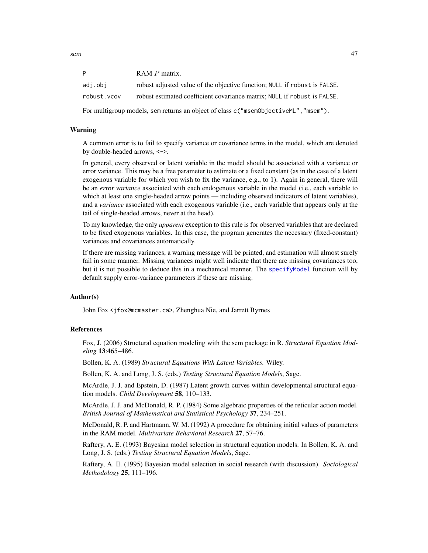| D           | RAM P matrix.                                                             |
|-------------|---------------------------------------------------------------------------|
| adi.obi     | robust adjusted value of the objective function; NULL if robust is FALSE. |
| robust.vcov | robust estimated coefficient covariance matrix; NULL if robust is FALSE.  |

For multigroup models, sem returns an object of class c("msemObjectiveML","msem").

## Warning

A common error is to fail to specify variance or covariance terms in the model, which are denoted by double-headed arrows, <->.

In general, every observed or latent variable in the model should be associated with a variance or error variance. This may be a free parameter to estimate or a fixed constant (as in the case of a latent exogenous variable for which you wish to fix the variance, e.g., to 1). Again in general, there will be an *error variance* associated with each endogenous variable in the model (i.e., each variable to which at least one single-headed arrow points — including observed indicators of latent variables), and a *variance* associated with each exogenous variable (i.e., each variable that appears only at the tail of single-headed arrows, never at the head).

To my knowledge, the only *apparent* exception to this rule is for observed variables that are declared to be fixed exogenous variables. In this case, the program generates the necessary (fixed-constant) variances and covariances automatically.

If there are missing variances, a warning message will be printed, and estimation will almost surely fail in some manner. Missing variances might well indicate that there are missing covariances too, but it is not possible to deduce this in a mechanical manner. The [specifyModel](#page-62-0) funciton will by default supply error-variance parameters if these are missing.

## Author(s)

John Fox <jfox@mcmaster.ca>, Zhenghua Nie, and Jarrett Byrnes

#### References

Fox, J. (2006) Structural equation modeling with the sem package in R. *Structural Equation Modeling* 13:465–486.

Bollen, K. A. (1989) *Structural Equations With Latent Variables.* Wiley.

Bollen, K. A. and Long, J. S. (eds.) *Testing Structural Equation Models*, Sage.

McArdle, J. J. and Epstein, D. (1987) Latent growth curves within developmental structural equation models. *Child Development* 58, 110–133.

McArdle, J. J. and McDonald, R. P. (1984) Some algebraic properties of the reticular action model. *British Journal of Mathematical and Statistical Psychology* 37, 234–251.

McDonald, R. P. and Hartmann, W. M. (1992) A procedure for obtaining initial values of parameters in the RAM model. *Multivariate Behavioral Research* 27, 57–76.

Raftery, A. E. (1993) Bayesian model selection in structural equation models. In Bollen, K. A. and Long, J. S. (eds.) *Testing Structural Equation Models*, Sage.

Raftery, A. E. (1995) Bayesian model selection in social research (with discussion). *Sociological Methodology* 25, 111–196.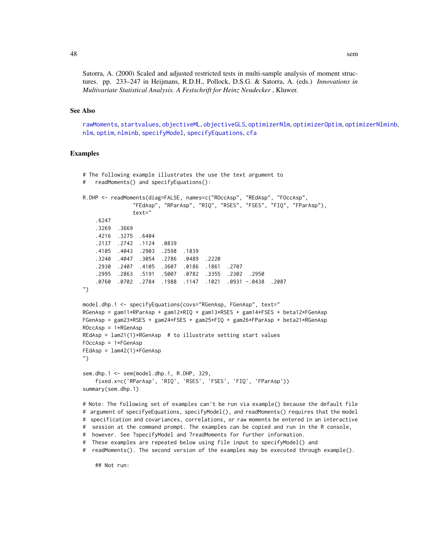Satorra, A. (2000) Scaled and adjusted restricted tests in multi-sample analysis of moment structures. pp. 233–247 in Heijmans, R.D.H., Pollock, D.S.G. & Satorra, A. (eds.) *Innovations in Multivariate Statistical Analysis. A Festschrift for Heinz Neudecker* , Kluwer.

# See Also

[rawMoments](#page-33-0), [startvalues](#page-39-1), [objectiveML](#page-23-0), [objectiveGLS](#page-23-0), [optimizerNlm](#page-25-0), [optimizerOptim](#page-25-0), [optimizerNlminb](#page-25-0), [nlm](#page-0-0), [optim](#page-0-0), [nlminb](#page-0-0), [specifyModel](#page-62-0), [specifyEquations](#page-62-1), [cfa](#page-62-1)

# Examples

```
# The following example illustrates the use the text argument to
# readMoments() and specifyEquations():
R.DHP <- readMoments(diag=FALSE, names=c("ROccAsp", "REdAsp", "FOccAsp",
               "FEdAsp", "RParAsp", "RIQ", "RSES", "FSES", "FIQ", "FParAsp"),
               text="
    .6247
    .3269 .3669
    .4216 .3275 .6404
   .2137 .2742 .1124 .0839
   .4105 .4043 .2903 .2598 .1839
    .3240 .4047 .3054 .2786 .0489 .2220
    .2930 .2407 .4105 .3607 .0186 .1861 .2707
    .2995 .2863 .5191 .5007 .0782 .3355 .2302 .2950
   .0760 .0702 .2784 .1988 .1147 .1021 .0931 -.0438 .2087
")
model.dhp.1 <- specifyEquations(covs="RGenAsp, FGenAsp", text="
RGenAsp = gam11*RParAsp + gam12*RIQ + gam13*RSES + gam14*FSES + beta12*FGenAsp
FGenAsp = gam23*RSES + gam24*FSES + gam25*FIQ + gam26*FParAsp + beta21*RGenAsp
ROccAsp = 1*RGenAsp
REdAsp = lam21(1)*RGenAsp # to illustrate setting start valuesFOccAsp = 1*FGenAsp
FEdAsp = lam42(1)*FGenAsp")
sem.dhp.1 <- sem(model.dhp.1, R.DHP, 329,
   fixed.x=c('RParAsp', 'RIQ', 'RSES', 'FSES', 'FIQ', 'FParAsp'))
summary(sem.dhp.1)
# Note: The following set of examples can't be run via example() because the default file
# argument of specifyeEquations, specifyModel(), and readMoments() requires that the model
# specification and covariances, correlations, or raw moments be entered in an interactive
# session at the command prompt. The examples can be copied and run in the R console,
# however. See ?specifyModel and ?readMoments for further information.
# These examples are repeated below using file input to specifyModel() and
# readMoments(). The second version of the examples may be executed through example().
```
## Not run: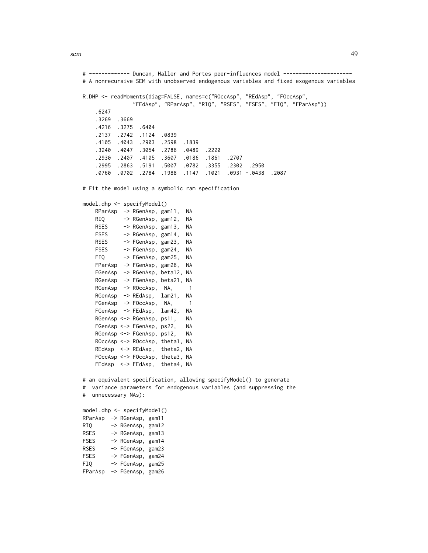sem 49

# ------------- Duncan, Haller and Portes peer-influences model ---------------------- # A nonrecursive SEM with unobserved endogenous variables and fixed exogenous variables R.DHP <- readMoments(diag=FALSE, names=c("ROccAsp", "REdAsp", "FOccAsp", "FEdAsp", "RParAsp", "RIQ", "RSES", "FSES", "FIQ", "FParAsp")) .6247 .3269 .3669 .4216 .3275 .6404 .2137 .2742 .1124 .0839 .4105 .4043 .2903 .2598 .1839 .3240 .4047 .3054 .2786 .0489 .2220 .2930 .2407 .4105 .3607 .0186 .1861 .2707 .2995 .2863 .5191 .5007 .0782 .3355 .2302 .2950 .0760 .0702 .2784 .1988 .1147 .1021 .0931 -.0438 .2087 # Fit the model using a symbolic ram specification model.dhp <- specifyModel() RParAsp -> RGenAsp, gam11, NA RIQ -> RGenAsp, gam12, NA RSES -> RGenAsp, gam13, NA FSES -> RGenAsp, gam14, NA RSES -> FGenAsp, gam23, NA FSES -> FGenAsp, gam24, NA FIQ -> FGenAsp, gam25, NA FParAsp -> FGenAsp, gam26, NA FGenAsp -> RGenAsp, beta12, NA RGenAsp -> FGenAsp, beta21, NA RGenAsp -> ROccAsp, NA, 1 RGenAsp -> REdAsp, lam21, NA FGenAsp -> FOccAsp, NA, 1 FGenAsp -> FEdAsp, lam42, NA RGenAsp <-> RGenAsp, ps11, NA FGenAsp <-> FGenAsp, ps22, NA RGenAsp <-> FGenAsp, ps12, NA ROccAsp <-> ROccAsp, theta1, NA REdAsp <-> REdAsp, theta2, NA FOccAsp <-> FOccAsp, theta3, NA FEdAsp <-> FEdAsp, theta4, NA # an equivalent specification, allowing specifyModel() to generate # variance parameters for endogenous variables (and suppressing the # unnecessary NAs): model.dhp <- specifyModel() RParAsp -> RGenAsp, gam11 RIQ -> RGenAsp, gam12 RSES -> RGenAsp, gam13 FSES -> RGenAsp, gam14 RSES -> FGenAsp, gam23 FSES -> FGenAsp, gam24

FIQ -> FGenAsp, gam25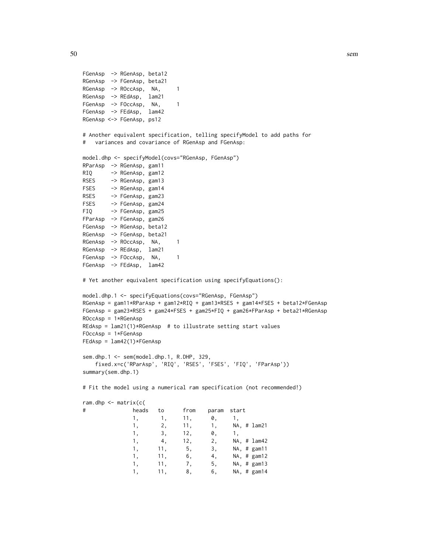```
FGenAsp -> RGenAsp, beta12
RGenAsp -> FGenAsp, beta21
RGenAsp -> ROccAsp, NA, 1
RGenAsp -> REdAsp, lam21
FGenAsp -> FOccAsp, NA, 1
FGenAsp -> FEdAsp, lam42
RGenAsp <-> FGenAsp, ps12
# Another equivalent specification, telling specifyModel to add paths for
# variances and covariance of RGenAsp and FGenAsp:
model.dhp <- specifyModel(covs="RGenAsp, FGenAsp")
RParAsp -> RGenAsp, gam11
RIQ -> RGenAsp, gam12
RSES -> RGenAsp, gam13
FSES -> RGenAsp, gam14
RSES -> FGenAsp, gam23
FSES -> FGenAsp, gam24
FIQ -> FGenAsp, gam25
FParAsp -> FGenAsp, gam26
FGenAsp -> RGenAsp, beta12
RGenAsp -> FGenAsp, beta21
RGenAsp -> ROccAsp, NA, 1
RGenAsp -> REdAsp, lam21
FGenAsp -> FOccAsp, NA, 1
FGenAsp -> FEdAsp, lam42
# Yet another equivalent specification using specifyEquations():
model.dhp.1 <- specifyEquations(covs="RGenAsp, FGenAsp")
RGenAsp = gam11*RParAsp + gam12*RIQ + gam13*RSES + gam14*FSES + beta12*FGenAsp
FGenAsp = gam23*RSES + gam24*FSES + gam25*FIQ + gam26*FParAsp + beta21*RGenAsp
ROccAsp = 1*RGenAsp
REdAsp = lam21(1)*RGenAsp # to illustrate setting start values
FOccAsp = 1*FGenAsp
FEdAsp = lam42(1)*FGenAsp
sem.dhp.1 <- sem(model.dhp.1, R.DHP, 329,
   fixed.x=c('RParAsp', 'RIQ', 'RSES', 'FSES', 'FIQ', 'FParAsp'))
summary(sem.dhp.1)
# Fit the model using a numerical ram specification (not recommended!)
ram.dhp <- matrix(c(
# heads to from param start
              1, 1, 11, 0, 1,
              1, 2, 11, 1, NA, # lam21
              1, 3, 12, 0, 1,<br>1. 4, 12, 2, NA,
              1, 4, 12, 2, NA, # lam42
              1, 11, 5, 3, NA, # gam11
              1, 11, 6, 4, NA, # gam12<br>1. 11, 7, 5, NA, # gam13
              1, 11, 7, 5, NA, # gam13<br>1. 11, 8, 6, NA, # gam14
              1, 11, 8, 6, NA, # gam14
```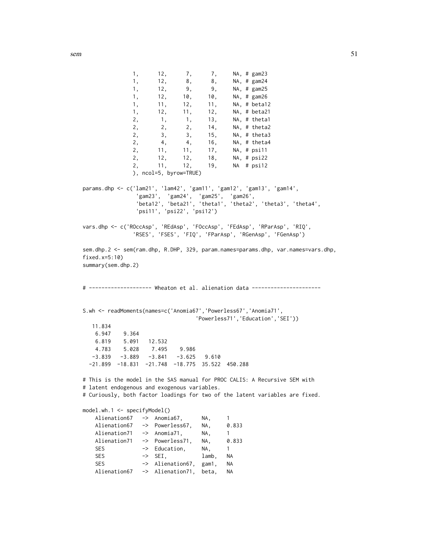```
1, 12, 8, 8, NA, # gam24<br>1. 12, 9, 9, NA, # gam25
             1, 12, 9, 9, NA, # gam25<br>1. 12. 10, 10, NA, # gam26
             1, 12, 10, 10, NA, # gam26
             1, 11, 12, 11, NA, # beta12
             1, 12, 11, 12, NA, # beta21
             2, 1, 1, 13, NA, # theta1
             2, 2, 2, 14, NA, # theta2
             2, 3, 3, 15, NA, # theta3
             2, 4, 4, 16, NA, # theta4
             2, 11, 11, 17, NA, # psi11
             2, 12, 12, 18, NA, # psi22
             2, 11, 12, 19, NA # psi12
             ), ncol=5, byrow=TRUE)
params.dhp <- c('lam21', 'lam42', 'gam11', 'gam12', 'gam13', 'gam14',
               'gam23', 'gam24', 'gam25', 'gam26',
               'beta12', 'beta21', 'theta1', 'theta2', 'theta3', 'theta4',
              'psi11', 'psi22', 'psi12')
vars.dhp <- c('ROccAsp', 'REdAsp', 'FOccAsp', 'FEdAsp', 'RParAsp', 'RIQ',
             'RSES', 'FSES', 'FIQ', 'FParAsp', 'RGenAsp', 'FGenAsp')
sem.dhp.2 <- sem(ram.dhp, R.DHP, 329, param.names=params.dhp, var.names=vars.dhp,
fixed.x=5:10)
summary(sem.dhp.2)
# -------------------- Wheaton et al. alienation data ----------------------
S.wh <- readMoments(names=c('Anomia67','Powerless67','Anomia71',
                              'Powerless71','Education','SEI'))
  11.834
   6.947 9.364
   6.819 5.091 12.532
   4.783 5.028 7.495 9.986
  -3.839 -3.889 -3.841 -3.625 9.610-21.899 -18.831 -21.748 -18.775 35.522 450.288
# This is the model in the SAS manual for PROC CALIS: A Recursive SEM with
# latent endogenous and exogenous variables.
# Curiously, both factor loadings for two of the latent variables are fixed.
model.wh.1 <- specifyModel()
   Alienation67 -> Anomia67, NA, 1
   Alienation67 -> Powerless67, NA, 0.833
   Alienation71 -> Anomia71, NA, 1
   Alienation71 -> Powerless71, NA, 0.833
   SES -> Education, NA, 1
   SES -> SEI, lamb, NA
   SES -> Alienation67, gam1, NA
   Alienation67 -> Alienation71, beta, NA
```
1, 12, 7, 7, NA, # gam23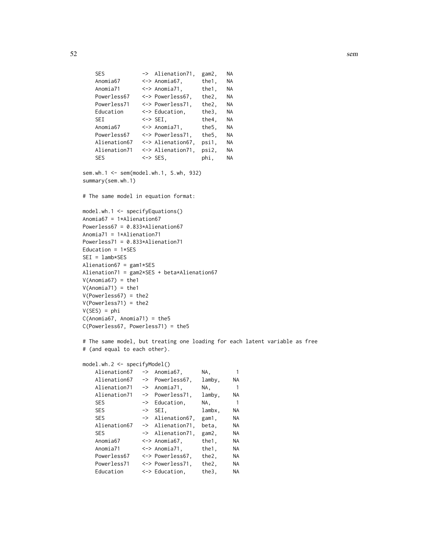```
SES -> Alienation71, gam2, NA
   Anomia67 <-> Anomia67, the1, NA
   Anomia71 <-> Anomia71, the1, NA
   Powerless67 <-> Powerless67, the2, NA
   Powerless71 <-> Powerless71, the2, NA
   Education <-> Education, the3, NA
   SEI <-> SEI, the4, NA
   Anomia67 <-> Anomia71, the5, NA
   Powerless67 <-> Powerless71, the5, NA
   Alienation67 <-> Alienation67, psi1, NA
   Alienation71 <-> Alienation71, psi2, NA
   SES <-> SES, phi, NA
sem.wh.1 <- sem(model.wh.1, S.wh, 932)
summary(sem.wh.1)
# The same model in equation format:
model.wh.1 <- specifyEquations()
Anomia67 = 1*Alienation67
Powerless67 = 0.833*Alienation67
Anomia71 = 1*Alienation71
Powerless71 = 0.833*Alienation71
Education = 1*SES
SEI = lamb*SES
Alienation67 = gam1*SES
Alienation71 = gam2*SES + beta*Alienation67
V(\text{Anomia67}) = \text{the1}V(\text{Anomia71}) = \text{the1}V(Powerless67) = the2
V(Powerless71) = the2
V(SES) = phiC(\text{Anomia67}, \text{Anomia71}) = \text{the5}C(Powerless67, Powerless71) = the5
# The same model, but treating one loading for each latent variable as free
# (and equal to each other).
model.wh.2 <- specifyModel()
```

| Alienation67 | -> | Anomia67,              | NA.    | 1         |
|--------------|----|------------------------|--------|-----------|
| Alienation67 |    | -> Powerless67.        | lamby, | NA        |
| Alienation71 | -> | Anomia71,              | NA.    | 1         |
| Alienation71 |    | -> Powerless71.        | lamby, | NA        |
| <b>SES</b>   |    | -> Education,          | NA.    | 1         |
| <b>SES</b>   |    | $\Rightarrow$ SEI.     | lambx. | NA        |
| <b>SES</b>   |    | -> Alienation67.       | gam1,  | NA        |
| Alienation67 |    | -> Alienation71.       | beta.  | NA.       |
| <b>SES</b>   |    | -> Alienation71.       | gam2,  | NA        |
| Anomia67     |    | $\leftarrow$ Anomia67, | the1,  | <b>NA</b> |
| Anomia71     |    | $\leftarrow$ Anomia71, | the1,  | NA.       |
| Powerless67  |    | <-> Powerless67.       | the2,  | NA        |
| Powerless71  |    | <-> Powerless71.       | the2,  | NA        |
| Education    |    | <-> Education,         | the3,  | NA        |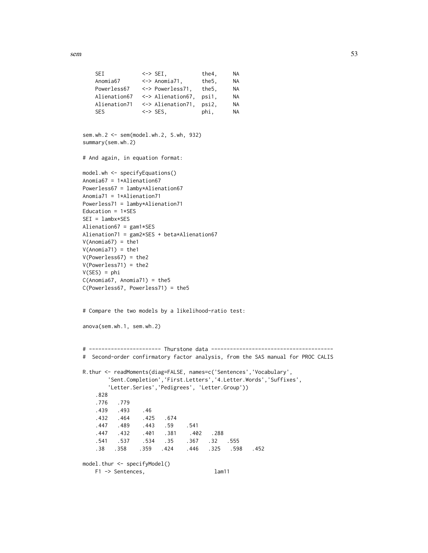sem 53

```
SEI <-> SEI, the4, NA
   Anomia67 <-> Anomia71, the5, NA
   Powerless67 <-> Powerless71, the5, NA
   Alienation67 <-> Alienation67, psi1, NA
   Alienation71 <-> Alienation71, psi2, NA
   SES <-> SES, phi, NA
sem.wh.2 <- sem(model.wh.2, S.wh, 932)
summary(sem.wh.2)
# And again, in equation format:
model.wh <- specifyEquations()
Anomia67 = 1*Alienation67
Powerless67 = lamby*Alienation67
Anomia71 = 1*Alienation71
Powerless71 = lamby*Alienation71
Education = 1*SES
SEI = lambx*SES
Alienation67 = gam1*SES
Alienation71 = gam2*SES + beta*Alienation67
V(\text{Anomia67}) = \text{the1}V(\text{Anomia71}) = \text{the1}V(Powerless67) = the2
V(Powerless71) = the2
V(SES) = phiC(\text{Anomia67}, \text{Anomia71}) = \text{the5}C(Powerless67, Powerless71) = the5
# Compare the two models by a likelihood-ratio test:
anova(sem.wh.1, sem.wh.2)
# ----------------------- Thurstone data ---------------------------------------
# Second-order confirmatory factor analysis, from the SAS manual for PROC CALIS
R.thur <- readMoments(diag=FALSE, names=c('Sentences','Vocabulary',
       'Sent.Completion','First.Letters','4.Letter.Words','Suffixes',
       'Letter.Series','Pedigrees', 'Letter.Group'))
   .828
   .776 .779
   .439 .493 .46
   .432 .464 .425 .674
   .447 .489 .443 .59 .541
   .447 .432 .401 .381 .402 .288
   .541 .537 .534 .35 .367 .32 .555
   .38 .358 .359 .424 .446 .325 .598 .452
model.thur <- specifyModel()
   F1 -> Sentences, lam11
```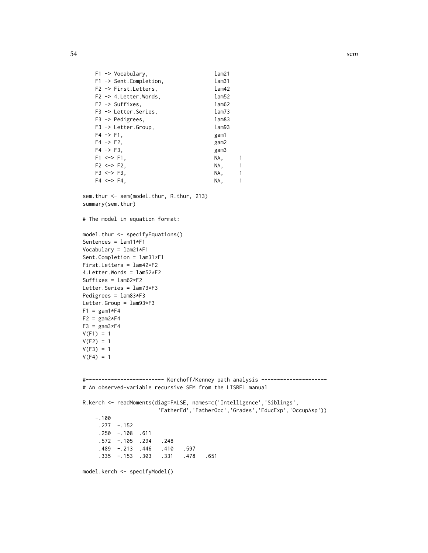```
F1 -> Vocabulary, lam21
F1 -> Sent.Completion, lam31
F2 -> First.Letters, lam42
F2 -> 4. Letter. Words, lam52
F2 -> Suffixes, lam62
F3 -> Letter.Series, lam73
F3 -> Pedigrees, lam83
F3 -> Letter.Group, lam93
F4 \rightarrow F1, gam1
F4 -> F2, gam2
F4 -> F3, gam3
F1 <-> F1, NA, NA, 1
F2 \le -> F2, NA, 1
F3 <-> F3, NA, 1
F4 \le -\frac{1}{2} F4, NA, 1
```
sem.thur <- sem(model.thur, R.thur, 213) summary(sem.thur)

# The model in equation format:

```
model.thur <- specifyEquations()
Sentences = lam11*F1
Vocabulary = lam21*F1
Sent.Completion = lam31*F1
First.Letters = lam42*F2
4.Letter.Words = lam52*F2
Suffixes = lamb2*F2Letter.Series = lam73*F3
Pedigrees = lam83*F3
Letter.Group = lam93*F3
F1 = \text{gam1*}F4F2 = \text{gam2*}F4F3 = \text{gam3*}F4V(F1) = 1V(F2) = 1V(F3) = 1V(F4) = 1
```
#------------------------- Kerchoff/Kenney path analysis --------------------- # An observed-variable recursive SEM from the LISREL manual

```
R.kerch <- readMoments(diag=FALSE, names=c('Intelligence','Siblings',
                      'FatherEd','FatherOcc','Grades','EducExp','OccupAsp'))
   -.100
    .277 -.152
    .250 -.108 .611
    .572 -.105 .294 .248
    .489 -.213 .446 .410 .597
    .335 -.153 .303 .331 .478 .651
```
model.kerch <- specifyModel()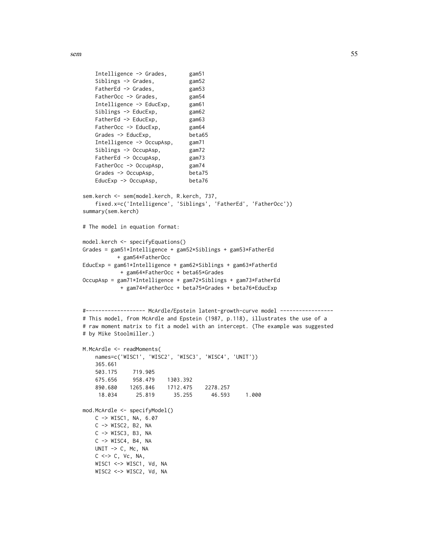```
sem 55
```

```
Intelligence -> Grades, gam51
   Siblings -> Grades, gam52
   FatherEd -> Grades, gam53
   FatherOcc -> Grades, gam54
   Intelligence -> EducExp, gam61
   Siblings -> EducExp, gam62
   FatherEd -> EducExp, gam63
   FatherOcc -> EducExp, gam64
   Grades -> EducExp, beta65
   Intelligence -> OccupAsp, gam71
   Siblings -> OccupAsp, gam72
   FatherEd -> OccupAsp, gam73
   FatherOcc -> OccupAsp, gam74
   Grades -> OccupAsp, beta75
   EducExp -> OccupAsp, beta76
sem.kerch <- sem(model.kerch, R.kerch, 737,
   fixed.x=c('Intelligence', 'Siblings', 'FatherEd', 'FatherOcc'))
summary(sem.kerch)
# The model in equation format:
model.kerch <- specifyEquations()
Grades = gam51*Intelligence + gam52*Siblings + gam53*FatherEd
         + gam54*FatherOcc
EducExp = gam61*Intelligence + gam62*Siblings + gam63*FatherEd
          + gam64*FatherOcc + beta65*Grades
OccupAsp = gam71*Intelligence + gam72*Siblings + gam73*FatherEd
          + gam74*FatherOcc + beta75*Grades + beta76*EducExp
#------------------- McArdle/Epstein latent-growth-curve model -----------------
# This model, from McArdle and Epstein (1987, p.118), illustrates the use of a
# raw moment matrix to fit a model with an intercept. (The example was suggested
# by Mike Stoolmiller.)
M.McArdle <- readMoments(
   names=c('WISC1', 'WISC2', 'WISC3', 'WISC4', 'UNIT'))
   365.661
   503.175 719.905
   675.656 958.479 1303.392
   890.680 1265.846 1712.475 2278.257
    18.034 25.819 35.255 46.593 1.000
mod.McArdle <- specifyModel()
   C -> WISC1, NA, 6.07
   C -> WISC2, B2, NA
   C -> WISC3, B3, NA
   C -> WISC4, B4, NA
   UNIT \rightarrow C, Mc, NA
   C \iff C, VC, NA,WISC1 <-> WISC1, Vd, NA
   WISC2 <-> WISC2, Vd, NA
```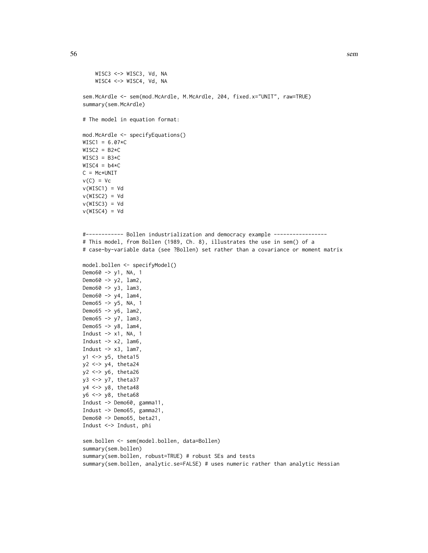```
WISC3 <-> WISC3, Vd, NA
    WISC4 <-> WISC4, Vd, NA
sem.McArdle <- sem(mod.McArdle, M.McArdle, 204, fixed.x="UNIT", raw=TRUE)
summary(sem.McArdle)
# The model in equation format:
mod.McArdle <- specifyEquations()
WISC1 = 6.07*CWISC2 = B2*CWISC3 = B3*CWISC4 = b4*CC = Mc*UNITv(C) = Vcv(WISC1) = Vdv(WISC2) = Vdv(WISC3) = Vdv(WISC4) = Vd#------------ Bollen industrialization and democracy example -----------------
# This model, from Bollen (1989, Ch. 8), illustrates the use in sem() of a
# case-by-variable data (see ?Bollen) set rather than a covariance or moment matrix
model.bollen <- specifyModel()
Demo60 -> y1, NA, 1
Demo60 -> y2, lam2,
Demo60 -> y3, lam3,
Demo60 -> y4, lam4,
Demo65 -> y5, NA, 1
Demo65 -> y6, lam2,
Demo65 -> y7, lam3,
Demo65 \rightarrow y8, lam4,
Indust \rightarrow x1, NA, 1
Indust \rightarrow x2, lam6,
Indust \rightarrow x3, lam7,
y1 <-> y5, theta15
y2 <-> y4, theta24
y2 <-> y6, theta26
y3 <-> y7, theta37
y4 <-> y8, theta48
y6 <-> y8, theta68
Indust -> Demo60, gamma11,
Indust -> Demo65, gamma21,
Demo60 -> Demo65, beta21,
Indust <-> Indust, phi
sem.bollen <- sem(model.bollen, data=Bollen)
summary(sem.bollen)
summary(sem.bollen, robust=TRUE) # robust SEs and tests
```
summary(sem.bollen, analytic.se=FALSE) # uses numeric rather than analytic Hessian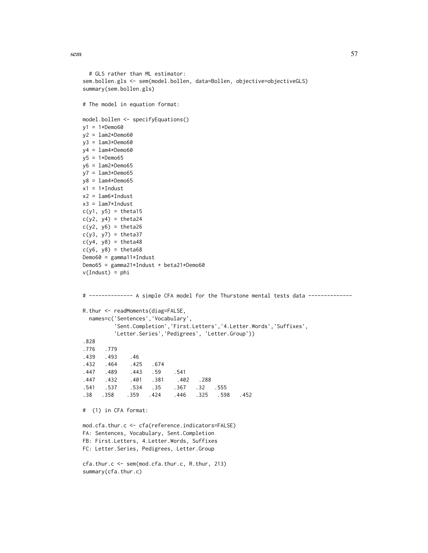sem 57

```
# GLS rather than ML estimator:
sem.bollen.gls <- sem(model.bollen, data=Bollen, objective=objectiveGLS)
summary(sem.bollen.gls)
# The model in equation format:
model.bollen <- specifyEquations()
y1 = 1*Dem 60y2 = lam2*Demo60
y3 = lam3*Demo60
y4 = lam4*Demo60
y5 = 1*Demo65y6 = lam2*Demo65
y7 = lam3*Demo65
y8 = lam4*Demo65
x1 = 1*Industx2 = lam6*Indust
x3 = lam7*Indust
c(y1, y5) = \text{theta15}c(y2, y4) = \text{theta}24c(y2, y6) = \text{theta}26c(y3, y7) = \text{theta37}c(y4, y8) = \text{theta4}c(y6, y8) = \text{theta}68Demo60 = gamma11*IndustDemo65 = gamma21*Indust + beta21*Demo60
v(Indust) = phi# -------------- A simple CFA model for the Thurstone mental tests data --------------
R.thur <- readMoments(diag=FALSE,
  names=c('Sentences','Vocabulary',
          'Sent.Completion','First.Letters','4.Letter.Words','Suffixes',
          'Letter.Series','Pedigrees', 'Letter.Group'))
.828
.776 .779
.439 .493 .46
.432 .464 .425 .674
.447 .489 .443 .59 .541
.447 .432 .401 .381 .402 .288<br>541 .537 .534 .35 .367 .32
.541 .537 .534 .35 .367 .32 .555
.38 .358 .359 .424 .446 .325 .598 .452
# (1) in CFA format:
mod.cfa.thur.c <- cfa(reference.indicators=FALSE)
FA: Sentences, Vocabulary, Sent.Completion
FB: First.Letters, 4.Letter.Words, Suffixes
FC: Letter.Series, Pedigrees, Letter.Group
cfa.thur.c <- sem(mod.cfa.thur.c, R.thur, 213)
summary(cfa.thur.c)
```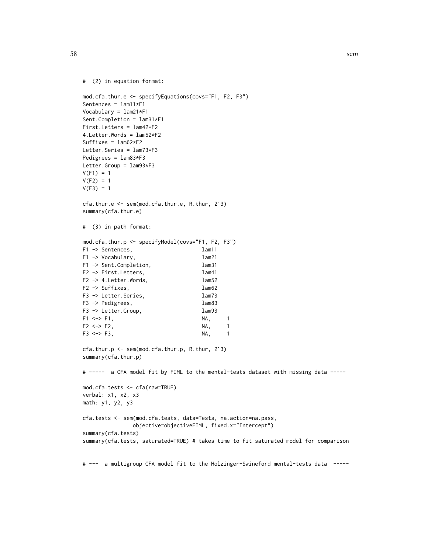```
# (2) in equation format:
```

```
mod.cfa.thur.e <- specifyEquations(covs="F1, F2, F3")
Sentences = lam11*F1
Vocabulary = lam21*F1
Sent.Completion = lam31*F1
First.Letters = lam42*F2
4.Letter.Words = lam52*F2
Suffixes = lam62*F2
Letter.Series = lam73*F3
Pedigrees = lam83*F3
Letter.Group = lam93*F3
V(F1) = 1V(F2) = 1V(F3) = 1cfa.thur.e <- sem(mod.cfa.thur.e, R.thur, 213)
summary(cfa.thur.e)
# (3) in path format:
mod.cfa.thur.p <- specifyModel(covs="F1, F2, F3")
F1 -> Sentences, lam11
F1 -> Vocabulary, lam21
F1 -> Sent.Completion, lam31
F2 -> First.Letters, lam41
F2 -> 4. Letter. Words, lam52
F2 -> Suffixes, lam62
F3 -> Letter.Series, lam73
F3 -> Pedigrees, lam83
F3 -> Letter.Group, lam93
F1 <-> F1, NA, 1
F2 \le -\ge F2, NA, 1
F3 \lt -> F3, NA, 1
```

```
cfa.thur.p <- sem(mod.cfa.thur.p, R.thur, 213)
summary(cfa.thur.p)
```

```
# ----- a CFA model fit by FIML to the mental-tests dataset with missing data ----
```

```
mod.cfa.tests <- cfa(raw=TRUE)
verbal: x1, x2, x3
math: y1, y2, y3
cfa.tests <- sem(mod.cfa.tests, data=Tests, na.action=na.pass,
                objective=objectiveFIML, fixed.x="Intercept")
summary(cfa.tests)
summary(cfa.tests, saturated=TRUE) # takes time to fit saturated model for comparison
```
# --- a multigroup CFA model fit to the Holzinger-Swineford mental-tests data -----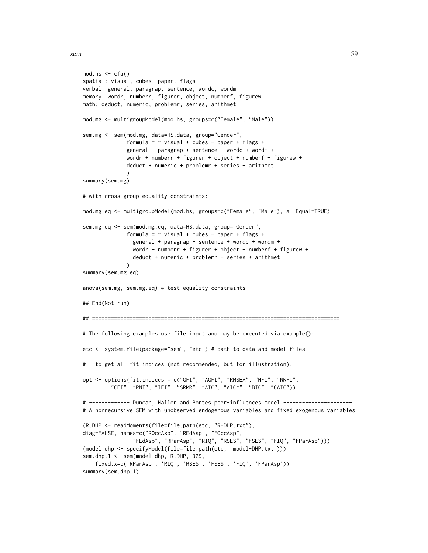```
mod.hs < -cfa()spatial: visual, cubes, paper, flags
verbal: general, paragrap, sentence, wordc, wordm
memory: wordr, numberr, figurer, object, numberf, figurew
math: deduct, numeric, problemr, series, arithmet
mod.mg <- multigroupModel(mod.hs, groups=c("Female", "Male"))
sem.mg <- sem(mod.mg, data=HS.data, group="Gender",
              formula = \sim visual + cubes + paper + flags +
              general + paragrap + sentence + wordc + wordm +
              wordr + numberr + figurer + object + numberf + figurew +
              deduct + numeric + problemr + series + arithmet
               )
summary(sem.mg)
# with cross-group equality constraints:
mod.mg.eq <- multigroupModel(mod.hs, groups=c("Female", "Male"), allEqual=TRUE)
sem.mg.eq <- sem(mod.mg.eq, data=HS.data, group="Gender",
              formula = \sim visual + cubes + paper + flags +
                general + paragrap + sentence + wordc + wordm +
                wordr + numberr + figurer + object + numberf + figurew +
                deduct + numeric + problemr + series + arithmet
              )
summary(sem.mg.eq)
anova(sem.mg, sem.mg.eq) # test equality constraints
## End(Not run)
## ===============================================================================
# The following examples use file input and may be executed via example():
etc <- system.file(package="sem", "etc") # path to data and model files
# to get all fit indices (not recommended, but for illustration):
opt <- options(fit.indices = c("GFI", "AGFI", "RMSEA", "NFI", "NNFI",
         "CFI", "RNI", "IFI", "SRMR", "AIC", "AICc", "BIC", "CAIC"))
# ------------- Duncan, Haller and Portes peer-influences model ----------------------
# A nonrecursive SEM with unobserved endogenous variables and fixed exogenous variables
(R.DHP <- readMoments(file=file.path(etc, "R-DHP.txt"),
diag=FALSE, names=c("ROccAsp", "REdAsp", "FOccAsp",
                 "FEdAsp", "RParAsp", "RIQ", "RSES", "FSES", "FIQ", "FParAsp")))
(model.dhp <- specifyModel(file=file.path(etc, "model-DHP.txt")))
sem.dhp.1 <- sem(model.dhp, R.DHP, 329,
    fixed.x=c('RParAsp', 'RIQ', 'RSES', 'FSES', 'FIQ', 'FParAsp'))
summary(sem.dhp.1)
```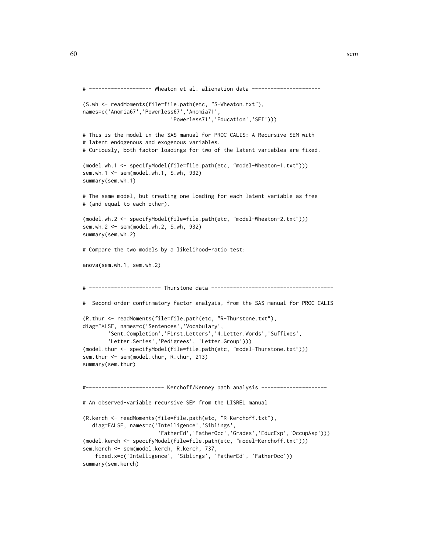```
# -------------------- Wheaton et al. alienation data ----------------------
(S.wh <- readMoments(file=file.path(etc, "S-Wheaton.txt"),
names=c('Anomia67','Powerless67','Anomia71',
                            'Powerless71','Education','SEI')))
# This is the model in the SAS manual for PROC CALIS: A Recursive SEM with
# latent endogenous and exogenous variables.
# Curiously, both factor loadings for two of the latent variables are fixed.
(model.wh.1 <- specifyModel(file=file.path(etc, "model-Wheaton-1.txt")))
sem.wh.1 <- sem(model.wh.1, S.wh, 932)
summary(sem.wh.1)
# The same model, but treating one loading for each latent variable as free
# (and equal to each other).
(model.wh.2 <- specifyModel(file=file.path(etc, "model-Wheaton-2.txt")))
sem.wh.2 <- sem(model.wh.2, S.wh, 932)
summary(sem.wh.2)
# Compare the two models by a likelihood-ratio test:
anova(sem.wh.1, sem.wh.2)
# ----------------------- Thurstone data ---------------------------------------
# Second-order confirmatory factor analysis, from the SAS manual for PROC CALIS
(R.thur <- readMoments(file=file.path(etc, "R-Thurstone.txt"),
diag=FALSE, names=c('Sentences','Vocabulary',
        'Sent.Completion','First.Letters','4.Letter.Words','Suffixes',
        'Letter.Series','Pedigrees', 'Letter.Group')))
(model.thur <- specifyModel(file=file.path(etc, "model-Thurstone.txt")))
sem.thur <- sem(model.thur, R.thur, 213)
summary(sem.thur)
#------------------------- Kerchoff/Kenney path analysis ---------------------
# An observed-variable recursive SEM from the LISREL manual
(R.kerch <- readMoments(file=file.path(etc, "R-Kerchoff.txt"),
   diag=FALSE, names=c('Intelligence','Siblings',
                        'FatherEd','FatherOcc','Grades','EducExp','OccupAsp')))
(model.kerch <- specifyModel(file=file.path(etc, "model-Kerchoff.txt")))
sem.kerch <- sem(model.kerch, R.kerch, 737,
    fixed.x=c('Intelligence', 'Siblings', 'FatherEd', 'FatherOcc'))
summary(sem.kerch)
```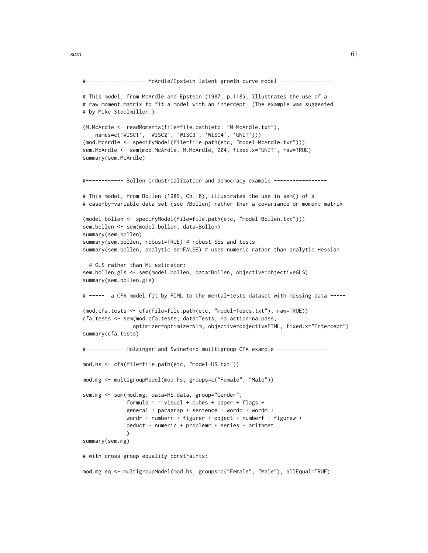sem 61

```
#------------------- McArdle/Epstein latent-growth-curve model -----------------
# This model, from McArdle and Epstein (1987, p.118), illustrates the use of a
# raw moment matrix to fit a model with an intercept. (The example was suggested
# by Mike Stoolmiller.)
(M.McArdle <- readMoments(file=file.path(etc, "M-McArdle.txt"),
    names=c('WISC1', 'WISC2', 'WISC3', 'WISC4', 'UNIT')))
(mod.McArdle <- specifyModel(file=file.path(etc, "model-McArdle.txt")))
sem.McArdle <- sem(mod.McArdle, M.McArdle, 204, fixed.x="UNIT", raw=TRUE)
summary(sem.McArdle)
#------------ Bollen industrialization and democracy example -----------------
# This model, from Bollen (1989, Ch. 8), illustrates the use in sem() of a
# case-by-variable data set (see ?Bollen) rather than a covariance or moment matrix
(model.bollen <- specifyModel(file=file.path(etc, "model-Bollen.txt")))
sem.bollen <- sem(model.bollen, data=Bollen)
summary(sem.bollen)
summary(sem.bollen, robust=TRUE) # robust SEs and tests
summary(sem.bollen, analytic.se=FALSE) # uses numeric rather than analytic Hessian
 # GLS rather than ML estimator:
sem.bollen.gls <- sem(model.bollen, data=Bollen, objective=objectiveGLS)
summary(sem.bollen.gls)
# ----- a CFA model fit by FIML to the mental-tests dataset with missing data -----
(mod.cfa.tests <- cfa(file=file.path(etc, "model-Tests.txt"), raw=TRUE))
cfa.tests <- sem(mod.cfa.tests, data=Tests, na.action=na.pass,
                optimizer=optimizerNlm, objective=objectiveFIML, fixed.x="Intercept")
summary(cfa.tests)
#------------ Holzinger and Swineford muiltigroup CFA example ----------------
mod.hs <- cfa(file=file.path(etc, "model-HS.txt"))
mod.mg <- multigroupModel(mod.hs, groups=c("Female", "Male"))
sem.mg <- sem(mod.mg, data=HS.data, group="Gender",
              formula = \sim visual + cubes + paper + flags +
              general + paragrap + sentence + wordc + wordm +
              wordr + numberr + figurer + object + numberf + figurew +
              deduct + numeric + problemr + series + arithmet
             \lambdasummary(sem.mg)
# with cross-group equality constraints:
```
mod.mg.eq <- multigroupModel(mod.hs, groups=c("Female", "Male"), allEqual=TRUE)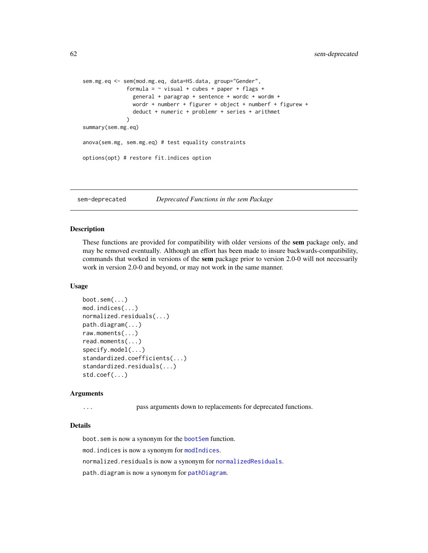```
sem.mg.eq <- sem(mod.mg.eq, data=HS.data, group="Gender",
              formula = \sim visual + cubes + paper + flags +
                general + paragrap + sentence + wordc + wordm +
                wordr + numberr + figurer + object + numberf + figurew +
                deduct + numeric + problemr + series + arithmet
              )
summary(sem.mg.eq)
anova(sem.mg, sem.mg.eq) # test equality constraints
options(opt) # restore fit.indices option
```
sem-deprecated *Deprecated Functions in the sem Package*

## Description

These functions are provided for compatibility with older versions of the sem package only, and may be removed eventually. Although an effort has been made to insure backwards-compatibility, commands that worked in versions of the sem package prior to version 2.0-0 will not necessarily work in version 2.0-0 and beyond, or may not work in the same manner.

## Usage

```
boot.sem(...)
mod.indices(...)
normalized.residuals(...)
path.diagram(...)
raw.moments(...)
read.moments(...)
specify.model(...)
standardized.coefficients(...)
standardized.residuals(...)
std.coef(...)
```
### Arguments

... pass arguments down to replacements for deprecated functions.

## Details

boot.sem is now a synonym for the [bootSem](#page-2-0) function. mod.indices is now a synonym for [modIndices](#page-21-0). normalized.residuals is now a synonym for [normalizedResiduals](#page-36-0).

path.diagram is now a synonym for [pathDiagram](#page-26-0).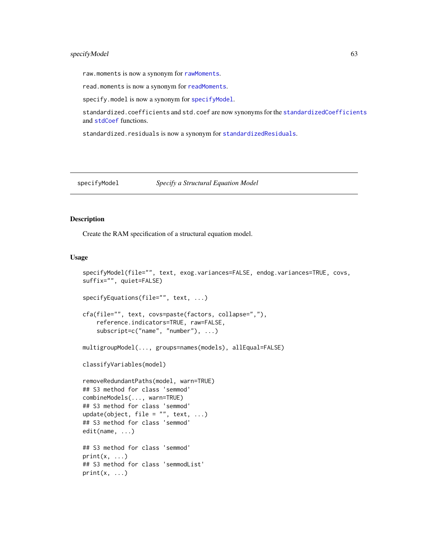# specifyModel 63

raw.moments is now a synonym for [rawMoments](#page-33-0).

read.moments is now a synonym for [readMoments](#page-35-0).

specify.model is now a synonym for [specifyModel](#page-62-0).

standardized.coefficients and std.coef are now synonyms for the [standardizedCoefficients](#page-71-0) and [stdCoef](#page-71-1) functions.

standardized.residuals is now a synonym for [standardizedResiduals](#page-36-0).

<span id="page-62-0"></span>specifyModel *Specify a Structural Equation Model* 

## <span id="page-62-1"></span>Description

Create the RAM specification of a structural equation model.

## Usage

```
specifyModel(file="", text, exog.variances=FALSE, endog.variances=TRUE, covs,
suffix="", quiet=FALSE)
specifyEquations(file="", text, ...)
cfa(file="", text, covs=paste(factors, collapse=","),
    reference.indicators=TRUE, raw=FALSE,
    subscript=c("name", "number"), ...)
multigroupModel(..., groups=names(models), allEqual=FALSE)
classifyVariables(model)
removeRedundantPaths(model, warn=TRUE)
## S3 method for class 'semmod'
combineModels(..., warn=TRUE)
## S3 method for class 'semmod'
update(object, file = ", text, ...)
## S3 method for class 'semmod'
edit(name, ...)
## S3 method for class 'semmod'
print(x, \ldots)## S3 method for class 'semmodList'
print(x, \ldots)
```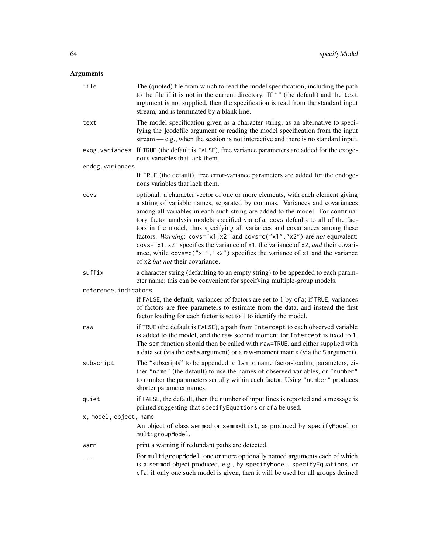# Arguments

| file                   | The (quoted) file from which to read the model specification, including the path<br>to the file if it is not in the current directory. If "" (the default) and the text<br>argument is not supplied, then the specification is read from the standard input<br>stream, and is terminated by a blank line.                                                                                                                                                                                                                                                                                                                                                                                                           |  |  |
|------------------------|---------------------------------------------------------------------------------------------------------------------------------------------------------------------------------------------------------------------------------------------------------------------------------------------------------------------------------------------------------------------------------------------------------------------------------------------------------------------------------------------------------------------------------------------------------------------------------------------------------------------------------------------------------------------------------------------------------------------|--|--|
| text                   | The model specification given as a character string, as an alternative to speci-<br>fying the ]codefile argument or reading the model specification from the input<br>stream $-e.g.,$ when the session is not interactive and there is no standard input.                                                                                                                                                                                                                                                                                                                                                                                                                                                           |  |  |
| exog.variances         | If TRUE (the default is FALSE), free variance parameters are added for the exoge-<br>nous variables that lack them.                                                                                                                                                                                                                                                                                                                                                                                                                                                                                                                                                                                                 |  |  |
| endog.variances        |                                                                                                                                                                                                                                                                                                                                                                                                                                                                                                                                                                                                                                                                                                                     |  |  |
|                        | If TRUE (the default), free error-variance parameters are added for the endoge-<br>nous variables that lack them.                                                                                                                                                                                                                                                                                                                                                                                                                                                                                                                                                                                                   |  |  |
| covs                   | optional: a character vector of one or more elements, with each element giving<br>a string of variable names, separated by commas. Variances and covariances<br>among all variables in each such string are added to the model. For confirma-<br>tory factor analysis models specified via cfa, covs defaults to all of the fac-<br>tors in the model, thus specifying all variances and covariances among these<br>factors. Warning: covs="x1, x2" and covs=c("x1", "x2") are not equivalent:<br>$\cos^{-1} x$ 1, x2" specifies the variance of x1, the variance of x2, and their covari-<br>ance, while covs=c("x1","x2") specifies the variance of x1 and the variance<br>of x2 <i>but not</i> their covariance. |  |  |
| suffix                 | a character string (defaulting to an empty string) to be appended to each param-<br>eter name; this can be convenient for specifying multiple-group models.                                                                                                                                                                                                                                                                                                                                                                                                                                                                                                                                                         |  |  |
| reference.indicators   |                                                                                                                                                                                                                                                                                                                                                                                                                                                                                                                                                                                                                                                                                                                     |  |  |
|                        | if FALSE, the default, variances of factors are set to 1 by cfa; if TRUE, variances<br>of factors are free parameters to estimate from the data, and instead the first<br>factor loading for each factor is set to 1 to identify the model.                                                                                                                                                                                                                                                                                                                                                                                                                                                                         |  |  |
| raw                    | if TRUE (the default is FALSE), a path from Intercept to each observed variable<br>is added to the model, and the raw second moment for Intercept is fixed to 1.<br>The sem function should then be called with raw=TRUE, and either supplied with<br>a data set (via the data argument) or a raw-moment matrix (via the S argument).                                                                                                                                                                                                                                                                                                                                                                               |  |  |
| subscript              | The "subscripts" to be appended to lam to name factor-loading parameters, ei-<br>ther "name" (the default) to use the names of observed variables, or "number"<br>to number the parameters serially within each factor. Using "number" produces<br>shorter parameter names.                                                                                                                                                                                                                                                                                                                                                                                                                                         |  |  |
| quiet                  | if FALSE, the default, then the number of input lines is reported and a message is<br>printed suggesting that specifyEquations or cfa be used.                                                                                                                                                                                                                                                                                                                                                                                                                                                                                                                                                                      |  |  |
| x, model, object, name |                                                                                                                                                                                                                                                                                                                                                                                                                                                                                                                                                                                                                                                                                                                     |  |  |
|                        | An object of class semmod or semmodList, as produced by specifyModel or<br>multigroupModel.                                                                                                                                                                                                                                                                                                                                                                                                                                                                                                                                                                                                                         |  |  |
| warn                   | print a warning if redundant paths are detected.                                                                                                                                                                                                                                                                                                                                                                                                                                                                                                                                                                                                                                                                    |  |  |
| .                      | For multigroupModel, one or more optionally named arguments each of which<br>is a semmod object produced, e.g., by specifyModel, specifyEquations, or<br>cfa; if only one such model is given, then it will be used for all groups defined                                                                                                                                                                                                                                                                                                                                                                                                                                                                          |  |  |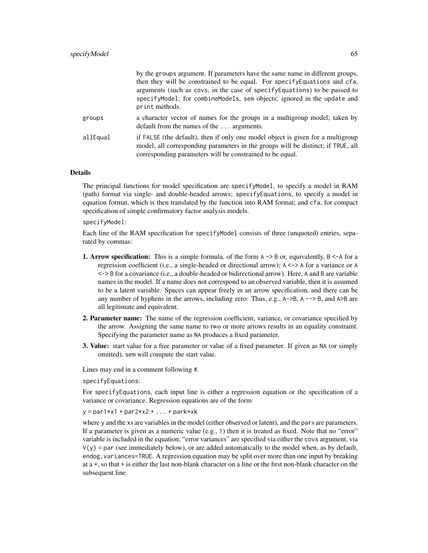|          | by the groups argument. If parameters have the same name in different groups,<br>then they will be constrained to be equal. For specify Equations and cfa,<br>arguments (such as covs, in the case of specify Equations) to be passed to<br>specifyModel; for combineModels, sem objects; ignored in the update and<br>print methods. |
|----------|---------------------------------------------------------------------------------------------------------------------------------------------------------------------------------------------------------------------------------------------------------------------------------------------------------------------------------------|
| groups   | a character vector of names for the groups in a multigroup model; taken by<br>default from the names of the  arguments.                                                                                                                                                                                                               |
| allEqual | if FALSE (the default), then if only one model object is given for a multigroup<br>model, all corresponding parameters in the groups will be distinct; if TRUE, all<br>corresponding parameters will be constrained to be equal.                                                                                                      |

## Details

The principal functions for model specification are specifyModel, to specify a model in RAM (path) format via single- and double-headed arrows; specifyEquations, to specify a model in equation format, which is then translated by the function into RAM format; and cfa, for compact specification of simple confirmatory factor analysis models.

specifyModel:

Each line of the RAM specification for specifyModel consists of three (unquoted) entries, separated by commas:

- **1. Arrow specification:** This is a simple formula, of the form  $A \rightarrow B$  or, equivalently,  $B \leq A$  for a regression coefficient (i.e., a single-headed or directional arrow); A <-> A for a variance or A <-> B for a covariance (i.e., a double-headed or bidirectional arrow). Here, A and B are variable names in the model. If a name does not correspond to an observed variable, then it is assumed to be a latent variable. Spaces can appear freely in an arrow specification, and there can be any number of hyphens in the arrows, including zero: Thus, e.g., A->B, A --> B, and A>B are all legitimate and equivalent.
- 2. Parameter name: The name of the regression coefficient, variance, or covariance specified by the arrow. Assigning the same name to two or more arrows results in an equality constraint. Specifying the parameter name as NA produces a fixed parameter.
- 3. Value: start value for a free parameter or value of a fixed parameter. If given as NA (or simply omitted), sem will compute the start value.

Lines may end in a comment following #.

specifyEquations:

For specifyEquations, each input line is either a regression equation or the specification of a variance or covariance. Regression equations are of the form

 $y = par1*x1 + par2*x2 + ... + parkxk$ 

where y and the xs are variables in the model (either observed or latent), and the pars are parameters. If a parameter is given as a numeric value (e.g., 1) then it is treated as fixed. Note that no "error" variable is included in the equation; "error variances" are specified via either the covs argument, via  $V(y)$  = par (see immediately below), or are added automatically to the model when, as by default, endog.variances=TRUE. A regression equation may be split over more than one input by breaking at a +, so that + is either the last non-blank character on a line or the first non-blank character on the subsequent line.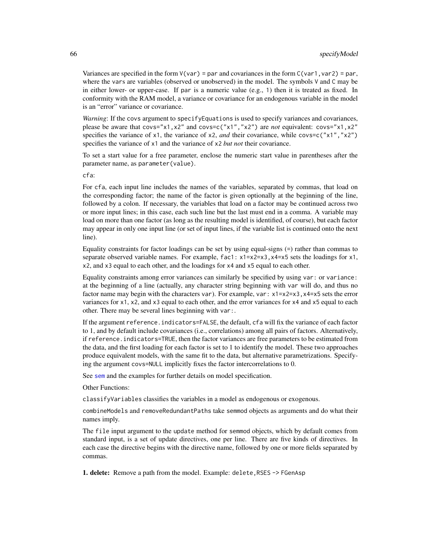Variances are specified in the form  $V(var) = par$  and covariances in the form  $C(var1, var2) = par$ , where the vars are variables (observed or unobserved) in the model. The symbols V and C may be in either lower- or upper-case. If par is a numeric value (e.g., 1) then it is treated as fixed. In conformity with the RAM model, a variance or covariance for an endogenous variable in the model is an "error" variance or covariance.

*Warning*: If the covs argument to specifyEquations is used to specify variances and covariances, please be aware that covs="x1,x2" and covs=c("x1","x2") are *not* equivalent: covs="x1,x2" specifies the variance of x1, the variance of x2, *and* their covariance, while covs=c("x1","x2") specifies the variance of x1 and the variance of x2 *but not* their covariance.

To set a start value for a free parameter, enclose the numeric start value in parentheses after the parameter name, as parameter(value).

cfa:

For cfa, each input line includes the names of the variables, separated by commas, that load on the corresponding factor; the name of the factor is given optionally at the beginning of the line, followed by a colon. If necessary, the variables that load on a factor may be continued across two or more input lines; in this case, each such line but the last must end in a comma. A variable may load on more than one factor (as long as the resulting model is identified, of course), but each factor may appear in only one input line (or set of input lines, if the variable list is continued onto the next line).

Equality constraints for factor loadings can be set by using equal-signs (=) rather than commas to separate observed variable names. For example,  $fac1$ :  $x1=x2=x3$ ,  $x4=x5$  sets the loadings for  $x1$ , x2, and x3 equal to each other, and the loadings for x4 and x5 equal to each other.

Equality constraints among error variances can similarly be specified by using var: or variance: at the beginning of a line (actually, any character string beginning with var will do, and thus no factor name may begin with the characters var). For example, var: x1=x2=x3,x4=x5 sets the error variances for x1, x2, and x3 equal to each other, and the error variances for x4 and x5 equal to each other. There may be several lines beginning with var:.

If the argument reference.indicators=FALSE, the default, cfa will fix the variance of each factor to 1, and by default include covariances (i.e., correlations) among all pairs of factors. Alternatively, if reference.indicators=TRUE, then the factor variances are free parameters to be estimated from the data, and the first loading for each factor is set to 1 to identify the model. These two approaches produce equivalent models, with the same fit to the data, but alternative parametrizations. Specifying the argument covs=NULL implicitly fixes the factor intercorrelations to 0.

See [sem](#page-39-0) and the examples for further details on model specification.

Other Functions:

classifyVariables classifies the variables in a model as endogenous or exogenous.

combineModels and removeRedundantPaths take semmod objects as arguments and do what their names imply.

The file input argument to the update method for semmod objects, which by default comes from standard input, is a set of update directives, one per line. There are five kinds of directives. In each case the directive begins with the directive name, followed by one or more fields separated by commas.

1. delete: Remove a path from the model. Example: delete, RSES -> FGenAsp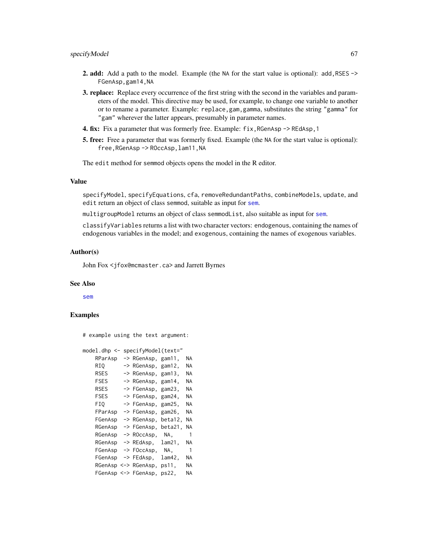- 2. add: Add a path to the model. Example (the NA for the start value is optional): add, RSES -> FGenAsp,gam14,NA
- 3. replace: Replace every occurrence of the first string with the second in the variables and parameters of the model. This directive may be used, for example, to change one variable to another or to rename a parameter. Example: replace,gam,gamma, substitutes the string "gamma" for "gam" wherever the latter appears, presumably in parameter names.
- **4. fix:** Fix a parameter that was formerly free. Example:  $fix$ , RGenAsp  $\rightarrow$  REdAsp, 1
- 5. free: Free a parameter that was formerly fixed. Example (the NA for the start value is optional): free,RGenAsp -> ROccAsp,lam11,NA

The edit method for semmod objects opens the model in the R editor.

# Value

specifyModel, specifyEquations, cfa, removeRedundantPaths, combineModels, update, and edit return an object of class semmod, suitable as input for [sem](#page-39-0).

multigroupModel returns an object of class semmodList, also suitable as input for [sem](#page-39-0).

classifyVariables returns a list with two character vectors: endogenous, containing the names of endogenous variables in the model; and exogenous, containing the names of exogenous variables.

## Author(s)

John Fox <jfox@mcmaster.ca> and Jarrett Byrnes

#### See Also

[sem](#page-39-0)

## Examples

# example using the text argument:

```
model.dhp <- specifyModel(text="
   RParAsp -> RGenAsp, gam11, NA
   RIQ -> RGenAsp, gam12, NA
   RSES -> RGenAsp, gam13, NA
   FSES -> RGenAsp, gam14, NA
   RSES -> FGenAsp, gam23, NA
   FSES -> FGenAsp, gam24, NA
   FIQ -> FGenAsp, gam25, NA
   FParAsp -> FGenAsp, gam26, NA
   FGenAsp -> RGenAsp, beta12, NA
   RGenAsp -> FGenAsp, beta21, NA
   RGenAsp -> ROccAsp, NA, 1
   RGenAsp -> REdAsp, lam21, NA
   FGenAsp -> FOccAsp, NA, 1
   FGenAsp -> FEdAsp, lam42, NA
   RGenAsp <-> RGenAsp, ps11, NA
   FGenAsp <-> FGenAsp, ps22, NA
```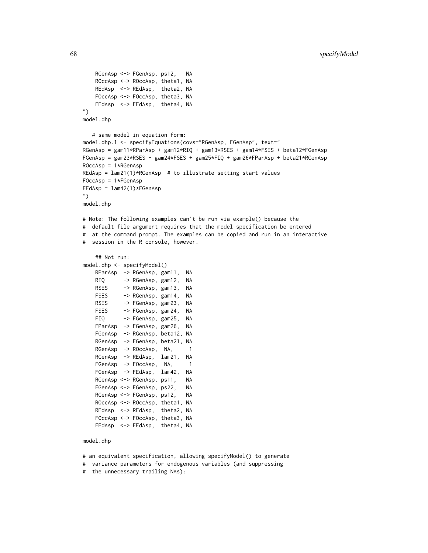```
RGenAsp <-> FGenAsp, ps12, NA
   ROccAsp <-> ROccAsp, theta1, NA
   REdAsp <-> REdAsp, theta2, NA
   FOccAsp <-> FOccAsp, theta3, NA
   FEdAsp <-> FEdAsp, theta4, NA
")
model.dhp
  # same model in equation form:
model.dhp.1 <- specifyEquations(covs="RGenAsp, FGenAsp", text="
RGenAsp = gam11*RParAsp + gam12*RIQ + gam13*RSES + gam14*FSES + beta12*FGenAsp
FGenAsp = gam23*RSES + gam24*FSES + gam25*FIQ + gam26*FParAsp + beta21*RGenAsp
ROccAsp = 1*RGenAsp
REdAsp = lam21(1)*RGenAsp # to illustrate setting start valuesFOccAsp = 1*FGenAsp
FEdAsp = lam42(1)*FGenAsp
")
model.dhp
# Note: The following examples can't be run via example() because the
# default file argument requires that the model specification be entered
# at the command prompt. The examples can be copied and run in an interactive
# session in the R console, however.
   ## Not run:
model.dhp <- specifyModel()
   RParAsp -> RGenAsp, gam11, NA
   RIQ -> RGenAsp, gam12, NA
   RSES -> RGenAsp, gam13, NA
   FSES -> RGenAsp, gam14, NA
   RSES -> FGenAsp, gam23, NA
   FSES -> FGenAsp, gam24, NA
   FIQ -> FGenAsp, gam25, NA
   FParAsp -> FGenAsp, gam26, NA
   FGenAsp -> RGenAsp, beta12, NA
   RGenAsp -> FGenAsp, beta21, NA
   RGenAsp -> ROccAsp, NA, 1
   RGenAsp -> REdAsp, lam21, NA
   FGenAsp -> FOccAsp, NA, 1
   FGenAsp -> FEdAsp, lam42, NA
   RGenAsp <-> RGenAsp, ps11, NA
   FGenAsp <-> FGenAsp, ps22, NA
   RGenAsp <-> FGenAsp, ps12, NA
   ROccAsp <-> ROccAsp, theta1, NA
   REdAsp <-> REdAsp, theta2, NA
   FOccAsp <-> FOccAsp, theta3, NA
   FEdAsp <-> FEdAsp, theta4, NA
model.dhp
```
# an equivalent specification, allowing specifyModel() to generate

# variance parameters for endogenous variables (and suppressing

# the unnecessary trailing NAs):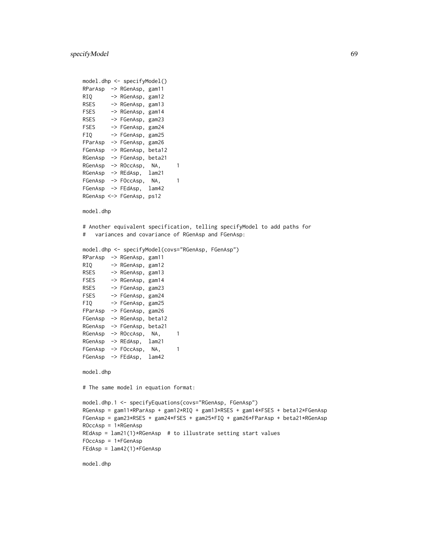```
model.dhp <- specifyModel()
RParAsp -> RGenAsp, gam11
RIQ -> RGenAsp, gam12
RSES -> RGenAsp, gam13
FSES -> RGenAsp, gam14
RSES -> FGenAsp, gam23
FSES -> FGenAsp, gam24
FIQ -> FGenAsp, gam25
FParAsp -> FGenAsp, gam26
FGenAsp -> RGenAsp, beta12
RGenAsp -> FGenAsp, beta21
RGenAsp -> ROccAsp, NA, 1
RGenAsp -> REdAsp, lam21
FGenAsp -> FOccAsp, NA, 1
FGenAsp -> FEdAsp, lam42
RGenAsp <-> FGenAsp, ps12
model.dhp
# Another equivalent specification, telling specifyModel to add paths for
# variances and covariance of RGenAsp and FGenAsp:
model.dhp <- specifyModel(covs="RGenAsp, FGenAsp")
RParAsp -> RGenAsp, gam11
RIQ -> RGenAsp, gam12
RSES -> RGenAsp, gam13
FSES -> RGenAsp, gam14
RSES -> FGenAsp, gam23
FSES -> FGenAsp, gam24
```

```
FIQ -> FGenAsp, gam25
FParAsp -> FGenAsp, gam26
FGenAsp -> RGenAsp, beta12
RGenAsp -> FGenAsp, beta21
RGenAsp -> ROccAsp, NA, 1
RGenAsp -> REdAsp, lam21
FGenAsp -> FOccAsp, NA, 1
FGenAsp -> FEdAsp, lam42
```

```
model.dhp
```
# The same model in equation format:

```
model.dhp.1 <- specifyEquations(covs="RGenAsp, FGenAsp")
RGenAsp = gam11*RParAsp + gam12*RIQ + gam13*RSES + gam14*FSES + beta12*FGenAsp
FGenAsp = gam23*RSES + gam24*FSES + gam25*FIQ + gam26*FParAsp + beta21*RGenAsp
ROccAsp = 1*RGenAsp
REdAsp = lam21(1)*RGenAsp # to illustrate setting start values
FOccAsp = 1*FGenAsp
FEdAsp = 1am42(1)*FGenAsp
```
model.dhp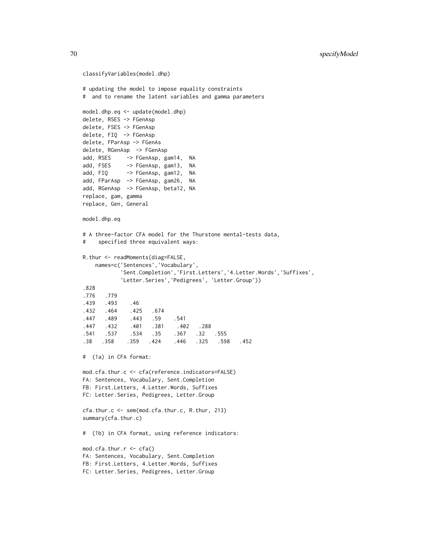```
classifyVariables(model.dhp)
# updating the model to impose equality constraints
# and to rename the latent variables and gamma parameters
model.dhp.eq <- update(model.dhp)
delete, RSES -> FGenAsp
delete, FSES -> FGenAsp
delete, FIQ -> FGenAsp
delete, FParAsp -> FGenAs
delete, RGenAsp -> FGenAsp
add, RSES -> FGenAsp, gam14, NA
add, FSES -> FGenAsp, gam13, NA
add, FIQ -> FGenAsp, gam12, NA
add, FParAsp -> FGenAsp, gam26, NA
add, RGenAsp -> FGenAsp, beta12, NA
replace, gam, gamma
replace, Gen, General
model.dhp.eq
# A three-factor CFA model for the Thurstone mental-tests data,
# specified three equivalent ways:
R.thur <- readMoments(diag=FALSE,
   names=c('Sentences','Vocabulary',
           'Sent.Completion','First.Letters','4.Letter.Words','Suffixes',
           'Letter.Series','Pedigrees', 'Letter.Group'))
.828
.776 .779
.439 .493 .46
.432 .464 .425 .674
.447 .489 .443 .59 .541
.447 .432 .401 .381 .402 .288
.541 .537 .534 .35 .367 .32 .555
.38 .358 .359 .424 .446 .325 .598 .452
# (1a) in CFA format:
mod.cfa.thur.c <- cfa(reference.indicators=FALSE)
FA: Sentences, Vocabulary, Sent.Completion
FB: First.Letters, 4.Letter.Words, Suffixes
FC: Letter.Series, Pedigrees, Letter.Group
cfa.thur.c <- sem(mod.cfa.thur.c, R.thur, 213)
summary(cfa.thur.c)
# (1b) in CFA format, using reference indicators:
mod.cfa.thur.r <- cfa()
FA: Sentences, Vocabulary, Sent.Completion
FB: First.Letters, 4.Letter.Words, Suffixes
FC: Letter.Series, Pedigrees, Letter.Group
```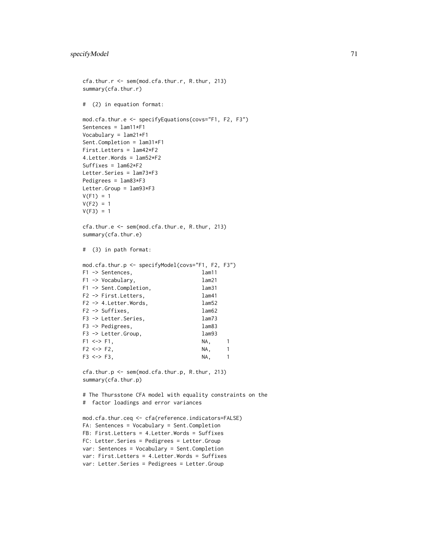```
cfa.thur.r <- sem(mod.cfa.thur.r, R.thur, 213)
summary(cfa.thur.r)
# (2) in equation format:
mod.cfa.thur.e <- specifyEquations(covs="F1, F2, F3")
Sentences = lam11*F1
Vocabulary = lam21*F1
Sent.Completion = lam31*F1
First.Letters = lam42*F2
4.Letter.Words = lam52*F2
Suffixes = lam62*F2Letter.Series = lam73*F3
Pedigrees = lam83*F3
Letter.Group = lam93*F3
V(F1) = 1V(F2) = 1V(F3) = 1cfa.thur.e <- sem(mod.cfa.thur.e, R.thur, 213)
summary(cfa.thur.e)
# (3) in path format:
mod.cfa.thur.p <- specifyModel(covs="F1, F2, F3")
F1 -> Sentences, lam11
F1 -> Vocabulary, lam21
F1 -> Sent.Completion, lam31
F2 -> First.Letters, lam41
F2 -> 4. Letter. Words, lam52
F2 -> Suffixes, lam62
F3 -> Letter.Series, lam73
F3 -> Pedigrees, lam83
F3 -> Letter.Group, lam93
F1 <-> F1, NA, 1
F2 \le -\ge F2, NA, 1
F3 \lt -> F3, NA, 1
cfa.thur.p <- sem(mod.cfa.thur.p, R.thur, 213)
summary(cfa.thur.p)
# The Thursstone CFA model with equality constraints on the
# factor loadings and error variances
mod.cfa.thur.ceq <- cfa(reference.indicators=FALSE)
FA: Sentences = Vocabulary = Sent.Completion
FB: First.Letters = 4.Letter.Words = Suffixes
FC: Letter.Series = Pedigrees = Letter.Group
var: Sentences = Vocabulary = Sent.Completion
var: First.Letters = 4.Letter.Words = Suffixes
var: Letter.Series = Pedigrees = Letter.Group
```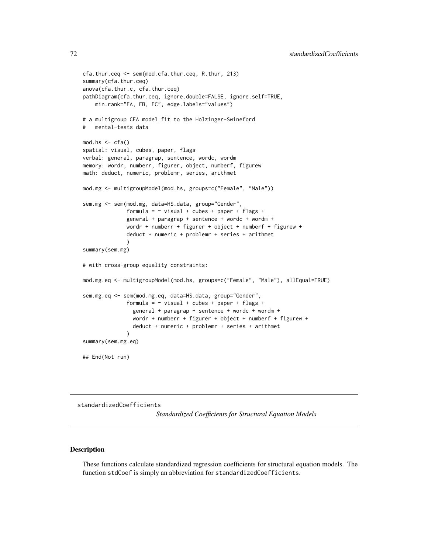```
cfa.thur.ceq <- sem(mod.cfa.thur.ceq, R.thur, 213)
summary(cfa.thur.ceq)
anova(cfa.thur.c, cfa.thur.ceq)
pathDiagram(cfa.thur.ceq, ignore.double=FALSE, ignore.self=TRUE,
    min.rank="FA, FB, FC", edge.labels="values")
# a multigroup CFA model fit to the Holzinger-Swineford
   mental-tests data
mod.hs < -cfa()spatial: visual, cubes, paper, flags
verbal: general, paragrap, sentence, wordc, wordm
memory: wordr, numberr, figurer, object, numberf, figurew
math: deduct, numeric, problemr, series, arithmet
mod.mg <- multigroupModel(mod.hs, groups=c("Female", "Male"))
sem.mg <- sem(mod.mg, data=HS.data, group="Gender",
              formula = \sim visual + cubes + paper + flags +
              general + paragrap + sentence + wordc + wordm +
              wordr + numberr + figurer + object + numberf + figurew +
              deduct + numeric + problemr + series + arithmet
              \lambdasummary(sem.mg)
# with cross-group equality constraints:
mod.mg.eq <- multigroupModel(mod.hs, groups=c("Female", "Male"), allEqual=TRUE)
sem.mg.eq <- sem(mod.mg.eq, data=HS.data, group="Gender",
              formula = \sim visual + cubes + paper + flags +
                general + paragrap + sentence + wordc + wordm +
                wordr + numberr + figurer + object + numberf + figurew +
                deduct + numeric + problemr + series + arithmet
              \lambdasummary(sem.mg.eq)
## End(Not run)
```
<span id="page-71-0"></span>standardizedCoefficients

*Standardized Coefficients for Structural Equation Models*

## <span id="page-71-1"></span>Description

These functions calculate standardized regression coefficients for structural equation models. The function stdCoef is simply an abbreviation for standardizedCoefficients.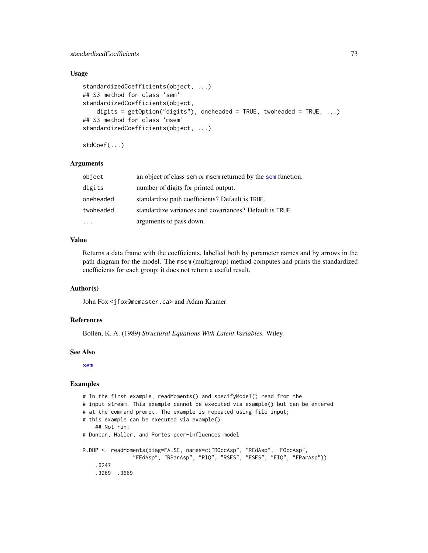## <span id="page-72-0"></span>Usage

```
standardizedCoefficients(object, ...)
## S3 method for class 'sem'
standardizedCoefficients(object,
    digits = getOption("digits"), oneheaded = TRUE, twoheaded = TRUE, ...)
## S3 method for class 'msem'
standardizedCoefficients(object, ...)
```
stdCoef(...)

## Arguments

| object    | an object of class sem or msem returned by the sem function. |
|-----------|--------------------------------------------------------------|
| digits    | number of digits for printed output.                         |
| oneheaded | standardize path coefficients? Default is TRUE.              |
| twoheaded | standardize variances and covariances? Default is TRUE.      |
|           | arguments to pass down.                                      |

## Value

Returns a data frame with the coefficients, labelled both by parameter names and by arrows in the path diagram for the model. The msem (multigroup) method computes and prints the standardized coefficients for each group; it does not return a useful result.

## Author(s)

John Fox <jfox@mcmaster.ca> and Adam Kramer

#### References

Bollen, K. A. (1989) *Structural Equations With Latent Variables.* Wiley.

#### See Also

[sem](#page-39-0)

## Examples

```
# In the first example, readMoments() and specifyModel() read from the
# input stream. This example cannot be executed via example() but can be entered
# at the command prompt. The example is repeated using file input;
# this example can be executed via example().
    ## Not run:
# Duncan, Haller, and Portes peer-influences model
R.DHP <- readMoments(diag=FALSE, names=c("ROccAsp", "REdAsp", "FOccAsp",
                "FEdAsp", "RParAsp", "RIQ", "RSES", "FSES", "FIQ", "FParAsp"))
    .6247
    .3269 .3669
```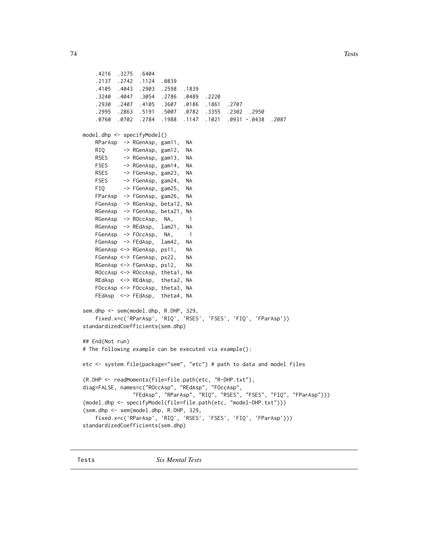```
.4216 .3275 .6404
   .2137 .2742 .1124 .0839
   .4105 .4043 .2903 .2598 .1839
   .3240 .4047 .3054 .2786 .0489 .2220
   .2930 .2407 .4105 .3607 .0186 .1861 .2707
   .2995 .2863 .5191 .5007 .0782 .3355 .2302 .2950
   .0760 .0702 .2784 .1988 .1147 .1021 .0931 -.0438 .2087
model.dhp <- specifyModel()
   RParAsp -> RGenAsp, gam11, NA
   RIQ -> RGenAsp, gam12, NA
   RSES -> RGenAsp, gam13, NA
   FSES -> RGenAsp, gam14, NA
   RSES -> FGenAsp, gam23, NA
   FSES -> FGenAsp, gam24, NA
   FIQ -> FGenAsp, gam25, NA
   FParAsp -> FGenAsp, gam26, NA
   FGenAsp -> RGenAsp, beta12, NA
   RGenAsp -> FGenAsp, beta21, NA
   RGenAsp -> ROccAsp, NA, 1
   RGenAsp -> REdAsp, lam21, NA
   FGenAsp -> FOccAsp, NA, 1
   FGenAsp -> FEdAsp, lam42, NA
   RGenAsp <-> RGenAsp, ps11, NA
   FGenAsp <-> FGenAsp, ps22, NA
   RGenAsp <-> FGenAsp, ps12, NA
   ROccAsp <-> ROccAsp, theta1, NA
   REdAsp <-> REdAsp, theta2, NA
   FOccAsp <-> FOccAsp, theta3, NA
   FEdAsp <-> FEdAsp, theta4, NA
sem.dhp <- sem(model.dhp, R.DHP, 329,
   fixed.x=c('RParAsp', 'RIQ', 'RSES', 'FSES', 'FIQ', 'FParAsp'))
standardizedCoefficients(sem.dhp)
## End(Not run)
# The following example can be executed via example():
etc <- system.file(package="sem", "etc") # path to data and model files
(R.DHP <- readMoments(file=file.path(etc, "R-DHP.txt"),
diag=FALSE, names=c("ROccAsp", "REdAsp", "FOccAsp",
               "FEdAsp", "RParAsp", "RIQ", "RSES", "FSES", "FIQ", "FParAsp")))
(model.dhp <- specifyModel(file=file.path(etc, "model-DHP.txt")))
(sem.dhp <- sem(model.dhp, R.DHP, 329,
   fixed.x=c('RParAsp', 'RIQ', 'RSES', 'FSES', 'FIQ', 'FParAsp')))
standardizedCoefficients(sem.dhp)
```
Tests *Six Mental Tests*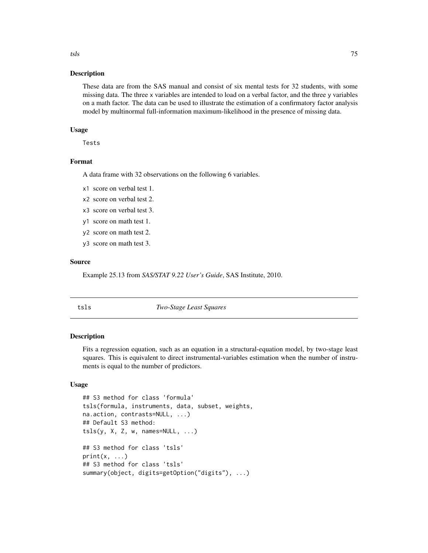#### Description

These data are from the SAS manual and consist of six mental tests for 32 students, with some missing data. The three x variables are intended to load on a verbal factor, and the three y variables on a math factor. The data can be used to illustrate the estimation of a confirmatory factor analysis model by multinormal full-information maximum-likelihood in the presence of missing data.

## Usage

Tests

## Format

A data frame with 32 observations on the following 6 variables.

- x1 score on verbal test 1.
- x2 score on verbal test 2.
- x3 score on verbal test 3.
- y1 score on math test 1.
- y2 score on math test 2.
- y3 score on math test 3.

#### Source

Example 25.13 from *SAS/STAT 9.22 User's Guide*, SAS Institute, 2010.

tsls *Two-Stage Least Squares*

#### Description

Fits a regression equation, such as an equation in a structural-equation model, by two-stage least squares. This is equivalent to direct instrumental-variables estimation when the number of instruments is equal to the number of predictors.

## Usage

```
## S3 method for class 'formula'
tsls(formula, instruments, data, subset, weights,
na.action, contrasts=NULL, ...)
## Default S3 method:
tsls(y, X, Z, w, names=NULL, ...)## S3 method for class 'tsls'
print(x, \ldots)## S3 method for class 'tsls'
summary(object, digits=getOption("digits"), ...)
```
<span id="page-74-0"></span>tsls and the contract of the contract of the contract of the contract of the contract of the contract of the contract of the contract of the contract of the contract of the contract of the contract of the contract of the c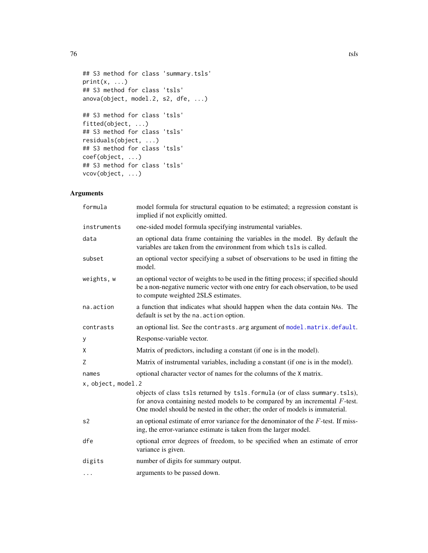```
## S3 method for class 'summary.tsls'
print(x, \ldots)## S3 method for class 'tsls'
anova(object, model.2, s2, dfe, ...)
## S3 method for class 'tsls'
fitted(object, ...)
## S3 method for class 'tsls'
residuals(object, ...)
## S3 method for class 'tsls'
coef(object, ...)
## S3 method for class 'tsls'
vcov(object, ...)
```
## Arguments

| formula            | model formula for structural equation to be estimated; a regression constant is<br>implied if not explicitly omitted.                                                                                                                         |  |
|--------------------|-----------------------------------------------------------------------------------------------------------------------------------------------------------------------------------------------------------------------------------------------|--|
| instruments        | one-sided model formula specifying instrumental variables.                                                                                                                                                                                    |  |
| data               | an optional data frame containing the variables in the model. By default the<br>variables are taken from the environment from which tsls is called.                                                                                           |  |
| subset             | an optional vector specifying a subset of observations to be used in fitting the<br>model.                                                                                                                                                    |  |
| weights, w         | an optional vector of weights to be used in the fitting process; if specified should<br>be a non-negative numeric vector with one entry for each observation, to be used<br>to compute weighted 2SLS estimates.                               |  |
| na.action          | a function that indicates what should happen when the data contain NAs. The<br>default is set by the na. action option.                                                                                                                       |  |
| contrasts          | an optional list. See the contrasts. arg argument of model. matrix. default.                                                                                                                                                                  |  |
| у                  | Response-variable vector.                                                                                                                                                                                                                     |  |
| X                  | Matrix of predictors, including a constant (if one is in the model).                                                                                                                                                                          |  |
| Ζ                  | Matrix of instrumental variables, including a constant (if one is in the model).                                                                                                                                                              |  |
| names              | optional character vector of names for the columns of the X matrix.                                                                                                                                                                           |  |
| x, object, model.2 |                                                                                                                                                                                                                                               |  |
|                    | objects of class tsls returned by tsls. formula (or of class summary. tsls),<br>for anova containing nested models to be compared by an incremental $F$ -test.<br>One model should be nested in the other; the order of models is immaterial. |  |
| s2                 | an optional estimate of error variance for the denominator of the $F$ -test. If miss-<br>ing, the error-variance estimate is taken from the larger model.                                                                                     |  |
| dfe                | optional error degrees of freedom, to be specified when an estimate of error<br>variance is given.                                                                                                                                            |  |
| digits             | number of digits for summary output.                                                                                                                                                                                                          |  |
| $\cdots$           | arguments to be passed down.                                                                                                                                                                                                                  |  |

<span id="page-75-0"></span>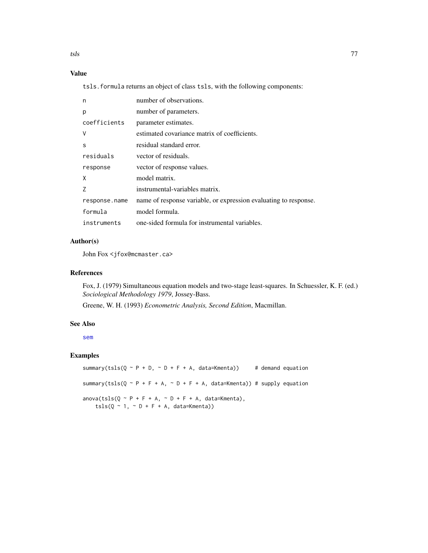<span id="page-76-0"></span>tsls **the contract of the contract of the contract of the contract of the contract of the contract of the contract of the contract of the contract of the contract of the contract of the contract of the contract of the cont** 

# Value

tsls.formula returns an object of class tsls, with the following components:

| n             | number of observations.                                          |
|---------------|------------------------------------------------------------------|
| p             | number of parameters.                                            |
| coefficients  | parameter estimates.                                             |
| V             | estimated covariance matrix of coefficients.                     |
| S             | residual standard error.                                         |
| residuals     | vector of residuals.                                             |
| response      | vector of response values.                                       |
| X             | model matrix.                                                    |
|               | instrumental-variables matrix.                                   |
| response.name | name of response variable, or expression evaluating to response. |
| formula       | model formula.                                                   |
| instruments   | one-sided formula for instrumental variables.                    |

## Author(s)

John Fox <jfox@mcmaster.ca>

## References

Fox, J. (1979) Simultaneous equation models and two-stage least-squares. In Schuessler, K. F. (ed.) *Sociological Methodology 1979*, Jossey-Bass.

Greene, W. H. (1993) *Econometric Analysis, Second Edition*, Macmillan.

#### See Also

[sem](#page-39-0)

## Examples

```
summary(tsls(Q \sim P + D, \sim D + F + A, data=Kmenta)) # demand equation
summary(tsls(Q \sim P + F + A, \sim D + F + A, data=Kmenta)) # supply equation
anova(tsls(Q \sim P + F + A, \sim D + F + A, data=Kmenta),tsls(Q \sim 1, \sim D + F + A, data=Kmenta))
```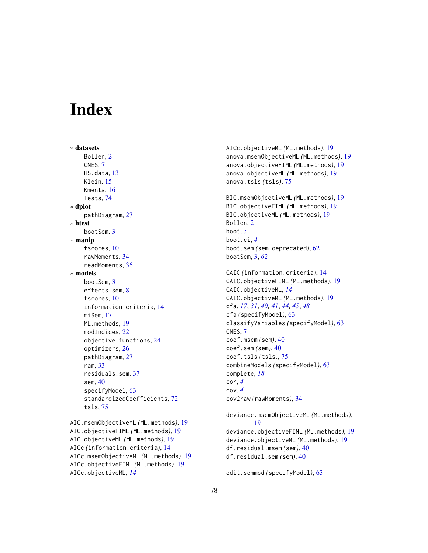# **Index**

∗ datasets Bollen, [2](#page-1-0) CNES, [7](#page-6-0) HS.data, [13](#page-12-0) Klein, [15](#page-14-0) Kmenta, [16](#page-15-0) Tests, [74](#page-73-0) ∗ dplot pathDiagram, [27](#page-26-0) ∗ htest bootSem, [3](#page-2-0) ∗ manip fscores, [10](#page-9-0) rawMoments, [34](#page-33-0) readMoments, [36](#page-35-0) ∗ models bootSem, [3](#page-2-0) effects.sem, [8](#page-7-0) fscores, [10](#page-9-0) information.criteria, [14](#page-13-0) miSem, [17](#page-16-0) ML.methods, [19](#page-18-0) modIndices, [22](#page-21-0) objective.functions, [24](#page-23-0) optimizers, [26](#page-25-0) pathDiagram, [27](#page-26-0) ram, [33](#page-32-0) residuals.sem, [37](#page-36-0) sem, [40](#page-39-1) specifyModel, [63](#page-62-0) standardizedCoefficients, [72](#page-71-0) tsls, [75](#page-74-0) AIC.msemObjectiveML *(*ML.methods*)*, [19](#page-18-0)

```
AIC.objectiveFIML (ML.methods), 19
AIC.objectiveML (ML.methods), 19
AICc (information.criteria), 14
AICc.msemObjectiveML (ML.methods), 19
AICc.objectiveFIML (ML.methods), 19
AICc.objectiveML, 14
```
AICc.objectiveML *(*ML.methods*)*, [19](#page-18-0) anova.msemObjectiveML *(*ML.methods*)*, [19](#page-18-0) anova.objectiveFIML *(*ML.methods*)*, [19](#page-18-0) anova.objectiveML *(*ML.methods*)*, [19](#page-18-0) anova.tsls *(*tsls*)*, [75](#page-74-0)

BIC.msemObjectiveML *(*ML.methods*)*, [19](#page-18-0) BIC.objectiveFIML *(*ML.methods*)*, [19](#page-18-0) BIC.objectiveML *(*ML.methods*)*, [19](#page-18-0) Bollen, [2](#page-1-0) boot, *[5](#page-4-0)* boot.ci, *[4](#page-3-0)* boot.sem *(*sem-deprecated*)*, [62](#page-61-0) bootSem, [3,](#page-2-0) *[62](#page-61-0)*

```
CAIC (information.criteria), 14
CAIC.objectiveFIML (ML.methods), 19
CAIC.objectiveML, 14
CAIC.objectiveML (ML.methods), 19
cfa, 17, 31, 40, 41, 44, 45, 48
cfa (specifyModel), 63
classifyVariables (specifyModel), 63
CNES, 7
coef.msem (sem), 40
coef.sem (sem), 40
coef.tsls (tsls), 75
combineModels (specifyModel), 63
complete, 18
cor, 4
cov, 4
cov2raw (rawMoments), 34
```
deviance.msemObjectiveML *(*ML.methods*)*, [19](#page-18-0) deviance.objectiveFIML *(*ML.methods*)*, [19](#page-18-0) deviance.objectiveML *(*ML.methods*)*, [19](#page-18-0) df.residual.msem *(*sem*)*, [40](#page-39-1) df.residual.sem *(*sem*)*, [40](#page-39-1)

```
edit.semmod (specifyModel), 63
```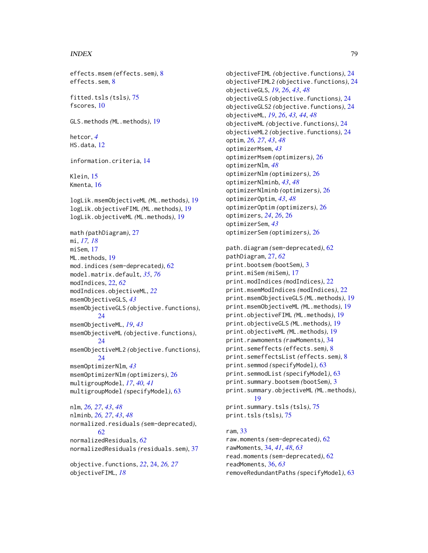#### INDEX 29

effects.msem *(*effects.sem*)*, [8](#page-7-0) effects.sem, [8](#page-7-0)

fitted.tsls *(*tsls*)*, [75](#page-74-0) fscores, [10](#page-9-0)

GLS.methods *(*ML.methods*)*, [19](#page-18-0)

hetcor, *[4](#page-3-0)* HS.data, [12](#page-11-0)

information.criteria, [14](#page-13-0)

Klein, [15](#page-14-0) Kmenta, [16](#page-15-0)

logLik.msemObjectiveML *(*ML.methods*)*, [19](#page-18-0) logLik.objectiveFIML *(*ML.methods*)*, [19](#page-18-0) logLik.objectiveML *(*ML.methods*)*, [19](#page-18-0)

math *(*pathDiagram*)*, [27](#page-26-0) mi, *[17,](#page-16-0) [18](#page-17-0)* miSem, [17](#page-16-0) ML.methods, [19](#page-18-0) mod.indices *(*sem-deprecated*)*, [62](#page-61-0) model.matrix.default, *[35](#page-34-0)*, *[76](#page-75-0)* modIndices, [22,](#page-21-0) *[62](#page-61-0)* modIndices.objectiveML, *[22](#page-21-0)* msemObjectiveGLS, *[43](#page-42-0)* msemObjectiveGLS *(*objective.functions*)*, [24](#page-23-0) msemObjectiveML, *[19](#page-18-0)*, *[43](#page-42-0)* msemObjectiveML *(*objective.functions*)*, [24](#page-23-0) msemObjectiveML2 *(*objective.functions*)*, [24](#page-23-0) msemOptimizerNlm, *[43](#page-42-0)* msemOptimizerNlm *(*optimizers*)*, [26](#page-25-0) multigroupModel, *[17](#page-16-0)*, *[40,](#page-39-1) [41](#page-40-0)* multigroupModel *(*specifyModel*)*, [63](#page-62-0)

nlm, *[26,](#page-25-0) [27](#page-26-0)*, *[43](#page-42-0)*, *[48](#page-47-0)* nlminb, *[26,](#page-25-0) [27](#page-26-0)*, *[43](#page-42-0)*, *[48](#page-47-0)* normalized.residuals *(*sem-deprecated*)*, [62](#page-61-0) normalizedResiduals, *[62](#page-61-0)* normalizedResiduals *(*residuals.sem*)*, [37](#page-36-0)

objective.functions, *[22](#page-21-0)*, [24,](#page-23-0) *[26,](#page-25-0) [27](#page-26-0)* objectiveFIML, *[18](#page-17-0)*

objectiveFIML *(*objective.functions*)*, [24](#page-23-0) objectiveFIML2 *(*objective.functions*)*, [24](#page-23-0) objectiveGLS, *[19](#page-18-0)*, *[26](#page-25-0)*, *[43](#page-42-0)*, *[48](#page-47-0)* objectiveGLS *(*objective.functions*)*, [24](#page-23-0) objectiveGLS2 *(*objective.functions*)*, [24](#page-23-0) objectiveML, *[19](#page-18-0)*, *[26](#page-25-0)*, *[43,](#page-42-0) [44](#page-43-0)*, *[48](#page-47-0)* objectiveML *(*objective.functions*)*, [24](#page-23-0) objectiveML2 *(*objective.functions*)*, [24](#page-23-0) optim, *[26,](#page-25-0) [27](#page-26-0)*, *[43](#page-42-0)*, *[48](#page-47-0)* optimizerMsem, *[43](#page-42-0)* optimizerMsem *(*optimizers*)*, [26](#page-25-0) optimizerNlm, *[48](#page-47-0)* optimizerNlm *(*optimizers*)*, [26](#page-25-0) optimizerNlminb, *[43](#page-42-0)*, *[48](#page-47-0)* optimizerNlminb *(*optimizers*)*, [26](#page-25-0) optimizerOptim, *[43](#page-42-0)*, *[48](#page-47-0)* optimizerOptim *(*optimizers*)*, [26](#page-25-0) optimizers, *[24](#page-23-0)*, *[26](#page-25-0)*, [26](#page-25-0) optimizerSem, *[43](#page-42-0)* optimizerSem *(*optimizers*)*, [26](#page-25-0)

path.diagram *(*sem-deprecated*)*, [62](#page-61-0) pathDiagram, [27,](#page-26-0) *[62](#page-61-0)* print.bootsem *(*bootSem*)*, [3](#page-2-0) print.miSem *(*miSem*)*, [17](#page-16-0) print.modIndices *(*modIndices*)*, [22](#page-21-0) print.msemModIndices *(*modIndices*)*, [22](#page-21-0) print.msemObjectiveGLS *(*ML.methods*)*, [19](#page-18-0) print.msemObjectiveML *(*ML.methods*)*, [19](#page-18-0) print.objectiveFIML *(*ML.methods*)*, [19](#page-18-0) print.objectiveGLS *(*ML.methods*)*, [19](#page-18-0) print.objectiveML *(*ML.methods*)*, [19](#page-18-0) print.rawmoments *(*rawMoments*)*, [34](#page-33-0) print.semeffects *(*effects.sem*)*, [8](#page-7-0) print.semeffectsList *(*effects.sem*)*, [8](#page-7-0) print.semmod *(*specifyModel*)*, [63](#page-62-0) print.semmodList *(*specifyModel*)*, [63](#page-62-0) print.summary.bootsem *(*bootSem*)*, [3](#page-2-0) print.summary.objectiveML *(*ML.methods*)*, [19](#page-18-0) print.summary.tsls *(*tsls*)*, [75](#page-74-0) print.tsls *(*tsls*)*, [75](#page-74-0)

ram, [33](#page-32-0) raw.moments *(*sem-deprecated*)*, [62](#page-61-0) rawMoments, [34,](#page-33-0) *[41](#page-40-0)*, *[48](#page-47-0)*, *[63](#page-62-0)* read.moments *(*sem-deprecated*)*, [62](#page-61-0) readMoments, [36,](#page-35-0) *[63](#page-62-0)* removeRedundantPaths *(*specifyModel*)*, [63](#page-62-0)